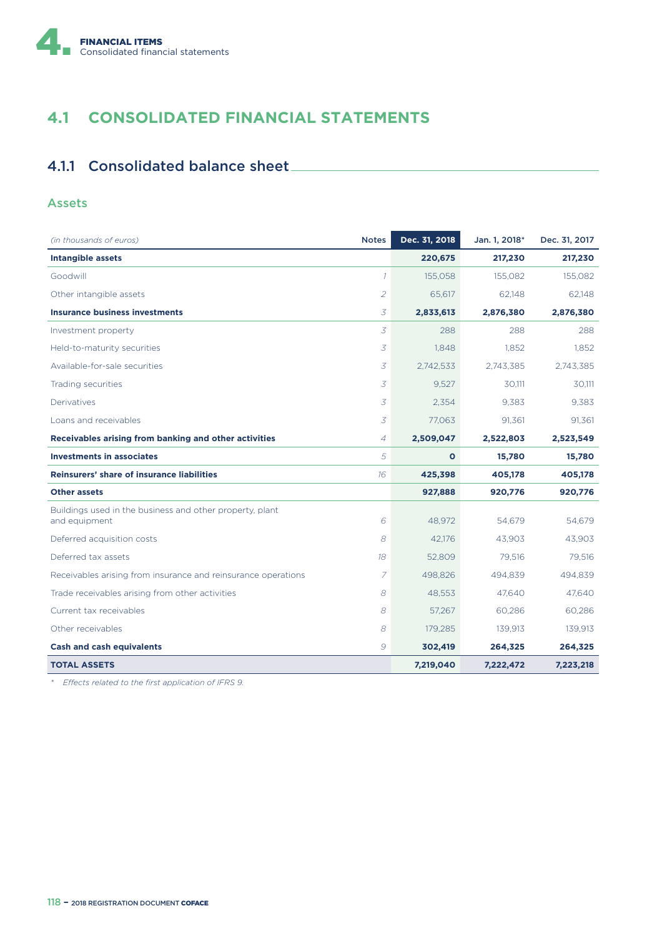

# **4.1 CONSOLIDATED FINANCIAL STATEMENTS**

# 4.1.1 Consolidated balance sheet

### Assets

| (in thousands of euros)                                                   | <b>Notes</b>   | Dec. 31, 2018 | Jan. 1, 2018* | Dec. 31, 2017 |
|---------------------------------------------------------------------------|----------------|---------------|---------------|---------------|
| <b>Intangible assets</b>                                                  |                | 220,675       | 217,230       | 217,230       |
| Goodwill                                                                  | $\mathcal{I}$  | 155,058       | 155,082       | 155,082       |
| Other intangible assets                                                   | $\overline{2}$ | 65.617        | 62.148        | 62.148        |
| <b>Insurance business investments</b>                                     | 3              | 2,833,613     | 2,876,380     | 2,876,380     |
| Investment property                                                       | 3              | 288           | 288           | 288           |
| Held-to-maturity securities                                               | 3              | 1,848         | 1,852         | 1,852         |
| Available-for-sale securities                                             | 3              | 2,742,533     | 2,743,385     | 2,743,385     |
| Trading securities                                                        | 3              | 9,527         | 30,111        | 30,111        |
| Derivatives                                                               | 3              | 2,354         | 9,383         | 9,383         |
| Loans and receivables                                                     | 3              | 77,063        | 91,361        | 91,361        |
| Receivables arising from banking and other activities                     | 4              | 2,509,047     | 2,522,803     | 2,523,549     |
| <b>Investments in associates</b>                                          | 5              | $\mathbf{o}$  | 15,780        | 15,780        |
| <b>Reinsurers' share of insurance liabilities</b>                         | 16             | 425,398       | 405,178       | 405,178       |
| <b>Other assets</b>                                                       |                | 927,888       | 920,776       | 920,776       |
| Buildings used in the business and other property, plant<br>and equipment | 6              | 48,972        | 54,679        | 54,679        |
| Deferred acquisition costs                                                | 8              | 42,176        | 43,903        | 43,903        |
| Deferred tax assets                                                       | 18             | 52.809        | 79.516        | 79.516        |
| Receivables arising from insurance and reinsurance operations             | 7              | 498.826       | 494,839       | 494,839       |
| Trade receivables arising from other activities                           | 8              | 48,553        | 47,640        | 47,640        |
| Current tax receivables                                                   | 8              | 57,267        | 60,286        | 60,286        |
| Other receivables                                                         | 8              | 179,285       | 139,913       | 139,913       |
| <b>Cash and cash equivalents</b>                                          | 9              | 302,419       | 264,325       | 264,325       |
| <b>TOTAL ASSETS</b>                                                       |                | 7,219,040     | 7,222,472     | 7,223,218     |

*\* E9ects related to the first application of IFRS 9.*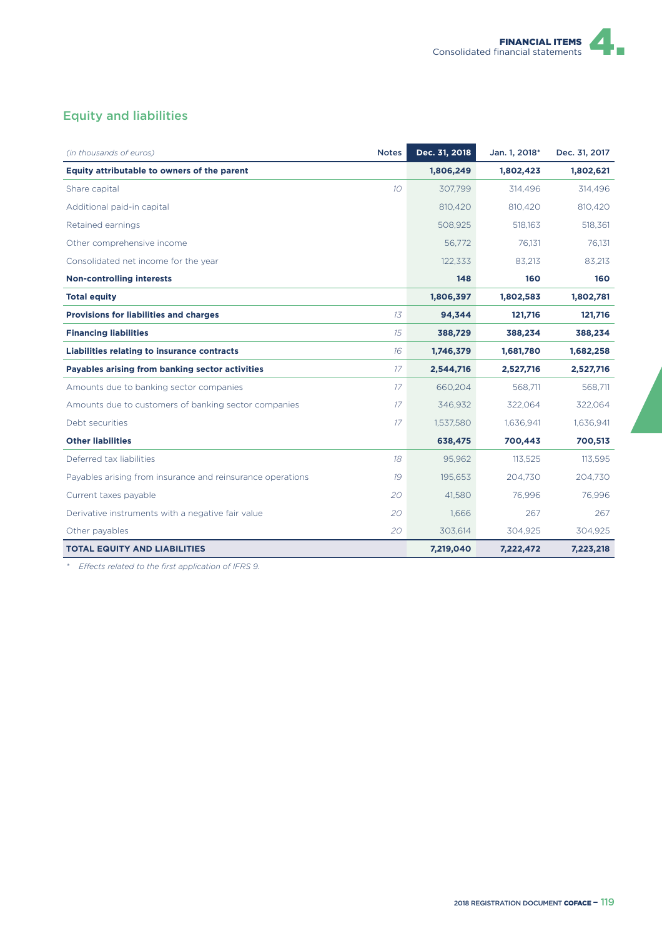

## Equity and liabilities

| (in thousands of euros)                                    | <b>Notes</b>     | Dec. 31, 2018 | Jan. 1, 2018* | Dec. 31, 2017 |
|------------------------------------------------------------|------------------|---------------|---------------|---------------|
| Equity attributable to owners of the parent                |                  | 1,806,249     | 1,802,423     | 1,802,621     |
| Share capital                                              | 10 <sup>10</sup> | 307,799       | 314,496       | 314,496       |
| Additional paid-in capital                                 |                  | 810,420       | 810,420       | 810,420       |
| Retained earnings                                          |                  | 508,925       | 518,163       | 518,361       |
| Other comprehensive income                                 |                  | 56,772        | 76,131        | 76,131        |
| Consolidated net income for the year                       |                  | 122,333       | 83,213        | 83,213        |
| <b>Non-controlling interests</b>                           |                  | 148           | 160           | 160           |
| <b>Total equity</b>                                        |                  | 1,806,397     | 1,802,583     | 1,802,781     |
| <b>Provisions for liabilities and charges</b>              | 13               | 94,344        | 121,716       | 121,716       |
| <b>Financing liabilities</b>                               | 15               | 388,729       | 388,234       | 388,234       |
| <b>Liabilities relating to insurance contracts</b>         | 16               | 1,746,379     | 1,681,780     | 1,682,258     |
| Payables arising from banking sector activities            | 17               | 2,544,716     | 2,527,716     | 2,527,716     |
| Amounts due to banking sector companies                    | 17               | 660,204       | 568,711       | 568,711       |
| Amounts due to customers of banking sector companies       | 17               | 346,932       | 322,064       | 322,064       |
| Debt securities                                            | 17               | 1,537,580     | 1,636,941     | 1,636,941     |
| <b>Other liabilities</b>                                   |                  | 638,475       | 700,443       | 700,513       |
| Deferred tax liabilities                                   | 18               | 95,962        | 113,525       | 113,595       |
| Payables arising from insurance and reinsurance operations | 19               | 195,653       | 204,730       | 204,730       |
| Current taxes payable                                      | 20               | 41,580        | 76,996        | 76,996        |
| Derivative instruments with a negative fair value          | 20               | 1,666         | 267           | 267           |
| Other payables                                             | 20               | 303,614       | 304,925       | 304,925       |
| <b>TOTAL EQUITY AND LIABILITIES</b>                        |                  | 7,219,040     | 7,222,472     | 7,223,218     |

*\* E9ects related to the first application of IFRS 9.*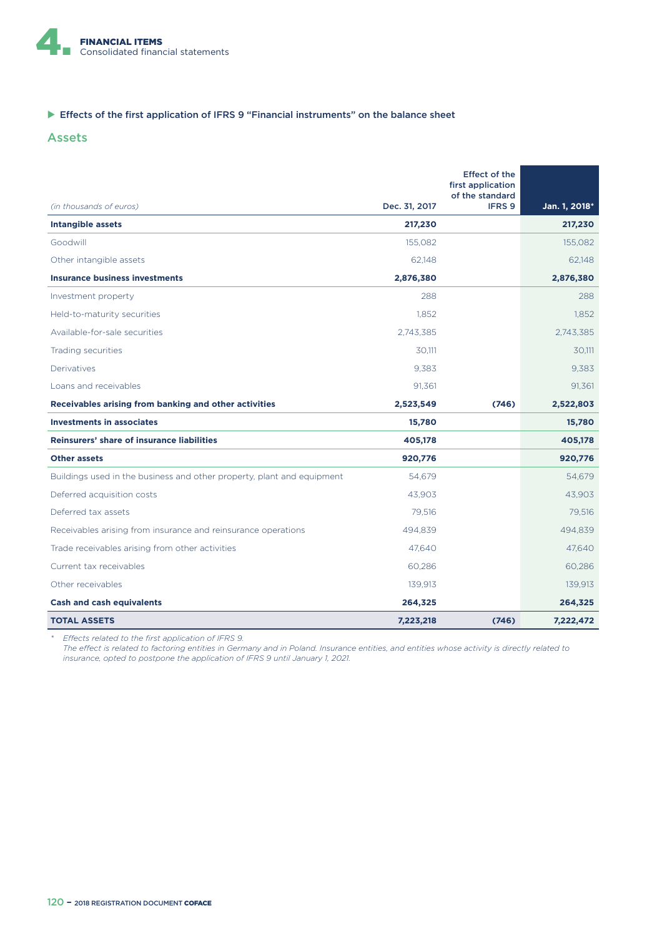

#### $\blacktriangleright$  Effects of the first application of IFRS 9 "Financial instruments" on the balance sheet

#### Assets

|                                                                        |               | <b>Effect of the</b><br>first application<br>of the standard |               |
|------------------------------------------------------------------------|---------------|--------------------------------------------------------------|---------------|
| (in thousands of euros)                                                | Dec. 31, 2017 | IFRS 9                                                       | Jan. 1, 2018* |
| <b>Intangible assets</b>                                               | 217,230       |                                                              | 217,230       |
| Goodwill                                                               | 155.082       |                                                              | 155,082       |
| Other intangible assets                                                | 62,148        |                                                              | 62,148        |
| <b>Insurance business investments</b>                                  | 2,876,380     |                                                              | 2,876,380     |
| Investment property                                                    | 288           |                                                              | 288           |
| Held-to-maturity securities                                            | 1,852         |                                                              | 1.852         |
| Available-for-sale securities                                          | 2.743.385     |                                                              | 2.743.385     |
| Trading securities                                                     | 30.111        |                                                              | 30.111        |
| Derivatives                                                            | 9,383         |                                                              | 9.383         |
| Loans and receivables                                                  | 91,361        |                                                              | 91,361        |
| Receivables arising from banking and other activities                  | 2,523,549     | (746)                                                        | 2,522,803     |
| <b>Investments in associates</b>                                       | 15,780        |                                                              | 15,780        |
| <b>Reinsurers' share of insurance liabilities</b>                      | 405,178       |                                                              | 405,178       |
| <b>Other assets</b>                                                    | 920,776       |                                                              | 920,776       |
| Buildings used in the business and other property, plant and equipment | 54,679        |                                                              | 54,679        |
| Deferred acquisition costs                                             | 43.903        |                                                              | 43.903        |
| Deferred tax assets                                                    | 79,516        |                                                              | 79,516        |
| Receivables arising from insurance and reinsurance operations          | 494,839       |                                                              | 494,839       |
| Trade receivables arising from other activities                        | 47.640        |                                                              | 47.640        |
| Current tax receivables                                                | 60,286        |                                                              | 60,286        |
| Other receivables                                                      | 139,913       |                                                              | 139,913       |
| <b>Cash and cash equivalents</b>                                       | 264,325       |                                                              | 264,325       |
| <b>TOTAL ASSETS</b>                                                    | 7,223,218     | (746)                                                        | 7,222,472     |

*\* E9ects related to the first application of IFRS 9.*

The effect is related to factoring entities in Germany and in Poland. Insurance entities, and entities whose activity is directly related to *insurance, opted to postpone the application of IFRS 9 until January 1, 2021.*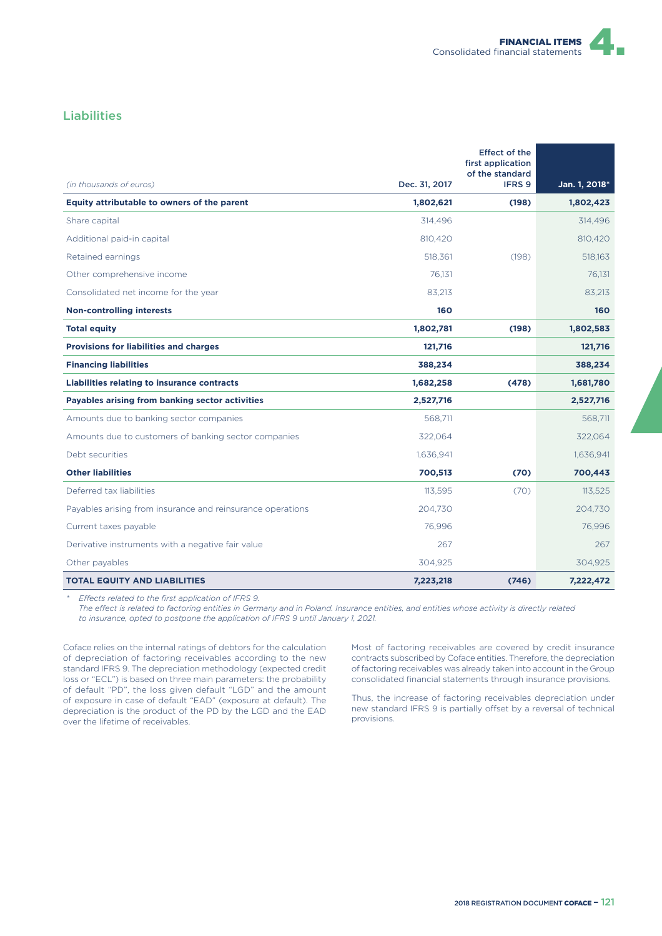

### Liabilities

|                                                            |               | <b>Effect of the</b><br>first application |               |
|------------------------------------------------------------|---------------|-------------------------------------------|---------------|
| (in thousands of euros)                                    | Dec. 31, 2017 | of the standard<br><b>IFRS 9</b>          | Jan. 1, 2018* |
| Equity attributable to owners of the parent                | 1,802,621     | (198)                                     | 1,802,423     |
| Share capital                                              | 314,496       |                                           | 314,496       |
| Additional paid-in capital                                 | 810,420       |                                           | 810,420       |
| Retained earnings                                          | 518,361       | (198)                                     | 518,163       |
| Other comprehensive income                                 | 76.131        |                                           | 76.131        |
| Consolidated net income for the year                       | 83,213        |                                           | 83,213        |
| <b>Non-controlling interests</b>                           | 160           |                                           | 160           |
| <b>Total equity</b>                                        | 1,802,781     | (198)                                     | 1,802,583     |
| <b>Provisions for liabilities and charges</b>              | 121,716       |                                           | 121,716       |
| <b>Financing liabilities</b>                               | 388,234       |                                           | 388,234       |
| <b>Liabilities relating to insurance contracts</b>         | 1,682,258     | (478)                                     | 1,681,780     |
| Payables arising from banking sector activities            | 2,527,716     |                                           | 2,527,716     |
| Amounts due to banking sector companies                    | 568.711       |                                           | 568.711       |
| Amounts due to customers of banking sector companies       | 322,064       |                                           | 322,064       |
| Debt securities                                            | 1,636,941     |                                           | 1,636,941     |
| <b>Other liabilities</b>                                   | 700,513       | (70)                                      | 700,443       |
| Deferred tax liabilities                                   | 113,595       | (70)                                      | 113,525       |
| Payables arising from insurance and reinsurance operations | 204,730       |                                           | 204.730       |
| Current taxes payable                                      | 76,996        |                                           | 76,996        |
| Derivative instruments with a negative fair value          | 267           |                                           | 267           |
| Other payables                                             | 304,925       |                                           | 304,925       |
| <b>TOTAL EQUITY AND LIABILITIES</b>                        | 7,223,218     | (746)                                     | 7,222,472     |

*Effects related to the first application of IFRS 9.* 

The effect is related to factoring entities in Germany and in Poland. Insurance entities, and entities whose activity is directly related *to insurance, opted to postpone the application of IFRS 9 until January 1, 2021.*

Coface relies on the internal ratings of debtors for the calculation of depreciation of factoring receivables according to the new standard IFRS 9. The depreciation methodology (expected credit loss or "ECL") is based on three main parameters: the probability of default "PD", the loss given default "LGD" and the amount of exposure in case of default "EAD" (exposure at default). The depreciation is the product of the PD by the LGD and the EAD over the lifetime of receivables.

Most of factoring receivables are covered by credit insurance contracts subscribed by Coface entities. Therefore, the depreciation of factoring receivables was already taken into account in the Group consolidated financial statements through insurance provisions.

Thus, the increase of factoring receivables depreciation under new standard IFRS 9 is partially offset by a reversal of technical provisions.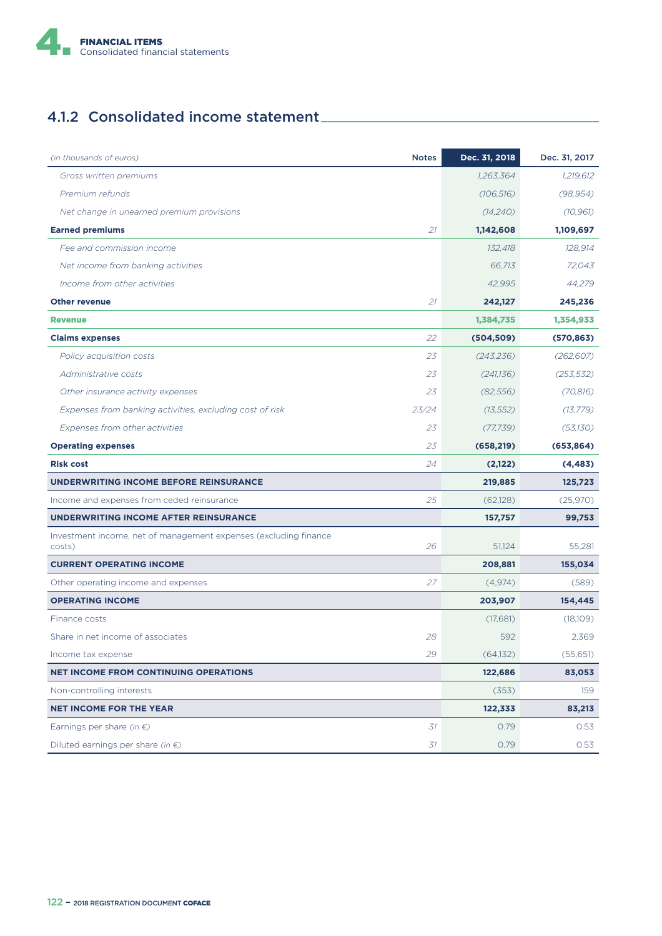

# 4.1.2 Consolidated income statement

| (in thousands of euros)                                                    | <b>Notes</b> | Dec. 31, 2018 | Dec. 31, 2017 |
|----------------------------------------------------------------------------|--------------|---------------|---------------|
| Gross written premiums                                                     |              | 1.263.364     | 1,219,612     |
| Premium refunds                                                            |              | (106, 516)    | (98, 954)     |
| Net change in unearned premium provisions                                  |              | (14,240)      | (10, 961)     |
| <b>Earned premiums</b>                                                     | 21           | 1,142,608     | 1,109,697     |
| Fee and commission income                                                  |              | 132,418       | 128,914       |
| Net income from banking activities                                         |              | 66,713        | 72,043        |
| Income from other activities                                               |              | 42,995        | 44,279        |
| <b>Other revenue</b>                                                       | 21           | 242,127       | 245,236       |
| <b>Revenue</b>                                                             |              | 1,384,735     | 1,354,933     |
| <b>Claims expenses</b>                                                     | 22           | (504, 509)    | (570, 863)    |
| Policy acquisition costs                                                   | 23           | (243, 236)    | (262, 607)    |
| Administrative costs                                                       | 23           | (241.136)     | (253, 532)    |
| Other insurance activity expenses                                          | 23           | (82, 556)     | (70, 816)     |
| Expenses from banking activities, excluding cost of risk                   | 23/24        | (13, 552)     | (13, 779)     |
| Expenses from other activities                                             | 23           | (77, 739)     | (53,130)      |
| <b>Operating expenses</b>                                                  | 23           | (658, 219)    | (653, 864)    |
| <b>Risk cost</b>                                                           | 24           | (2,122)       | (4, 483)      |
| UNDERWRITING INCOME BEFORE REINSURANCE                                     |              | 219,885       | 125,723       |
| Income and expenses from ceded reinsurance                                 | 25           | (62,128)      | (25,970)      |
| <b>UNDERWRITING INCOME AFTER REINSURANCE</b>                               |              | 157,757       | 99,753        |
| Investment income, net of management expenses (excluding finance<br>costs) | 26           | 51,124        | 55,281        |
| <b>CURRENT OPERATING INCOME</b>                                            |              | 208,881       | 155,034       |
| Other operating income and expenses                                        | 27           | (4,974)       | (589)         |
| <b>OPERATING INCOME</b>                                                    |              | 203,907       | 154,445       |
| Finance costs                                                              |              | (17,681)      | (18,109)      |
| Share in net income of associates                                          | 28           | 592           | 2,369         |
| Income tax expense                                                         | 29           | (64, 132)     | (55,651)      |
| <b>NET INCOME FROM CONTINUING OPERATIONS</b>                               |              | 122,686       | 83,053        |
| Non-controlling interests                                                  |              | (353)         | 159           |
| <b>NET INCOME FOR THE YEAR</b>                                             |              | 122,333       | 83,213        |
| Earnings per share (in $\epsilon$ )                                        | 31           | 0.79          | 0.53          |
| Diluted earnings per share (in $\epsilon$ )                                | 31           | 0.79          | 0.53          |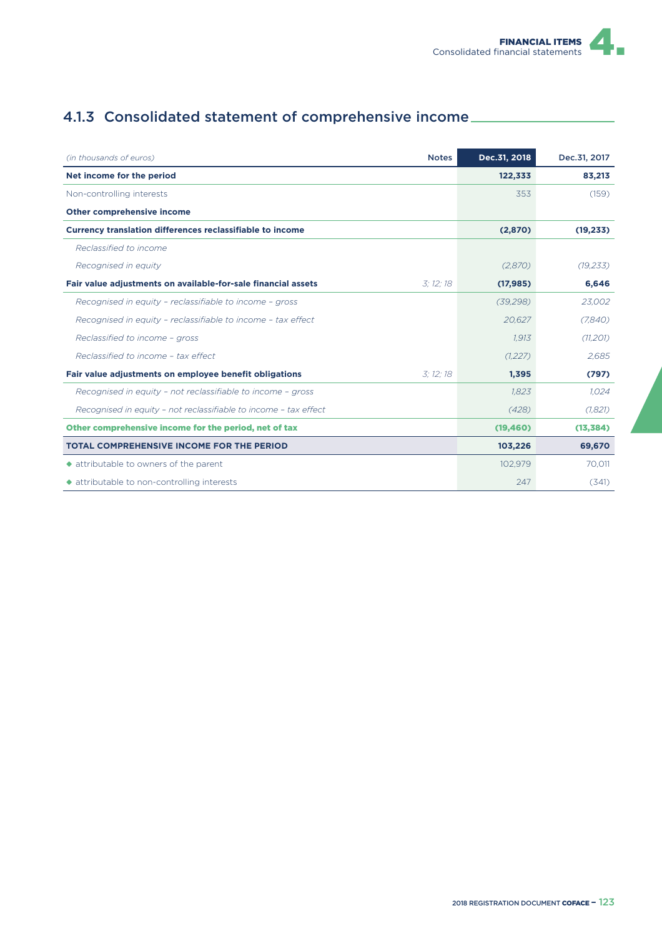# 4.1.3 Consolidated statement of comprehensive income

| (in thousands of euros)<br><b>Notes</b>                                    | Dec.31, 2018 | Dec.31, 2017 |
|----------------------------------------------------------------------------|--------------|--------------|
| Net income for the period                                                  | 122,333      | 83,213       |
| Non-controlling interests                                                  | 353          | (159)        |
| <b>Other comprehensive income</b>                                          |              |              |
| <b>Currency translation differences reclassifiable to income</b>           | (2,870)      | (19, 233)    |
| Reclassified to income                                                     |              |              |
| Recognised in equity                                                       | (2,870)      | (19, 233)    |
| Fair value adjustments on available-for-sale financial assets<br>3: 12: 18 | (17, 985)    | 6,646        |
| Recognised in equity - reclassifiable to income - gross                    | (39, 298)    | 23.002       |
| Recognised in equity - reclassifiable to income - tax effect               | 20,627       | (7,840)      |
| Reclassified to income - gross                                             | 1,913        | (11, 201)    |
| Reclassified to income - tax effect                                        | (1,227)      | 2.685        |
| Fair value adjustments on employee benefit obligations<br>3: 12: 18        | 1,395        | (797)        |
| Recognised in equity - not reclassifiable to income - gross                | 1,823        | 1.024        |
| Recognised in equity - not reclassifiable to income - tax effect           | (428)        | (1,821)      |
| Other comprehensive income for the period, net of tax                      | (19, 460)    | (13, 384)    |
| <b>TOTAL COMPREHENSIVE INCOME FOR THE PERIOD</b>                           | 103,226      | 69,670       |
| ◆ attributable to owners of the parent                                     | 102,979      | 70,011       |
| ◆ attributable to non-controlling interests                                | 247          | (341)        |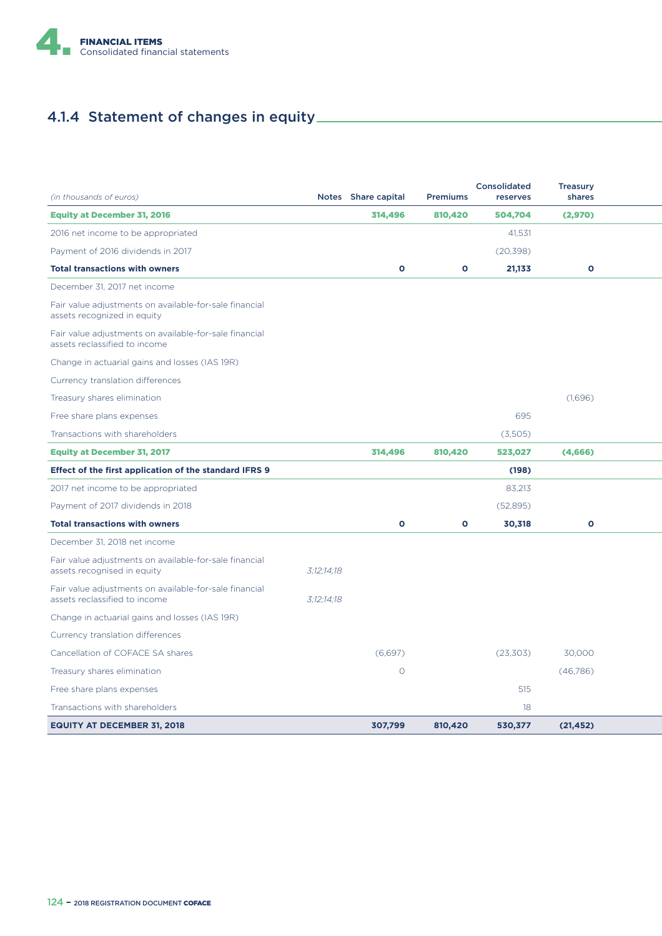

# 4.1.4 Statement of changes in equity

| (in thousands of euros)                                                                 |            | Notes Share capital | <b>Premiums</b> | <b>Consolidated</b><br>reserves | <b>Treasury</b><br>shares |  |
|-----------------------------------------------------------------------------------------|------------|---------------------|-----------------|---------------------------------|---------------------------|--|
| <b>Equity at December 31, 2016</b>                                                      |            | 314,496             | 810,420         | 504,704                         | (2,970)                   |  |
| 2016 net income to be appropriated                                                      |            |                     |                 | 41.531                          |                           |  |
| Payment of 2016 dividends in 2017                                                       |            |                     |                 | (20, 398)                       |                           |  |
| <b>Total transactions with owners</b>                                                   |            | $\mathbf{o}$        | $\mathbf{o}$    | 21,133                          | $\mathbf{o}$              |  |
| December 31, 2017 net income                                                            |            |                     |                 |                                 |                           |  |
| Fair value adjustments on available-for-sale financial<br>assets recognized in equity   |            |                     |                 |                                 |                           |  |
| Fair value adjustments on available-for-sale financial<br>assets reclassified to income |            |                     |                 |                                 |                           |  |
| Change in actuarial gains and losses (IAS 19R)                                          |            |                     |                 |                                 |                           |  |
| Currency translation differences                                                        |            |                     |                 |                                 |                           |  |
| Treasury shares elimination                                                             |            |                     |                 |                                 | (1,696)                   |  |
| Free share plans expenses                                                               |            |                     |                 | 695                             |                           |  |
| Transactions with shareholders                                                          |            |                     |                 | (3,505)                         |                           |  |
| <b>Equity at December 31, 2017</b>                                                      |            | 314,496             | 810,420         | 523,027                         | (4,666)                   |  |
| Effect of the first application of the standard IFRS 9                                  |            |                     |                 | (198)                           |                           |  |
| 2017 net income to be appropriated                                                      |            |                     |                 | 83,213                          |                           |  |
| Payment of 2017 dividends in 2018                                                       |            |                     |                 | (52,895)                        |                           |  |
| <b>Total transactions with owners</b>                                                   |            | $\mathbf{o}$        | $\mathbf{o}$    | 30,318                          | $\mathbf{o}$              |  |
| December 31, 2018 net income                                                            |            |                     |                 |                                 |                           |  |
| Fair value adjustments on available-for-sale financial<br>assets recognised in equity   | 3:12:14:18 |                     |                 |                                 |                           |  |
| Fair value adjustments on available-for-sale financial<br>assets reclassified to income | 3:12:14:18 |                     |                 |                                 |                           |  |
| Change in actuarial gains and losses (IAS 19R)                                          |            |                     |                 |                                 |                           |  |
| Currency translation differences                                                        |            |                     |                 |                                 |                           |  |
| Cancellation of COFACE SA shares                                                        |            | (6,697)             |                 | (23, 303)                       | 30,000                    |  |
| Treasury shares elimination                                                             |            | $\circ$             |                 |                                 | (46,786)                  |  |
| Free share plans expenses                                                               |            |                     |                 | 515                             |                           |  |
| Transactions with shareholders                                                          |            |                     |                 | 18                              |                           |  |
| <b>EQUITY AT DECEMBER 31, 2018</b>                                                      |            | 307,799             | 810,420         | 530,377                         | (21, 452)                 |  |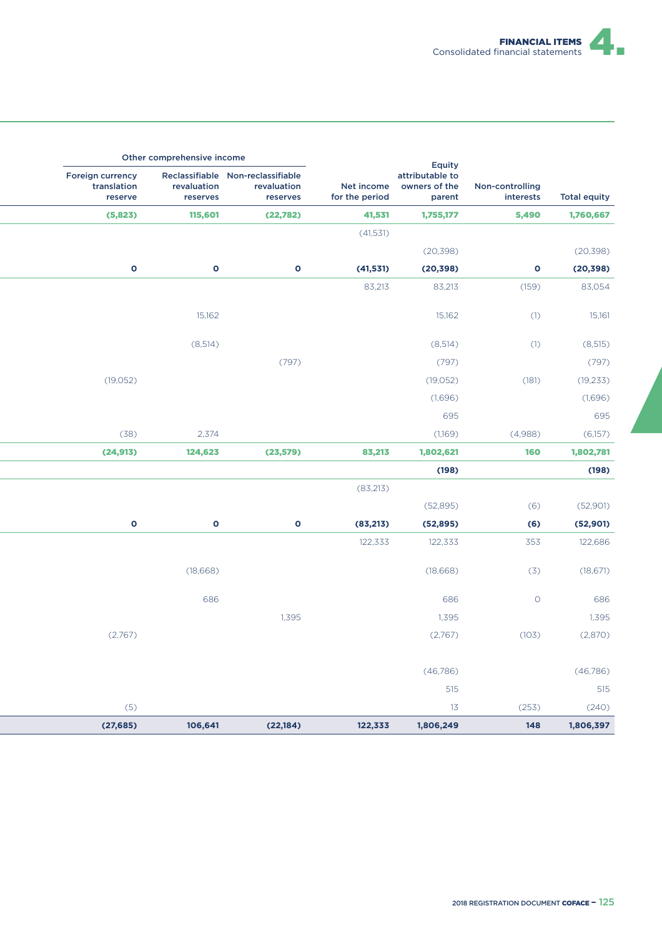

|                                                   | Other comprehensive income |                                                              |                              |                                                      |                              |                     |
|---------------------------------------------------|----------------------------|--------------------------------------------------------------|------------------------------|------------------------------------------------------|------------------------------|---------------------|
| <b>Foreign currency</b><br>translation<br>reserve | revaluation<br>reserves    | Reclassifiable Non-reclassifiable<br>revaluation<br>reserves | Net income<br>for the period | Equity<br>attributable to<br>owners of the<br>parent | Non-controlling<br>interests | <b>Total equity</b> |
| (5,823)                                           | 115,601                    | (22,782)                                                     | 41,531                       | 1,755,177                                            | 5,490                        | 1,760,667           |
|                                                   |                            |                                                              | (41, 531)                    |                                                      |                              |                     |
|                                                   |                            |                                                              |                              | (20, 398)                                            |                              | (20, 398)           |
| $\mathbf 0$                                       | $\mathbf 0$                | $\mathbf 0$                                                  | (41, 531)                    | (20, 398)                                            | 0                            | (20, 398)           |
|                                                   |                            |                                                              | 83,213                       | 83,213                                               | (159)                        | 83,054              |
|                                                   |                            |                                                              |                              |                                                      |                              |                     |
|                                                   | 15,162                     |                                                              |                              | 15,162                                               | (1)                          | 15,161              |
|                                                   | (8,514)                    |                                                              |                              | (8,514)                                              | (1)                          | (8, 515)            |
|                                                   |                            | (797)                                                        |                              | (797)                                                |                              | (797)               |
| (19, 052)                                         |                            |                                                              |                              | (19, 052)                                            | (181)                        | (19, 233)           |
|                                                   |                            |                                                              |                              | (1,696)                                              |                              | (1,696)             |
|                                                   |                            |                                                              |                              | 695                                                  |                              | 695                 |
| (38)                                              | 2,374                      |                                                              |                              | (1,169)                                              | (4,988)                      | (6,157)             |
| (24, 913)                                         | 124,623                    | (23, 579)                                                    | 83,213                       | 1,802,621                                            | 160                          | 1,802,781           |
|                                                   |                            |                                                              |                              | (198)                                                |                              | (198)               |
|                                                   |                            |                                                              | (83,213)                     |                                                      |                              |                     |
|                                                   |                            |                                                              |                              | (52,895)                                             | (6)                          | (52,901)            |
| $\mathbf 0$                                       | $\bullet$                  | $\bullet$                                                    | (83, 213)                    | (52, 895)                                            | (6)                          | (52, 901)           |
|                                                   |                            |                                                              | 122,333                      | 122,333                                              | 353                          | 122,686             |
|                                                   | (18,668)                   |                                                              |                              | (18,668)                                             | (3)                          | (18, 671)           |
|                                                   | 686                        |                                                              |                              | 686                                                  | $\circ$                      | 686                 |
|                                                   |                            | 1,395                                                        |                              | 1,395                                                |                              | 1,395               |
| (2,767)                                           |                            |                                                              |                              | (2,767)                                              | (103)                        | (2,870)             |
|                                                   |                            |                                                              |                              |                                                      |                              |                     |
|                                                   |                            |                                                              |                              | (46,786)                                             |                              | (46,786)            |
|                                                   |                            |                                                              |                              | 515                                                  |                              | 515                 |
| (5)                                               |                            |                                                              |                              | 13                                                   | (253)                        | (240)               |
| (27, 685)                                         | 106,641                    | (22, 184)                                                    | 122,333                      | 1,806,249                                            | 148                          | 1,806,397           |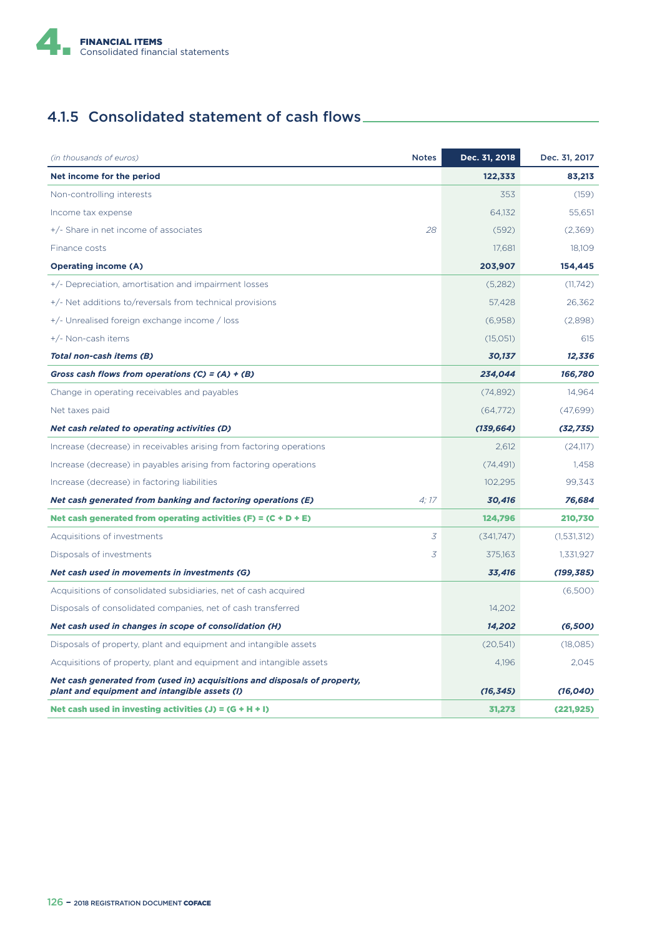

# 4.1.5 Consolidated statement of cash flows

| (in thousands of euros)                                                                                                    | <b>Notes</b> | Dec. 31, 2018 | Dec. 31, 2017 |
|----------------------------------------------------------------------------------------------------------------------------|--------------|---------------|---------------|
| Net income for the period                                                                                                  |              | 122,333       | 83,213        |
| Non-controlling interests                                                                                                  |              | 353           | (159)         |
| Income tax expense                                                                                                         |              | 64,132        | 55,651        |
| +/- Share in net income of associates                                                                                      | 28           | (592)         | (2,369)       |
| Finance costs                                                                                                              |              | 17,681        | 18,109        |
| <b>Operating income (A)</b>                                                                                                |              | 203,907       | 154,445       |
| +/- Depreciation, amortisation and impairment losses                                                                       |              | (5,282)       | (11,742)      |
| +/- Net additions to/reversals from technical provisions                                                                   |              | 57.428        | 26,362        |
| +/- Unrealised foreign exchange income / loss                                                                              |              | (6,958)       | (2,898)       |
| +/- Non-cash items                                                                                                         |              | (15,051)      | 615           |
| Total non-cash items (B)                                                                                                   |              | 30,137        | 12,336        |
| Gross cash flows from operations (C) = (A) + (B)                                                                           |              | 234,044       | 166,780       |
| Change in operating receivables and payables                                                                               |              | (74, 892)     | 14,964        |
| Net taxes paid                                                                                                             |              | (64,772)      | (47,699)      |
| Net cash related to operating activities (D)                                                                               |              | (139, 664)    | (32, 735)     |
| Increase (decrease) in receivables arising from factoring operations                                                       |              | 2,612         | (24,117)      |
| Increase (decrease) in payables arising from factoring operations                                                          |              | (74, 491)     | 1.458         |
| Increase (decrease) in factoring liabilities                                                                               |              | 102,295       | 99,343        |
| Net cash generated from banking and factoring operations (E)                                                               | 4:17         | 30,416        | 76,684        |
| Net cash generated from operating activities (F) = $(C + D + E)$                                                           |              | 124,796       | 210,730       |
| Acquisitions of investments                                                                                                | 3            | (341,747)     | (1,531,312)   |
| Disposals of investments                                                                                                   | 3            | 375,163       | 1,331,927     |
| Net cash used in movements in investments (G)                                                                              |              | 33,416        | (199, 385)    |
| Acquisitions of consolidated subsidiaries, net of cash acquired                                                            |              |               | (6,500)       |
| Disposals of consolidated companies, net of cash transferred                                                               |              | 14,202        |               |
| Net cash used in changes in scope of consolidation (H)                                                                     |              | 14,202        | (6,500)       |
| Disposals of property, plant and equipment and intangible assets                                                           |              | (20,541)      | (18,085)      |
| Acquisitions of property, plant and equipment and intangible assets                                                        |              | 4,196         | 2,045         |
| Net cash generated from (used in) acquisitions and disposals of property,<br>plant and equipment and intangible assets (I) |              | (16, 345)     | (16,040)      |
| Net cash used in investing activities $(J) = (G + H + I)$                                                                  |              | 31,273        | (221, 925)    |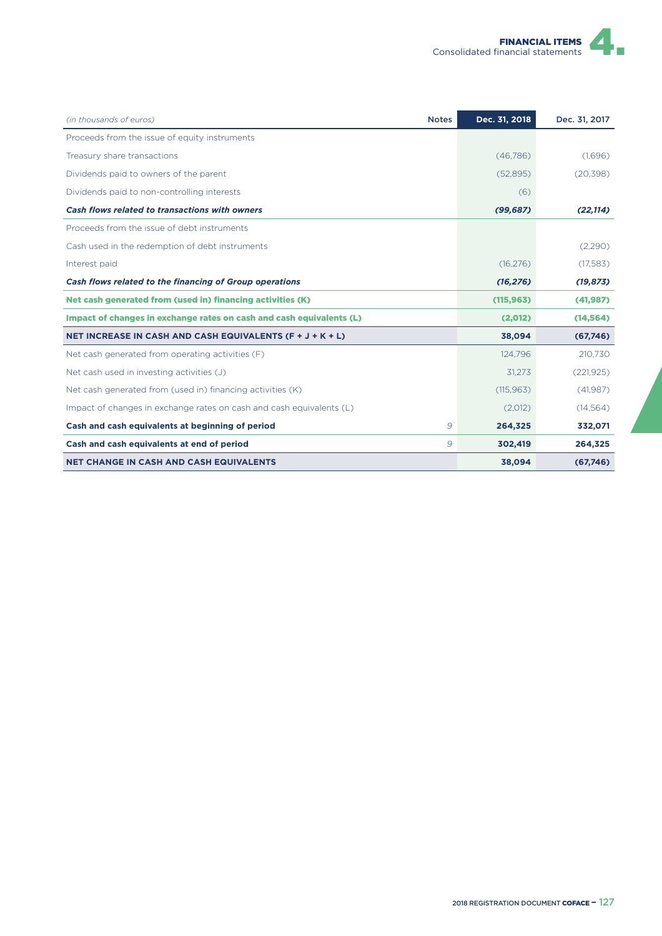| (in thousands of euros)<br><b>Notes</b>                              | Dec. 31, 2018 | Dec. 31, 2017 |
|----------------------------------------------------------------------|---------------|---------------|
| Proceeds from the issue of equity instruments                        |               |               |
| Treasury share transactions                                          | (46,786)      | (1,696)       |
| Dividends paid to owners of the parent                               | (52,895)      | (20, 398)     |
| Dividends paid to non-controlling interests                          | (6)           |               |
| Cash flows related to transactions with owners                       | (99, 687)     | (22, 114)     |
| Proceeds from the issue of debt instruments                          |               |               |
| Cash used in the redemption of debt instruments                      |               | (2,290)       |
| Interest paid                                                        | (16, 276)     | (17,583)      |
| Cash flows related to the financing of Group operations              | (16, 276)     | (19, 873)     |
| Net cash generated from (used in) financing activities (K)           | (115, 963)    | (41, 987)     |
| Impact of changes in exchange rates on cash and cash equivalents (L) | (2,012)       | (14, 564)     |
| NET INCREASE IN CASH AND CASH EQUIVALENTS (F + J + K + L)            | 38,094        | (67,746)      |
| Net cash generated from operating activities (F)                     | 124.796       | 210.730       |
| Net cash used in investing activities (J)                            | 31,273        | (221, 925)    |
| Net cash generated from (used in) financing activities (K)           | (115, 963)    | (41,987)      |
| Impact of changes in exchange rates on cash and cash equivalents (L) | (2,012)       | (14, 564)     |
| Cash and cash equivalents at beginning of period<br>9                | 264,325       | 332,071       |
| Cash and cash equivalents at end of period<br>9                      | 302,419       | 264,325       |
| <b>NET CHANGE IN CASH AND CASH EQUIVALENTS</b>                       | 38,094        | (67,746)      |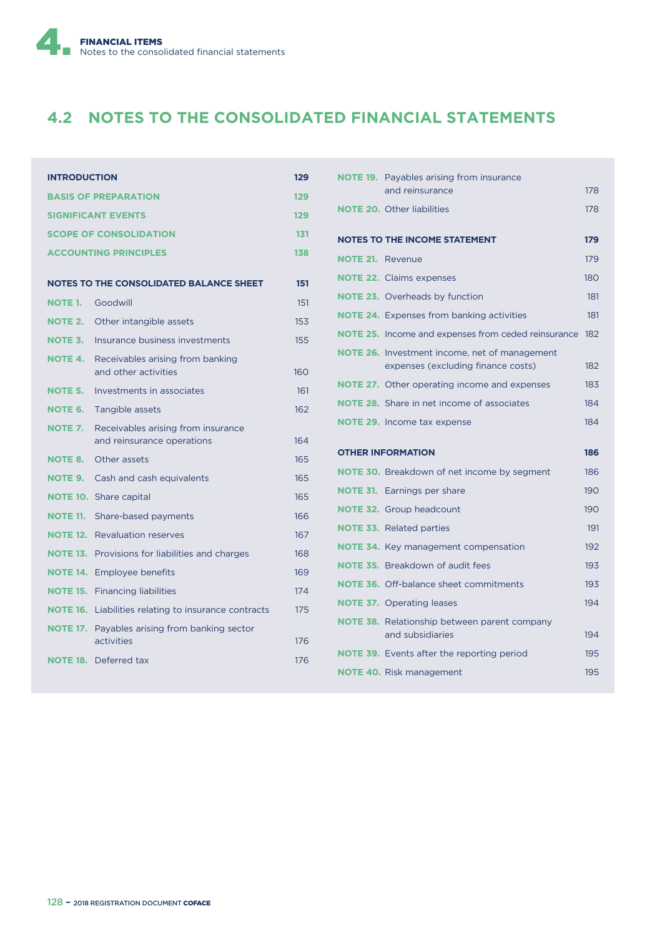

# **4.2 NOTES TO THE CONSOLIDATED FINANCIAL STATEMENTS**

| <b>INTRODUCTION</b> |                                                                  | 129 |
|---------------------|------------------------------------------------------------------|-----|
|                     | <b>BASIS OF PREPARATION</b>                                      | 129 |
|                     | <b>SIGNIFICANT EVENTS</b>                                        | 129 |
|                     | <b>SCOPE OF CONSOLIDATION</b>                                    | 131 |
|                     | <b>ACCOUNTING PRINCIPLES</b>                                     | 138 |
|                     | <b>NOTES TO THE CONSOLIDATED BALANCE SHEET</b>                   | 151 |
| <b>NOTE 1.</b>      | Goodwill                                                         | 151 |
| <b>NOTE 2.</b>      | Other intangible assets                                          | 153 |
| NOTE 3.             | Insurance business investments                                   | 155 |
| <b>NOTE 4.</b>      | Receivables arising from banking<br>and other activities         | 160 |
| <b>NOTE 5.</b>      | Investments in associates                                        | 161 |
| <b>NOTE 6.</b>      | Tangible assets                                                  | 162 |
| <b>NOTE 7.</b>      | Receivables arising from insurance<br>and reinsurance operations | 164 |
| <b>NOTE 8.</b>      | Other assets                                                     | 165 |
| <b>NOTE 9.</b>      | Cash and cash equivalents                                        | 165 |
| <b>NOTE 10.</b>     | Share capital                                                    | 165 |
| <b>NOTE 11.</b>     | Share-based payments                                             | 166 |
| <b>NOTE 12.</b>     | <b>Revaluation reserves</b>                                      | 167 |
| <b>NOTE 13.</b>     | Provisions for liabilities and charges                           | 168 |
| <b>NOTE 14.</b>     | <b>Employee benefits</b>                                         | 169 |
| <b>NOTE 15.</b>     | <b>Financing liabilities</b>                                     | 174 |
| <b>NOTE 16.</b>     | Liabilities relating to insurance contracts                      | 175 |
| <b>NOTE 17.</b>     | Payables arising from banking sector<br>activities               | 176 |
|                     | <b>NOTE 18.</b> Deferred tax                                     | 176 |
|                     |                                                                  |     |

|                         | <b>NOTE 19.</b> Payables arising from insurance                                            |     |
|-------------------------|--------------------------------------------------------------------------------------------|-----|
|                         | and reinsurance                                                                            | 178 |
|                         | <b>NOTE 20.</b> Other liabilities                                                          | 178 |
|                         | <b>NOTES TO THE INCOME STATEMENT</b>                                                       | 179 |
| <b>NOTE 21. Revenue</b> |                                                                                            | 179 |
|                         | <b>NOTE 22.</b> Claims expenses                                                            | 180 |
|                         | <b>NOTE 23.</b> Overheads by function                                                      | 181 |
|                         | <b>NOTE 24.</b> Expenses from banking activities                                           | 181 |
|                         | NOTE 25. Income and expenses from ceded reinsurance                                        | 182 |
|                         | <b>NOTE 26.</b> Investment income, net of management<br>expenses (excluding finance costs) | 182 |
|                         | <b>NOTE 27.</b> Other operating income and expenses                                        | 183 |
|                         | <b>NOTE 28.</b> Share in net income of associates                                          | 184 |
|                         | <b>NOTE 29.</b> Income tax expense                                                         | 184 |
|                         |                                                                                            |     |
|                         |                                                                                            |     |
|                         | <b>OTHER INFORMATION</b>                                                                   | 186 |
|                         | <b>NOTE 30.</b> Breakdown of net income by segment                                         | 186 |
|                         | <b>NOTE 31.</b> Earnings per share                                                         | 190 |
|                         | <b>NOTE 32.</b> Group headcount                                                            | 190 |
|                         | <b>NOTE 33.</b> Related parties                                                            | 191 |
|                         | <b>NOTE 34.</b> Key management compensation                                                | 192 |
|                         | <b>NOTE 35.</b> Breakdown of audit fees                                                    | 193 |
|                         | <b>NOTE 36.</b> Off-balance sheet commitments                                              | 193 |
|                         | <b>NOTE 37.</b> Operating leases                                                           | 194 |
|                         | <b>NOTE 38.</b> Relationship between parent company<br>and subsidiaries                    | 194 |
|                         | <b>NOTE 39.</b> Events after the reporting period                                          | 195 |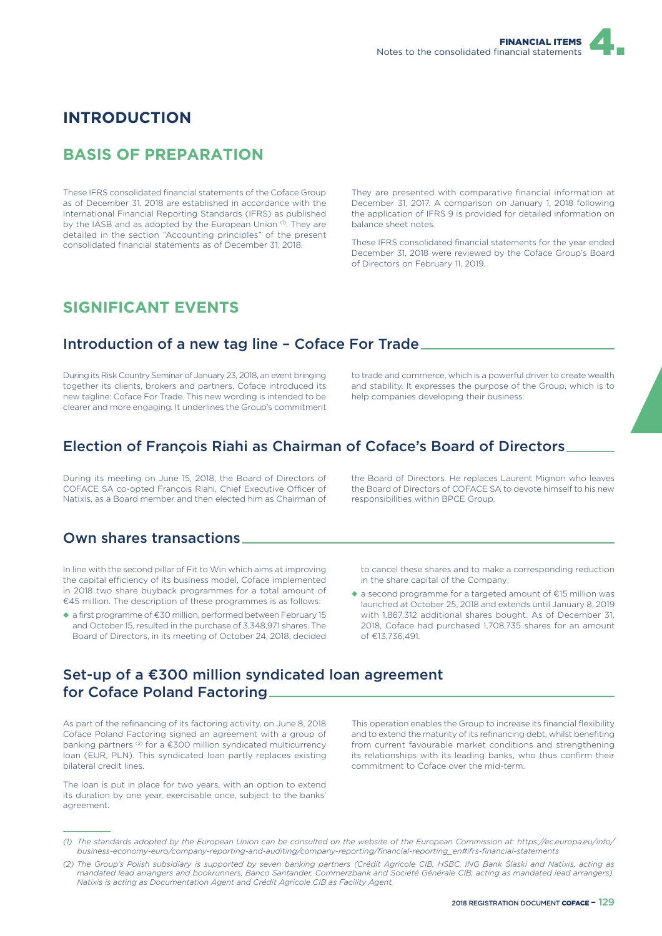

### **INTRODUCTION**

## **BASIS OF PREPARATION**

These IFRS consolidated financial statements of the Coface Group as of December 31, 2018 are established in accordance with the International Financial Reporting Standards (IFRS) as published by the IASB and as adopted by the European Union (1). They are detailed in the section "Accounting principles" of the present consolidated financial statements as of December 31, 2018.

They are presented with comparative financial information at December 31, 2017. A comparison on January 1, 2018 following the application of IFRS 9 is provided for detailed information on balance sheet notes.

These IFRS consolidated financial statements for the year ended December 31, 2018 were reviewed by the Coface Group's Board of Directors on February 11, 2019.

### **SIGNIFICANT EVENTS**

### Introduction of a new tag line – Coface For Trade

During its Risk Country Seminar of January 23, 2018, an event bringing together its clients, brokers and partners, Coface introduced its new tagline: Coface For Trade. This new wording is intended to be clearer and more engaging. It underlines the Group's commitment to trade and commerce, which is a powerful driver to create wealth and stability. It expresses the purpose of the Group, which is to help companies developing their business.

### Election of François Riahi as Chairman of Coface's Board of Directors

During its meeting on June 15, 2018, the Board of Directors of COFACE SA co-opted François Riahi, Chief Executive Officer of Natixis, as a Board member and then elected him as Chairman of

### Own shares transactions

In line with the second pillar of Fit to Win which aims at improving the capital efficiency of its business model, Coface implemented in 2018 two share buyback programmes for a total amount of €45 million. The description of these programmes is as follows:

◆ a first programme of €30 million, performed between February 15 and October 15, resulted in the purchase of 3,348,971 shares. The Board of Directors, in its meeting of October 24, 2018, decided the Board of Directors. He replaces Laurent Mignon who leaves the Board of Directors of COFACE SA to devote himself to his new responsibilities within BPCE Group.

to cancel these shares and to make a corresponding reduction in the share capital of the Company;

◆ a second programme for a targeted amount of €15 million was launched at October 25, 2018 and extends until January 8, 2019 with 1,867,312 additional shares bought. As of December 31, 2018, Coface had purchased 1,708,735 shares for an amount of €13,736,491.

## Set-up of a €300 million syndicated loan agreement for Coface Poland Factoring

As part of the refinancing of its factoring activity, on June 8, 2018 Coface Poland Factoring signed an agreement with a group of banking partners (2) for a €300 million syndicated multicurrency loan (EUR, PLN). This syndicated loan partly replaces existing bilateral credit lines.

The loan is put in place for two years, with an option to extend its duration by one year, exercisable once, subject to the banks' agreement.

This operation enables the Group to increase its financial flexibility and to extend the maturity of its refinancing debt, whilst benefiting from current favourable market conditions and strengthening its relationships with its leading banks, who thus confirm their commitment to Coface over the mid-term.

*<sup>(1)</sup> The standards adopted by the European Union can be consulted on the website of the European Commission at: https://ec.europa.eu/info/ business-economy-euro/company-reporting-and-auditing/company-reporting/financial-reporting\_en#ifrs-financial-statements*

*<sup>(2)</sup> The Group's Polish subsidiary is supported by seven banking partners (Crédit Agricole CIB, HSBC, ING Bank Ślaski and Natixis, acting as mandated lead arrangers and bookrunners, Banco Santander, Commerzbank and Société Générale CIB, acting as mandated lead arrangers). Natixis is acting as Documentation Agent and Crédit Agricole CIB as Facility Agent.*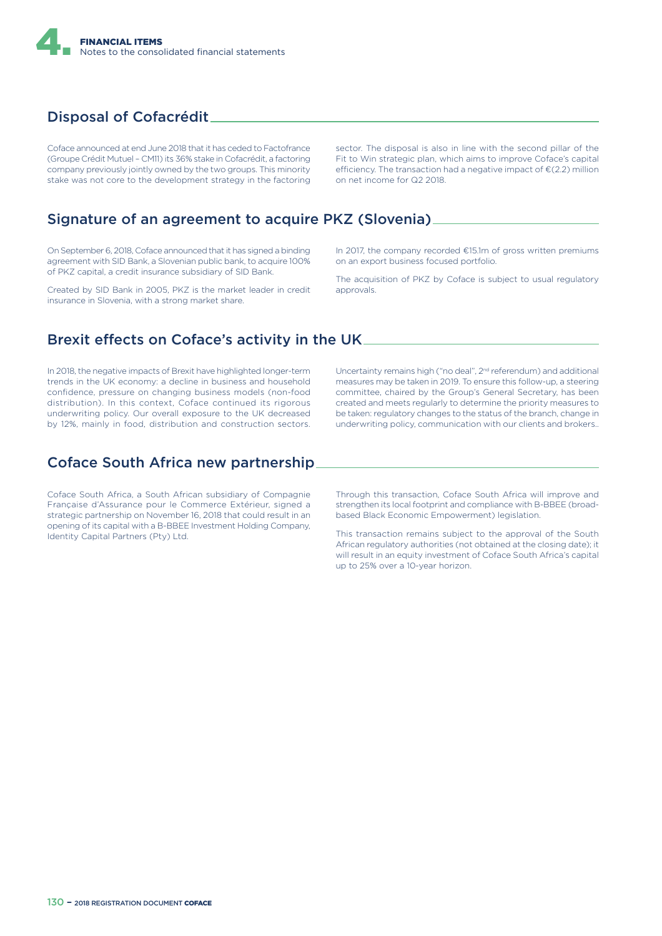

## Disposal of Cofacrédit

Coface announced at end June 2018 that it has ceded to Factofrance (Groupe Crédit Mutuel – CM11) its 36% stake in Cofacrédit, a factoring company previously jointly owned by the two groups. This minority stake was not core to the development strategy in the factoring

sector. The disposal is also in line with the second pillar of the Fit to Win strategic plan, which aims to improve Coface's capital efficiency. The transaction had a negative impact of  $\epsilon$ (2.2) million on net income for Q2 2018.

### Signature of an agreement to acquire PKZ (Slovenia)

On September 6, 2018, Coface announced that it has signed a binding agreement with SID Bank, a Slovenian public bank, to acquire 100% of PKZ capital, a credit insurance subsidiary of SID Bank.

Created by SID Bank in 2005, PKZ is the market leader in credit insurance in Slovenia, with a strong market share.

In 2017, the company recorded €15.1m of gross written premiums on an export business focused portfolio.

The acquisition of PKZ by Coface is subject to usual regulatory approvals.

### Brexit effects on Coface's activity in the UK.

In 2018, the negative impacts of Brexit have highlighted longer-term trends in the UK economy: a decline in business and household confidence, pressure on changing business models (non-food distribution). In this context, Coface continued its rigorous underwriting policy. Our overall exposure to the UK decreased by 12%, mainly in food, distribution and construction sectors.

## Coface South Africa new partnership

Coface South Africa, a South African subsidiary of Compagnie Française d'Assurance pour le Commerce Extérieur, signed a strategic partnership on November 16, 2018 that could result in an opening of its capital with a B-BBEE Investment Holding Company, Identity Capital Partners (Pty) Ltd.

Uncertainty remains high ("no deal", 2<sup>nd</sup> referendum) and additional measures may be taken in 2019. To ensure this follow-up, a steering committee, chaired by the Group's General Secretary, has been created and meets regularly to determine the priority measures to be taken: regulatory changes to the status of the branch, change in underwriting policy, communication with our clients and brokers..

Through this transaction, Coface South Africa will improve and strengthen its local footprint and compliance with B-BBEE (broadbased Black Economic Empowerment) legislation.

This transaction remains subject to the approval of the South African regulatory authorities (not obtained at the closing date); it will result in an equity investment of Coface South Africa's capital up to 25% over a 10-year horizon.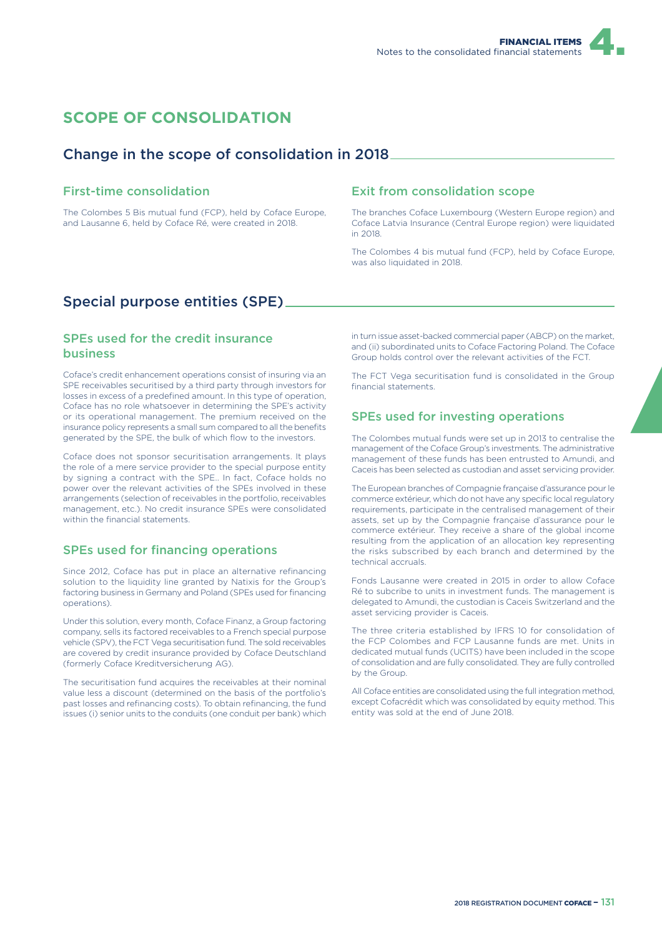## **SCOPE OF CONSOLIDATION**

### Change in the scope of consolidation in 2018

### First-time consolidation

The Colombes 5 Bis mutual fund (FCP), held by Coface Europe, and Lausanne 6, held by Coface Ré, were created in 2018.

### Exit from consolidation scope

The branches Coface Luxembourg (Western Europe region) and Coface Latvia Insurance (Central Europe region) were liquidated in 2018.

The Colombes 4 bis mutual fund (FCP), held by Coface Europe, was also liquidated in 2018.

## Special purpose entities (SPE)

### SPEs used for the credit insurance business

Coface's credit enhancement operations consist of insuring via an SPE receivables securitised by a third party through investors for losses in excess of a predefined amount. In this type of operation, Coface has no role whatsoever in determining the SPE's activity or its operational management. The premium received on the insurance policy represents a small sum compared to all the benefits generated by the SPE, the bulk of which flow to the investors.

Coface does not sponsor securitisation arrangements. It plays the role of a mere service provider to the special purpose entity by signing a contract with the SPE.. In fact, Coface holds no power over the relevant activities of the SPEs involved in these arrangements (selection of receivables in the portfolio, receivables management, etc.). No credit insurance SPEs were consolidated within the financial statements.

### SPEs used for financing operations

Since 2012, Coface has put in place an alternative refinancing solution to the liquidity line granted by Natixis for the Group's factoring business in Germany and Poland (SPEs used for financing operations).

Under this solution, every month, Coface Finanz, a Group factoring company, sells its factored receivables to a French special purpose vehicle (SPV), the FCT Vega securitisation fund. The sold receivables are covered by credit insurance provided by Coface Deutschland (formerly Coface Kreditversicherung AG).

The securitisation fund acquires the receivables at their nominal value less a discount (determined on the basis of the portfolio's past losses and refinancing costs). To obtain refinancing, the fund issues (i) senior units to the conduits (one conduit per bank) which

in turn issue asset-backed commercial paper (ABCP) on the market, and (ii) subordinated units to Coface Factoring Poland. The Coface Group holds control over the relevant activities of the FCT.

The FCT Vega securitisation fund is consolidated in the Group financial statements.

### SPEs used for investing operations

The Colombes mutual funds were set up in 2013 to centralise the management of the Coface Group's investments. The administrative management of these funds has been entrusted to Amundi, and Caceis has been selected as custodian and asset servicing provider.

The European branches of Compagnie française d'assurance pour le commerce extérieur, which do not have any specific local regulatory requirements, participate in the centralised management of their assets, set up by the Compagnie française d'assurance pour le commerce extérieur. They receive a share of the global income resulting from the application of an allocation key representing the risks subscribed by each branch and determined by the technical accruals.

Fonds Lausanne were created in 2015 in order to allow Coface Ré to subcribe to units in investment funds. The management is delegated to Amundi, the custodian is Caceis Switzerland and the asset servicing provider is Caceis.

The three criteria established by IFRS 10 for consolidation of the FCP Colombes and FCP Lausanne funds are met. Units in dedicated mutual funds (UCITS) have been included in the scope of consolidation and are fully consolidated. They are fully controlled by the Group.

All Coface entities are consolidated using the full integration method, except Cofacrédit which was consolidated by equity method. This entity was sold at the end of June 2018.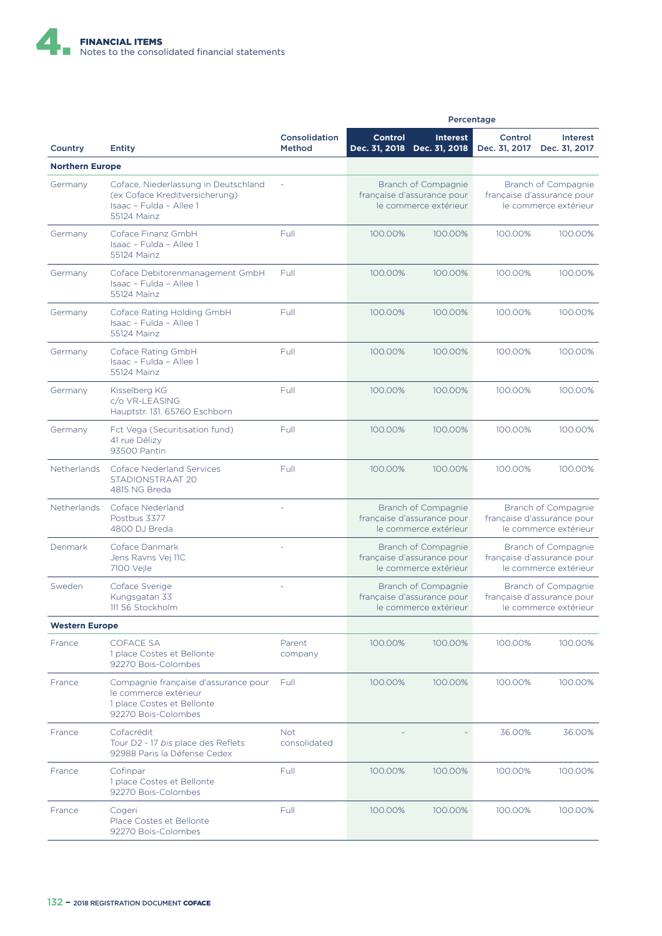

|                        |                                                                                                                    |                            | Percentage                                                                 |                                                                            |                                                                            |                           |
|------------------------|--------------------------------------------------------------------------------------------------------------------|----------------------------|----------------------------------------------------------------------------|----------------------------------------------------------------------------|----------------------------------------------------------------------------|---------------------------|
| Country                | <b>Entity</b>                                                                                                      | Consolidation<br>Method    | <b>Control</b>                                                             | <b>Interest</b><br>Dec. 31, 2018 Dec. 31, 2018                             | Control<br>Dec. 31, 2017                                                   | Interest<br>Dec. 31, 2017 |
| <b>Northern Europe</b> |                                                                                                                    |                            |                                                                            |                                                                            |                                                                            |                           |
| Germany                | Coface, Niederlassung in Deutschland<br>(ex Coface Kreditversicherung)<br>Isaac - Fulda - Allee 1<br>55124 Mainz   |                            |                                                                            | Branch of Compagnie<br>française d'assurance pour<br>le commerce extérieur | Branch of Compagnie<br>française d'assurance pour<br>le commerce extérieur |                           |
| Germany                | Coface Finanz GmbH<br>Isaac - Fulda - Allee 1<br>55124 Mainz                                                       | Full                       | 100.00%                                                                    | 100.00%                                                                    | 100.00%                                                                    | 100.00%                   |
| Germany                | Coface Debitorenmanagement GmbH<br>Isaac - Fulda - Allee 1<br>55124 Mainz                                          | Full                       | 100.00%                                                                    | 100.00%                                                                    | 100.00%                                                                    | 100.00%                   |
| Germany                | Coface Rating Holding GmbH<br>Isaac - Fulda - Allee 1<br>55124 Mainz                                               | Full                       | 100.00%                                                                    | 100.00%                                                                    | 100.00%                                                                    | 100.00%                   |
| Germany                | Coface Rating GmbH<br>Isaac - Fulda - Allee 1<br>55124 Mainz                                                       | Full                       | 100.00%                                                                    | 100.00%                                                                    | 100.00%                                                                    | 100.00%                   |
| Germany                | Kisselberg KG<br>c/o VR-LEASING<br>Hauptstr. 131. 65760 Eschborn                                                   | Full                       | 100.00%                                                                    | 100.00%                                                                    | 100.00%                                                                    | 100.00%                   |
| Germany                | Fct Vega (Securitisation fund)<br>41 rue Délizy<br>93500 Pantin                                                    | Full                       | 100.00%                                                                    | 100.00%                                                                    | 100.00%                                                                    | 100.00%                   |
| <b>Netherlands</b>     | <b>Coface Nederland Services</b><br>STADIONSTRAAT 20<br>4815 NG Breda                                              | Full                       | 100.00%                                                                    | 100.00%                                                                    | 100.00%                                                                    | 100.00%                   |
| <b>Netherlands</b>     | Coface Nederland<br>Postbus 3377<br>4800 DJ Breda                                                                  |                            | Branch of Compagnie<br>française d'assurance pour<br>le commerce extérieur |                                                                            | Branch of Compagnie<br>française d'assurance pour<br>le commerce extérieur |                           |
| Denmark                | Coface Danmark<br>Jens Ravns Vej 11C<br>7100 Vejle                                                                 |                            |                                                                            | Branch of Compagnie<br>française d'assurance pour<br>le commerce extérieur | Branch of Compagnie<br>française d'assurance pour<br>le commerce extérieur |                           |
| Sweden                 | Coface Sverige<br>Kungsgatan 33<br>111 56 Stockholm                                                                |                            |                                                                            | Branch of Compagnie<br>française d'assurance pour<br>le commerce extérieur | Branch of Compagnie<br>française d'assurance pour<br>le commerce extérieur |                           |
| <b>Western Europe</b>  |                                                                                                                    |                            |                                                                            |                                                                            |                                                                            |                           |
| France                 | <b>COFACE SA</b><br>1 place Costes et Bellonte<br>92270 Bois-Colombes                                              | Parent<br>company          | 100.00%                                                                    | 100.00%                                                                    | 100.00%                                                                    | 100.00%                   |
| France                 | Compagnie française d'assurance pour<br>le commerce extérieur<br>1 place Costes et Bellonte<br>92270 Bois-Colombes | Full                       | 100.00%                                                                    | 100.00%                                                                    | 100.00%                                                                    | 100.00%                   |
| France                 | Cofacrédit<br>Tour D2 - 17 bis place des Reflets<br>92988 Paris la Défense Cedex                                   | <b>Not</b><br>consolidated |                                                                            |                                                                            | 36.00%                                                                     | 36.00%                    |
| France                 | Cofinpar<br>1 place Costes et Bellonte<br>92270 Bois-Colombes                                                      | Full                       | 100.00%                                                                    | 100.00%                                                                    | 100.00%                                                                    | 100.00%                   |
| France                 | Cogeri<br>Place Costes et Bellonte<br>92270 Bois-Colombes                                                          | Full                       | 100.00%                                                                    | 100.00%                                                                    | 100.00%                                                                    | 100.00%                   |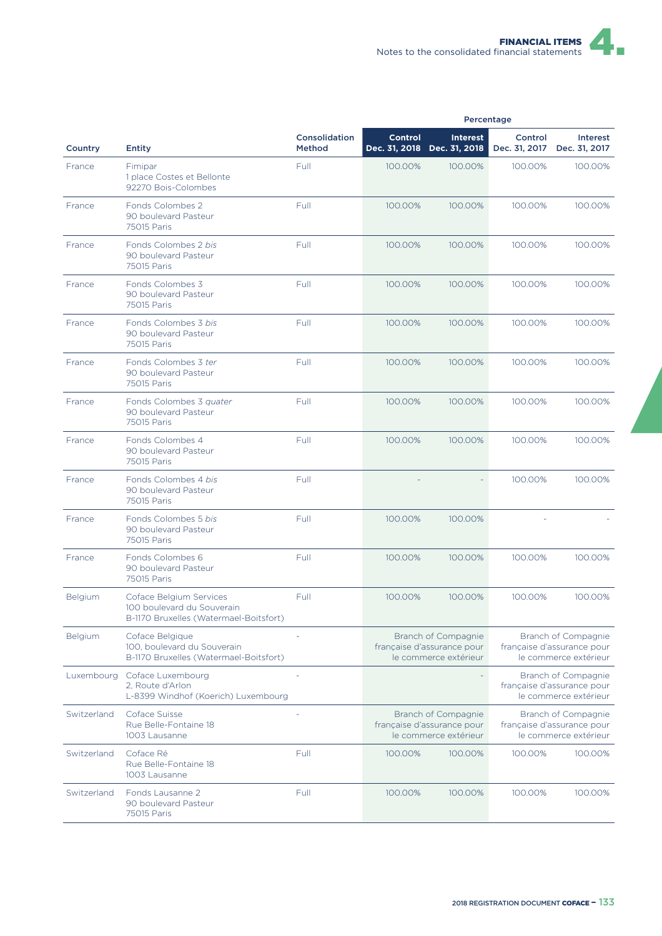|             |                                                                                                 |                         |                |                                                                            | Percentage               |                                                                            |
|-------------|-------------------------------------------------------------------------------------------------|-------------------------|----------------|----------------------------------------------------------------------------|--------------------------|----------------------------------------------------------------------------|
| Country     | <b>Entity</b>                                                                                   | Consolidation<br>Method | <b>Control</b> | <b>Interest</b><br>Dec. 31, 2018 Dec. 31, 2018                             | Control<br>Dec. 31, 2017 | Interest<br>Dec. 31, 2017                                                  |
| France      | Fimipar<br>1 place Costes et Bellonte<br>92270 Bois-Colombes                                    | Full                    | 100.00%        | 100.00%                                                                    | 100.00%                  | 100.00%                                                                    |
| France      | Fonds Colombes 2<br>90 boulevard Pasteur<br>75015 Paris                                         | Full                    | 100.00%        | 100.00%                                                                    | 100.00%                  | 100.00%                                                                    |
| France      | Fonds Colombes 2 bis<br>90 boulevard Pasteur<br>75015 Paris                                     | Full                    | 100.00%        | 100.00%                                                                    | 100.00%                  | 100.00%                                                                    |
| France      | Fonds Colombes 3<br>90 boulevard Pasteur<br>75015 Paris                                         | Full                    | 100.00%        | 100.00%                                                                    | 100.00%                  | 100.00%                                                                    |
| France      | Fonds Colombes 3 bis<br>90 boulevard Pasteur<br>75015 Paris                                     | Full                    | 100.00%        | 100.00%                                                                    | 100.00%                  | 100.00%                                                                    |
| France      | Fonds Colombes 3 ter<br>90 boulevard Pasteur<br>75015 Paris                                     | Full                    | 100.00%        | 100.00%                                                                    | 100.00%                  | 100.00%                                                                    |
| France      | Fonds Colombes 3 quater<br>90 boulevard Pasteur<br>75015 Paris                                  | Full                    | 100.00%        | 100.00%                                                                    | 100.00%                  | 100.00%                                                                    |
| France      | Fonds Colombes 4<br>90 boulevard Pasteur<br>75015 Paris                                         | Full                    | 100.00%        | 100.00%                                                                    | 100.00%                  | 100.00%                                                                    |
| France      | Fonds Colombes 4 bis<br>90 boulevard Pasteur<br>75015 Paris                                     | Full                    |                |                                                                            | 100.00%                  | 100.00%                                                                    |
| France      | Fonds Colombes 5 bis<br>90 boulevard Pasteur<br>75015 Paris                                     | Full                    | 100.00%        | 100.00%                                                                    |                          |                                                                            |
| France      | Fonds Colombes 6<br>90 boulevard Pasteur<br>75015 Paris                                         | Full                    | 100.00%        | 100.00%                                                                    | 100.00%                  | 100.00%                                                                    |
| Belgium     | Coface Belgium Services<br>100 boulevard du Souverain<br>B-1170 Bruxelles (Watermael-Boitsfort) | Full                    | 100.00%        | 100.00%                                                                    | 100.00%                  | 100.00%                                                                    |
| Belgium     | Coface Belgique<br>100, boulevard du Souverain<br>B-1170 Bruxelles (Watermael-Boitsfort)        |                         |                | Branch of Compagnie<br>française d'assurance pour<br>le commerce extérieur |                          | Branch of Compagnie<br>française d'assurance pour<br>le commerce extérieur |
| Luxembourg  | Coface Luxembourg<br>2, Route d'Arlon<br>L-8399 Windhof (Koerich) Luxembourg                    |                         |                |                                                                            |                          | Branch of Compagnie<br>française d'assurance pour<br>le commerce extérieur |
| Switzerland | Coface Suisse<br>Rue Belle-Fontaine 18<br>1003 Lausanne                                         |                         |                | Branch of Compagnie<br>française d'assurance pour<br>le commerce extérieur |                          | Branch of Compagnie<br>française d'assurance pour<br>le commerce extérieur |
| Switzerland | Coface Ré<br>Rue Belle-Fontaine 18<br>1003 Lausanne                                             | Full                    | 100.00%        | 100.00%                                                                    | 100.00%                  | 100.00%                                                                    |
| Switzerland | Fonds Lausanne 2<br>90 boulevard Pasteur<br>75015 Paris                                         | Full                    | 100.00%        | 100.00%                                                                    | 100.00%                  | 100.00%                                                                    |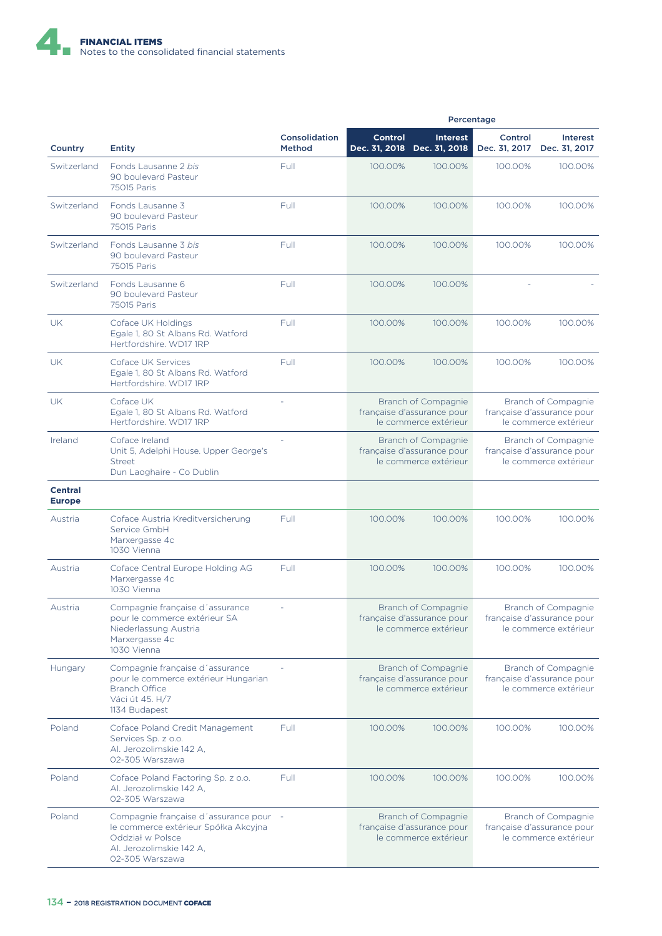

|                                 |                                                                                                                                                   |                         | Percentage                                                                 |                                                                            |                                                                            |                                                                            |
|---------------------------------|---------------------------------------------------------------------------------------------------------------------------------------------------|-------------------------|----------------------------------------------------------------------------|----------------------------------------------------------------------------|----------------------------------------------------------------------------|----------------------------------------------------------------------------|
| Country                         | <b>Entity</b>                                                                                                                                     | Consolidation<br>Method | <b>Control</b>                                                             | <b>Interest</b><br>Dec. 31, 2018 Dec. 31, 2018                             | Control<br>Dec. 31, 2017                                                   | Interest<br>Dec. 31, 2017                                                  |
| Switzerland                     | Fonds Lausanne 2 bis<br>90 boulevard Pasteur<br>75015 Paris                                                                                       | Full                    | 100.00%                                                                    | 100.00%                                                                    | 100.00%                                                                    | 100.00%                                                                    |
| Switzerland                     | Fonds Lausanne 3<br>90 boulevard Pasteur<br>75015 Paris                                                                                           | Full                    | 100.00%                                                                    | 100.00%                                                                    | 100.00%                                                                    | 100.00%                                                                    |
| Switzerland                     | Fonds Lausanne 3 bis<br>90 boulevard Pasteur<br>75015 Paris                                                                                       | Full                    | 100.00%                                                                    | 100.00%                                                                    | 100.00%                                                                    | 100.00%                                                                    |
| Switzerland                     | Fonds Lausanne 6<br>90 boulevard Pasteur<br>75015 Paris                                                                                           | Full                    | 100.00%                                                                    | 100.00%                                                                    |                                                                            |                                                                            |
| UK                              | Coface UK Holdings<br>Egale 1, 80 St Albans Rd. Watford<br>Hertfordshire. WD17 1RP                                                                | Full                    | 100.00%                                                                    | 100.00%                                                                    | 100.00%                                                                    | 100.00%                                                                    |
| <b>UK</b>                       | Coface UK Services<br>Egale 1, 80 St Albans Rd. Watford<br>Hertfordshire. WD17 1RP                                                                | Full                    | 100.00%                                                                    | 100.00%                                                                    | 100.00%                                                                    | 100.00%                                                                    |
| UK                              | Coface UK<br>Egale 1, 80 St Albans Rd. Watford<br>Hertfordshire, WD17 1RP                                                                         |                         |                                                                            | Branch of Compagnie<br>française d'assurance pour<br>le commerce extérieur |                                                                            | Branch of Compagnie<br>française d'assurance pour<br>le commerce extérieur |
| Ireland                         | Coface Ireland<br>Unit 5, Adelphi House. Upper George's<br>Street<br>Dun Laoghaire - Co Dublin                                                    |                         | Branch of Compagnie<br>française d'assurance pour<br>le commerce extérieur |                                                                            | Branch of Compagnie<br>française d'assurance pour<br>le commerce extérieur |                                                                            |
| <b>Central</b><br><b>Europe</b> |                                                                                                                                                   |                         |                                                                            |                                                                            |                                                                            |                                                                            |
| Austria                         | Coface Austria Kreditversicherung<br>Service GmbH<br>Marxergasse 4c<br>1030 Vienna                                                                | Full                    | 100.00%                                                                    | 100.00%                                                                    | 100.00%                                                                    | 100.00%                                                                    |
| Austria                         | Coface Central Europe Holding AG<br>Marxergasse 4c<br>1030 Vienna                                                                                 | Full                    | 100.00%                                                                    | 100.00%                                                                    | 100.00%                                                                    | 100.00%                                                                    |
| Austria                         | Compagnie française d'assurance<br>pour le commerce extérieur SA<br>Niederlassung Austria<br>Marxergasse 4c<br>1030 Vienna                        |                         |                                                                            | Branch of Compagnie<br>française d'assurance pour<br>le commerce extérieur |                                                                            | Branch of Compagnie<br>française d'assurance pour<br>le commerce extérieur |
| Hungary                         | Compagnie française d'assurance<br>pour le commerce extérieur Hungarian<br><b>Branch Office</b><br>Váci út 45. H/7<br>1134 Budapest               |                         |                                                                            | Branch of Compagnie<br>française d'assurance pour<br>le commerce extérieur |                                                                            | Branch of Compagnie<br>française d'assurance pour<br>le commerce extérieur |
| Poland                          | Coface Poland Credit Management<br>Services Sp. z o.o.<br>Al. Jerozolimskie 142 A.<br>02-305 Warszawa                                             | Full                    | 100.00%                                                                    | 100.00%                                                                    | 100.00%                                                                    | 100.00%                                                                    |
| Poland                          | Coface Poland Factoring Sp. z o.o.<br>Al. Jerozolimskie 142 A,<br>02-305 Warszawa                                                                 | Full                    | 100.00%                                                                    | 100.00%                                                                    | 100.00%                                                                    | 100.00%                                                                    |
| Poland                          | Compagnie française d'assurance pour -<br>le commerce extérieur Spółka Akcyjna<br>Oddział w Polsce<br>Al. Jerozolimskie 142 A,<br>02-305 Warszawa |                         |                                                                            | Branch of Compagnie<br>française d'assurance pour<br>le commerce extérieur |                                                                            | Branch of Compagnie<br>française d'assurance pour<br>le commerce extérieur |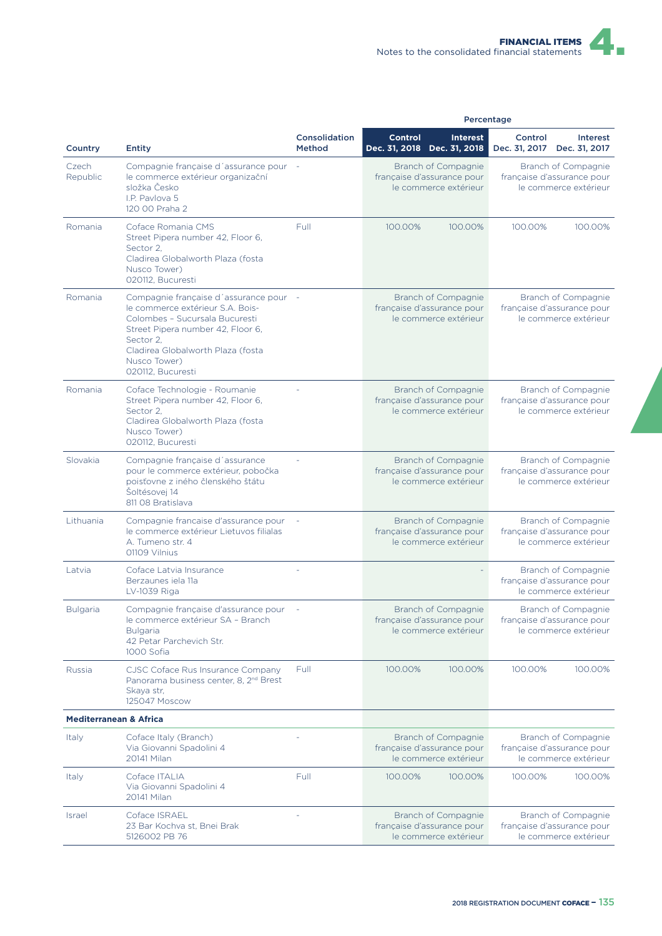|                                   |                                                                                                                                                                                                                                          |                                | Percentage                                                                 |                 |                                                                            |                                                                            |  |
|-----------------------------------|------------------------------------------------------------------------------------------------------------------------------------------------------------------------------------------------------------------------------------------|--------------------------------|----------------------------------------------------------------------------|-----------------|----------------------------------------------------------------------------|----------------------------------------------------------------------------|--|
| Country                           | <b>Entity</b>                                                                                                                                                                                                                            | Consolidation<br><b>Method</b> | <b>Control</b><br>Dec. 31, 2018 Dec. 31, 2018                              | <b>Interest</b> | Control<br>Dec. 31, 2017                                                   | <b>Interest</b><br>Dec. 31, 2017                                           |  |
| Czech<br>Republic                 | Compagnie française d'assurance pour<br>le commerce extérieur organizační<br>složka Česko<br>I.P. Pavlova 5<br>120 00 Praha 2                                                                                                            |                                | Branch of Compagnie<br>française d'assurance pour<br>le commerce extérieur |                 |                                                                            | Branch of Compagnie<br>francaise d'assurance pour<br>le commerce extérieur |  |
| Romania                           | Coface Romania CMS<br>Street Pipera number 42, Floor 6,<br>Sector 2,<br>Cladirea Globalworth Plaza (fosta<br>Nusco Tower)<br>020112, Bucuresti                                                                                           | Full                           | 100.00%                                                                    | 100.00%         | 100.00%                                                                    | 100.00%                                                                    |  |
| Romania                           | Compagnie française d'assurance pour -<br>le commerce extérieur S.A. Bois-<br>Colombes - Sucursala Bucuresti<br>Street Pipera number 42, Floor 6,<br>Sector 2.<br>Cladirea Globalworth Plaza (fosta<br>Nusco Tower)<br>020112, Bucuresti |                                | Branch of Compagnie<br>française d'assurance pour<br>le commerce extérieur |                 |                                                                            | Branch of Compagnie<br>française d'assurance pour<br>le commerce extérieur |  |
| Romania                           | Coface Technologie - Roumanie<br>Street Pipera number 42, Floor 6,<br>Sector 2,<br>Cladirea Globalworth Plaza (fosta<br>Nusco Tower)<br>020112, Bucuresti                                                                                |                                | Branch of Compagnie<br>française d'assurance pour<br>le commerce extérieur |                 |                                                                            | Branch of Compagnie<br>française d'assurance pour<br>le commerce extérieur |  |
| Slovakia                          | Compagnie française d'assurance<br>pour le commerce extérieur, pobočka<br>poisťovne z iného členského štátu<br>Šoltésovej 14<br>811 08 Bratislava                                                                                        |                                | Branch of Compagnie<br>française d'assurance pour<br>le commerce extérieur |                 | Branch of Compagnie<br>française d'assurance pour<br>le commerce extérieur |                                                                            |  |
| Lithuania                         | Compagnie francaise d'assurance pour<br>le commerce extérieur Lietuvos filialas<br>A. Tumeno str. 4<br>01109 Vilnius                                                                                                                     |                                | Branch of Compagnie<br>française d'assurance pour<br>le commerce extérieur |                 | Branch of Compagnie<br>française d'assurance pour<br>le commerce extérieur |                                                                            |  |
| Latvia                            | Coface Latvia Insurance<br>Berzaunes iela 11a<br>LV-1039 Riga                                                                                                                                                                            |                                |                                                                            |                 |                                                                            | Branch of Compagnie<br>française d'assurance pour<br>le commerce extérieur |  |
| <b>Bulgaria</b>                   | Compagnie française d'assurance pour<br>le commerce extérieur SA - Branch<br><b>Bulgaria</b><br>42 Petar Parchevich Str.<br>1000 Sofia                                                                                                   |                                | Branch of Compagnie<br>française d'assurance pour<br>le commerce extérieur |                 | Branch of Compagnie<br>française d'assurance pour<br>le commerce extérieur |                                                                            |  |
| Russia                            | CJSC Coface Rus Insurance Company<br>Panorama business center, 8, 2 <sup>nd</sup> Brest<br>Skaya str,<br>125047 Moscow                                                                                                                   | Full                           | 100.00%                                                                    | 100.00%         | 100.00%                                                                    | 100.00%                                                                    |  |
| <b>Mediterranean &amp; Africa</b> |                                                                                                                                                                                                                                          |                                |                                                                            |                 |                                                                            |                                                                            |  |
| <b>Italy</b>                      | Coface Italy (Branch)<br>Via Giovanni Spadolini 4<br>20141 Milan                                                                                                                                                                         |                                | Branch of Compagnie<br>française d'assurance pour<br>le commerce extérieur |                 |                                                                            | Branch of Compagnie<br>française d'assurance pour<br>le commerce extérieur |  |
| Italy                             | Coface ITALIA<br>Via Giovanni Spadolini 4<br>20141 Milan                                                                                                                                                                                 | Full                           | 100.00%                                                                    | 100.00%         | 100.00%                                                                    | 100.00%                                                                    |  |
| <b>Israel</b>                     | Coface ISRAEL<br>23 Bar Kochva st, Bnei Brak<br>5126002 PB 76                                                                                                                                                                            |                                | Branch of Compagnie<br>française d'assurance pour<br>le commerce extérieur |                 |                                                                            | Branch of Compagnie<br>française d'assurance pour<br>le commerce extérieur |  |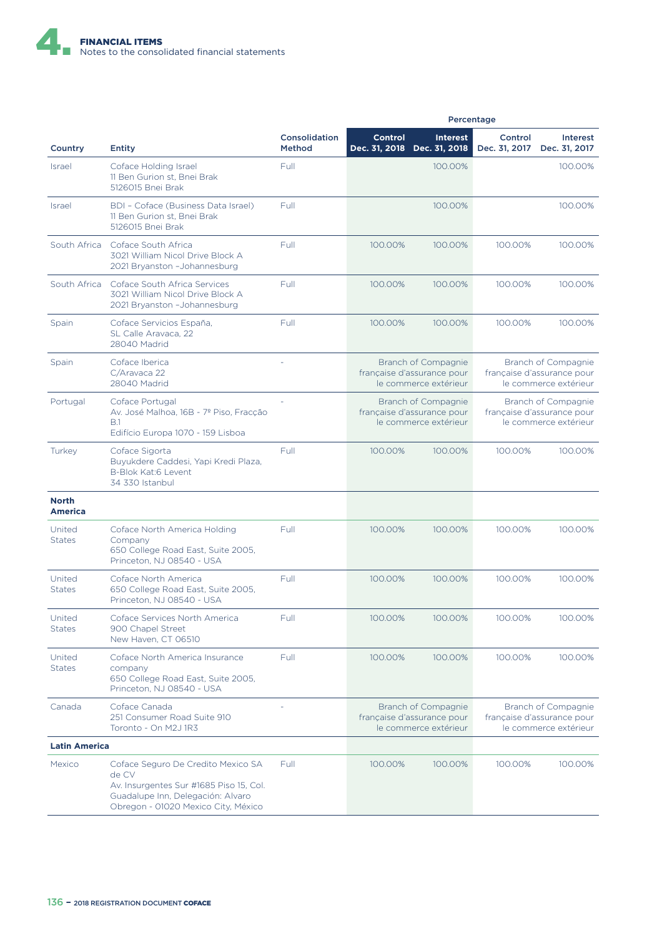

|                                |                                                                                                                                                                    |                                | Percentage                                                                                                                                               |                                                |                                                                            |                           |
|--------------------------------|--------------------------------------------------------------------------------------------------------------------------------------------------------------------|--------------------------------|----------------------------------------------------------------------------------------------------------------------------------------------------------|------------------------------------------------|----------------------------------------------------------------------------|---------------------------|
| Country                        | Entity                                                                                                                                                             | Consolidation<br><b>Method</b> | <b>Control</b>                                                                                                                                           | <b>Interest</b><br>Dec. 31, 2018 Dec. 31, 2018 | Control<br>Dec. 31, 2017                                                   | Interest<br>Dec. 31, 2017 |
| <b>Israel</b>                  | Coface Holding Israel<br>11 Ben Gurion st. Bnei Brak<br>5126015 Bnei Brak                                                                                          | Full                           |                                                                                                                                                          | 100.00%                                        |                                                                            | 100.00%                   |
| <b>Israel</b>                  | BDI - Coface (Business Data Israel)<br>11 Ben Gurion st, Bnei Brak<br>5126015 Bnei Brak                                                                            | Full                           |                                                                                                                                                          | 100.00%                                        |                                                                            | 100.00%                   |
|                                | South Africa Coface South Africa<br>3021 William Nicol Drive Block A<br>2021 Bryanston - Johannesburg                                                              | Full                           | 100.00%                                                                                                                                                  | 100.00%                                        | 100.00%                                                                    | 100.00%                   |
| South Africa                   | Coface South Africa Services<br>3021 William Nicol Drive Block A<br>2021 Bryanston - Johannesburg                                                                  | Full                           | 100.00%                                                                                                                                                  | 100.00%                                        | 100.00%                                                                    | 100.00%                   |
| Spain                          | Coface Servicios España,<br>SL Calle Aravaca, 22<br>28040 Madrid                                                                                                   | Full                           | 100.00%                                                                                                                                                  | 100.00%                                        | 100.00%                                                                    | 100.00%                   |
| Spain                          | Coface Iberica<br>C/Aravaca 22<br>28040 Madrid                                                                                                                     |                                | Branch of Compagnie<br>francaise d'assurance pour<br>le commerce extérieur                                                                               |                                                | Branch of Compagnie<br>française d'assurance pour<br>le commerce extérieur |                           |
| Portugal                       | Coface Portugal<br>Av. José Malhoa, 16B - 7º Piso, Fracção<br>B.1<br>Edifício Europa 1070 - 159 Lisboa                                                             |                                | Branch of Compagnie<br>française d'assurance pour<br>le commerce extérieur                                                                               |                                                | Branch of Compagnie<br>française d'assurance pour<br>le commerce extérieur |                           |
| Turkey                         | Coface Sigorta<br>Buyukdere Caddesi, Yapi Kredi Plaza,<br>B-Blok Kat:6 Levent<br>34 330 Istanbul                                                                   | Full                           | 100.00%                                                                                                                                                  | 100.00%                                        | 100.00%                                                                    | 100.00%                   |
| <b>North</b><br><b>America</b> |                                                                                                                                                                    |                                |                                                                                                                                                          |                                                |                                                                            |                           |
| United<br><b>States</b>        | Coface North America Holding<br>Company<br>650 College Road East, Suite 2005,<br>Princeton, NJ 08540 - USA                                                         | Full                           | 100.00%                                                                                                                                                  | 100.00%                                        | 100.00%                                                                    | 100.00%                   |
| United<br><b>States</b>        | Coface North America<br>650 College Road East, Suite 2005,<br>Princeton, NJ 08540 - USA                                                                            | Full                           | 100.00%                                                                                                                                                  | 100.00%                                        | 100.00%                                                                    | 100.00%                   |
| United<br><b>States</b>        | Coface Services North America<br>900 Chapel Street<br>New Haven, CT 06510                                                                                          | Full                           | 100.00%                                                                                                                                                  | 100.00%                                        | 100.00%                                                                    | 100.00%                   |
| United<br><b>States</b>        | Coface North America Insurance<br>company<br>650 College Road East, Suite 2005,<br>Princeton, NJ 08540 - USA                                                       | Full                           | 100.00%                                                                                                                                                  | 100.00%                                        | 100.00%                                                                    | 100.00%                   |
| Canada                         | Coface Canada<br>251 Consumer Road Suite 910<br>Toronto - On M2J 1R3                                                                                               |                                | Branch of Compagnie<br>Branch of Compagnie<br>française d'assurance pour<br>française d'assurance pour<br>le commerce extérieur<br>le commerce extérieur |                                                |                                                                            |                           |
| <b>Latin America</b>           |                                                                                                                                                                    |                                |                                                                                                                                                          |                                                |                                                                            |                           |
| Mexico                         | Coface Seguro De Credito Mexico SA<br>de CV<br>Av. Insurgentes Sur #1685 Piso 15, Col.<br>Guadalupe Inn, Delegación: Alvaro<br>Obregon - 01020 Mexico City, México | Full                           | 100.00%                                                                                                                                                  | 100.00%                                        | 100.00%                                                                    | 100.00%                   |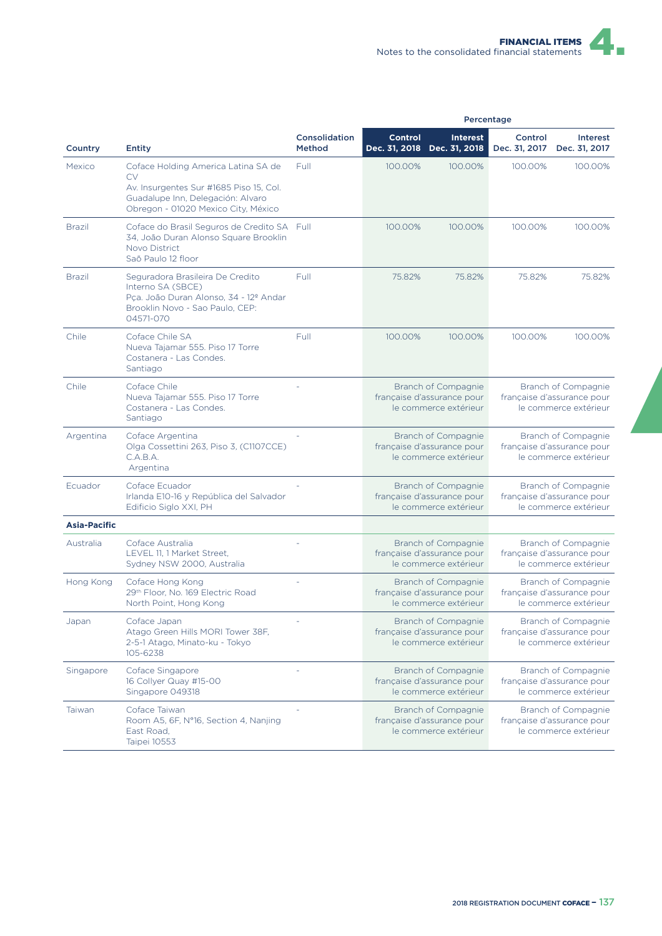|                     |                                                                                                                                                                  | Percentage              |                                                                            |                                                                            |                                                                            |                                                                            |
|---------------------|------------------------------------------------------------------------------------------------------------------------------------------------------------------|-------------------------|----------------------------------------------------------------------------|----------------------------------------------------------------------------|----------------------------------------------------------------------------|----------------------------------------------------------------------------|
| Country             | <b>Entity</b>                                                                                                                                                    | Consolidation<br>Method | <b>Control</b>                                                             | <b>Interest</b><br>Dec. 31, 2018 Dec. 31, 2018                             | Control<br>Dec. 31, 2017                                                   | Interest<br>Dec. 31, 2017                                                  |
| Mexico              | Coface Holding America Latina SA de<br>CV<br>Av. Insurgentes Sur #1685 Piso 15, Col.<br>Guadalupe Inn, Delegación: Alvaro<br>Obregon - 01020 Mexico City, México | Full                    | 100.00%                                                                    | 100.00%                                                                    | 100.00%                                                                    | 100.00%                                                                    |
| <b>Brazil</b>       | Coface do Brasil Seguros de Credito SA Full<br>34, João Duran Alonso Square Brooklin<br>Novo District<br>Saõ Paulo 12 floor                                      |                         | 100.00%                                                                    | 100.00%                                                                    | 100.00%                                                                    | 100.00%                                                                    |
| <b>Brazil</b>       | Seguradora Brasileira De Credito<br>Interno SA (SBCE)<br>Pca. João Duran Alonso, 34 - 12º Andar<br>Brooklin Novo - Sao Paulo, CEP:<br>04571-070                  | Full                    | 75.82%                                                                     | 75.82%                                                                     | 75.82%                                                                     | 75.82%                                                                     |
| Chile               | Coface Chile SA<br>Nueva Tajamar 555. Piso 17 Torre<br>Costanera - Las Condes.<br>Santiago                                                                       | Full                    | 100.00%                                                                    | 100.00%                                                                    | 100.00%                                                                    | 100.00%                                                                    |
| Chile               | Coface Chile<br>Nueva Tajamar 555. Piso 17 Torre<br>Costanera - Las Condes.<br>Santiago                                                                          |                         | Branch of Compagnie<br>française d'assurance pour<br>le commerce extérieur |                                                                            | Branch of Compagnie<br>française d'assurance pour<br>le commerce extérieur |                                                                            |
| Argentina           | Coface Argentina<br>Olga Cossettini 263, Piso 3, (C1107CCE)<br>C.A.B.A.<br>Argentina                                                                             |                         | Branch of Compagnie<br>française d'assurance pour<br>le commerce extérieur |                                                                            | Branch of Compagnie<br>française d'assurance pour<br>le commerce extérieur |                                                                            |
| Ecuador             | Coface Ecuador<br>Irlanda E10-16 y República del Salvador<br>Edificio Siglo XXI, PH                                                                              |                         | Branch of Compagnie<br>française d'assurance pour<br>le commerce extérieur |                                                                            | Branch of Compagnie<br>française d'assurance pour<br>le commerce extérieur |                                                                            |
| <b>Asia-Pacific</b> |                                                                                                                                                                  |                         |                                                                            |                                                                            |                                                                            |                                                                            |
| Australia           | Coface Australia<br>LEVEL 11.1 Market Street.<br>Sydney NSW 2000, Australia                                                                                      |                         |                                                                            | Branch of Compagnie<br>française d'assurance pour<br>le commerce extérieur | Branch of Compagnie<br>française d'assurance pour<br>le commerce extérieur |                                                                            |
| Hong Kong           | Coface Hong Kong<br>29th Floor, No. 169 Electric Road<br>North Point, Hong Kong                                                                                  |                         | Branch of Compagnie<br>française d'assurance pour<br>le commerce extérieur |                                                                            |                                                                            | Branch of Compagnie<br>française d'assurance pour<br>le commerce extérieur |
| Japan               | Coface Japan<br>Atago Green Hills MORI Tower 38F,<br>2-5-1 Atago, Minato-ku - Tokyo<br>105-6238                                                                  |                         | Branch of Compagnie<br>française d'assurance pour<br>le commerce extérieur |                                                                            | Branch of Compagnie<br>française d'assurance pour<br>le commerce extérieur |                                                                            |
| Singapore           | Coface Singapore<br>16 Collyer Quay #15-00<br>Singapore 049318                                                                                                   |                         |                                                                            | Branch of Compagnie<br>française d'assurance pour<br>le commerce extérieur |                                                                            | Branch of Compagnie<br>française d'assurance pour<br>le commerce extérieur |
| Taiwan              | Coface Taiwan<br>Room A5, 6F, N°16, Section 4, Nanjing<br>East Road,<br>Taipei 10553                                                                             |                         |                                                                            | Branch of Compagnie<br>française d'assurance pour<br>le commerce extérieur |                                                                            | Branch of Compagnie<br>française d'assurance pour<br>le commerce extérieur |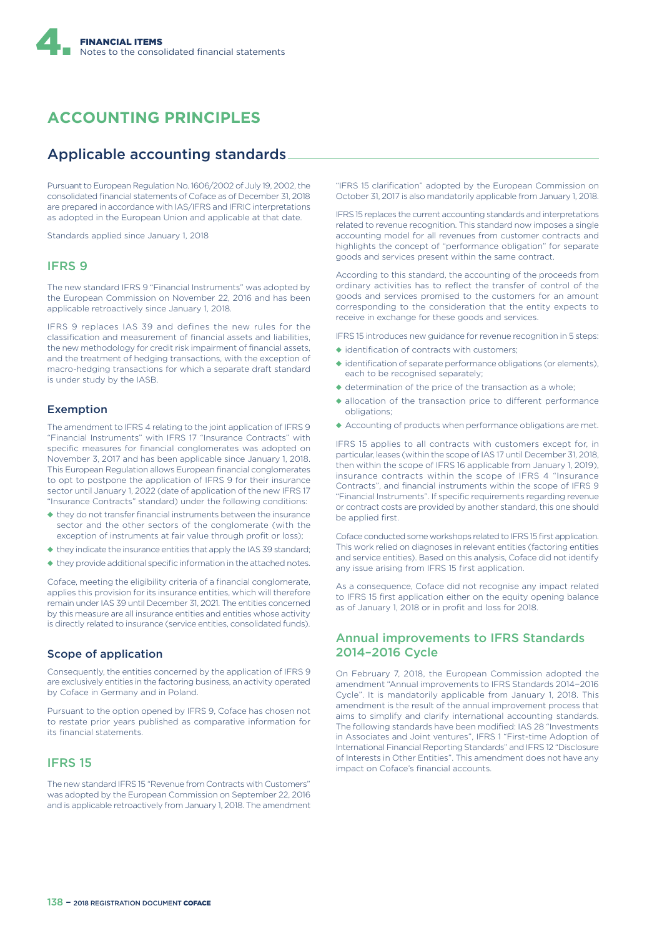# **ACCOUNTING PRINCIPLES**

## Applicable accounting standards

Pursuant to European Regulation No. 1606/2002 of July 19, 2002, the consolidated financial statements of Coface as of December 31, 2018 are prepared in accordance with IAS/IFRS and IFRIC interpretations as adopted in the European Union and applicable at that date.

Standards applied since January 1, 2018

#### IFRS 9

The new standard IFRS 9 "Financial Instruments" was adopted by the European Commission on November 22, 2016 and has been applicable retroactively since January 1, 2018.

IFRS 9 replaces IAS 39 and defines the new rules for the classification and measurement of financial assets and liabilities, the new methodology for credit risk impairment of financial assets, and the treatment of hedging transactions, with the exception of macro-hedging transactions for which a separate draft standard is under study by the IASB.

#### Exemption

The amendment to IFRS 4 relating to the joint application of IFRS 9 "Financial Instruments" with IFRS 17 "Insurance Contracts" with specific measures for financial conglomerates was adopted on November 3, 2017 and has been applicable since January 1, 2018. This European Regulation allows European financial conglomerates to opt to postpone the application of IFRS 9 for their insurance sector until January 1, 2022 (date of application of the new IFRS 17 "Insurance Contracts" standard) under the following conditions:

- ◆ they do not transfer financial instruments between the insurance sector and the other sectors of the conglomerate (with the exception of instruments at fair value through profit or loss);
- ◆ they indicate the insurance entities that apply the IAS 39 standard;
- ◆ they provide additional specific information in the attached notes.

Coface, meeting the eligibility criteria of a financial conglomerate, applies this provision for its insurance entities, which will therefore remain under IAS 39 until December 31, 2021. The entities concerned by this measure are all insurance entities and entities whose activity is directly related to insurance (service entities, consolidated funds).

#### Scope of application

Consequently, the entities concerned by the application of IFRS 9 are exclusively entities in the factoring business, an activity operated by Coface in Germany and in Poland.

Pursuant to the option opened by IFRS 9, Coface has chosen not to restate prior years published as comparative information for its financial statements.

#### IFRS 15

The new standard IFRS 15 "Revenue from Contracts with Customers" was adopted by the European Commission on September 22, 2016 and is applicable retroactively from January 1, 2018. The amendment

"IFRS 15 clarification" adopted by the European Commission on October 31, 2017 is also mandatorily applicable from January 1, 2018.

IFRS 15 replaces the current accounting standards and interpretations related to revenue recognition. This standard now imposes a single accounting model for all revenues from customer contracts and highlights the concept of "performance obligation" for separate goods and services present within the same contract.

According to this standard, the accounting of the proceeds from ordinary activities has to reflect the transfer of control of the goods and services promised to the customers for an amount corresponding to the consideration that the entity expects to receive in exchange for these goods and services.

IFRS 15 introduces new guidance for revenue recognition in 5 steps:

- ◆ identification of contracts with customers;
- ◆ identification of separate performance obligations (or elements) each to be recognised separately;
- ◆ determination of the price of the transaction as a whole;
- $\blacklozenge$  allocation of the transaction price to different performance obligations;
- ◆ Accounting of products when performance obligations are met.

IFRS 15 applies to all contracts with customers except for, in particular, leases (within the scope of IAS 17 until December 31, 2018, then within the scope of IFRS 16 applicable from January 1, 2019), insurance contracts within the scope of IFRS 4 "Insurance Contracts", and financial instruments within the scope of IFRS 9 "Financial Instruments". If specific requirements regarding revenue or contract costs are provided by another standard, this one should be applied first.

Coface conducted some workshops related to IFRS 15 first application. This work relied on diagnoses in relevant entities (factoring entities and service entities). Based on this analysis, Coface did not identify any issue arising from IFRS 15 first application.

As a consequence, Coface did not recognise any impact related to IFRS 15 first application either on the equity opening balance as of January 1, 2018 or in profit and loss for 2018.

#### Annual improvements to IFRS Standards 2014–2016 Cycle

On February 7, 2018, the European Commission adopted the amendment "Annual improvements to IFRS Standards 2014−2016 Cycle". It is mandatorily applicable from January 1, 2018. This amendment is the result of the annual improvement process that aims to simplify and clarify international accounting standards. The following standards have been modified: IAS 28 "Investments in Associates and Joint ventures", IFRS 1 "First-time Adoption of International Financial Reporting Standards" and IFRS 12 "Disclosure of Interests in Other Entities". This amendment does not have any impact on Coface's financial accounts.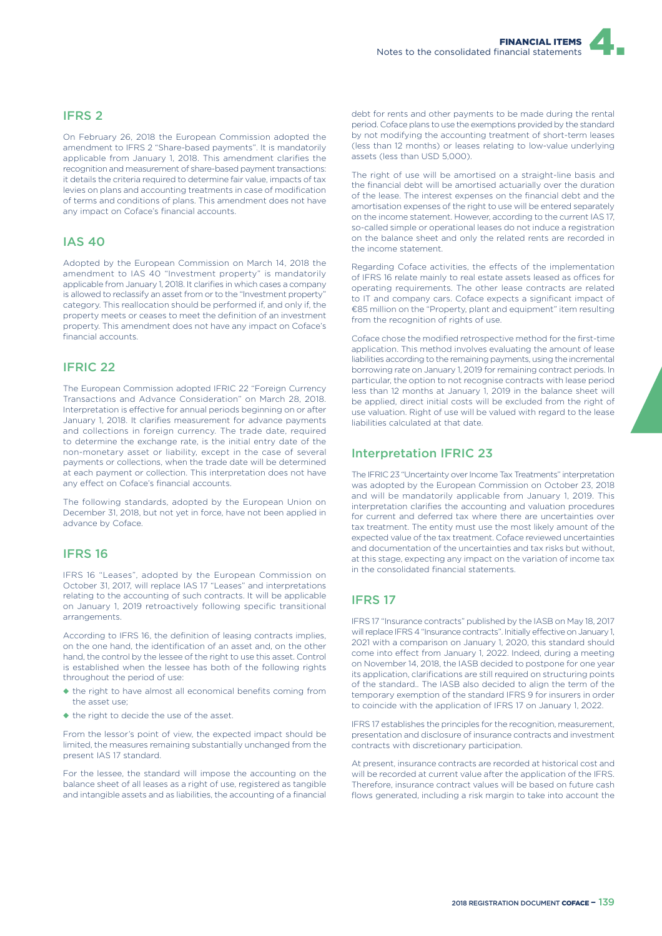### IFRS 2

On February 26, 2018 the European Commission adopted the amendment to IFRS 2 "Share-based payments". It is mandatorily applicable from January 1, 2018. This amendment clarifies the recognition and measurement of share-based payment transactions: it details the criteria required to determine fair value, impacts of tax levies on plans and accounting treatments in case of modification of terms and conditions of plans. This amendment does not have any impact on Coface's financial accounts.

### IAS 40

Adopted by the European Commission on March 14, 2018 the amendment to IAS 40 "Investment property" is mandatorily applicable from January 1, 2018. It clarifies in which cases a company is allowed to reclassify an asset from or to the "Investment property" category. This reallocation should be performed if, and only if, the property meets or ceases to meet the definition of an investment property. This amendment does not have any impact on Coface's financial accounts.

### IFRIC 22

The European Commission adopted IFRIC 22 "Foreign Currency Transactions and Advance Consideration" on March 28, 2018. Interpretation is effective for annual periods beginning on or after January 1, 2018. It clarifies measurement for advance payments and collections in foreign currency. The trade date, required to determine the exchange rate, is the initial entry date of the non-monetary asset or liability, except in the case of several payments or collections, when the trade date will be determined at each payment or collection. This interpretation does not have any effect on Coface's financial accounts.

The following standards, adopted by the European Union on December 31, 2018, but not yet in force, have not been applied in advance by Coface.

#### IFRS 16

IFRS 16 "Leases", adopted by the European Commission on October 31, 2017, will replace IAS 17 "Leases" and interpretations relating to the accounting of such contracts. It will be applicable on January 1, 2019 retroactively following specific transitional arrangements.

According to IFRS 16, the definition of leasing contracts implies, on the one hand, the identification of an asset and, on the other hand, the control by the lessee of the right to use this asset. Control is established when the lessee has both of the following rights throughout the period of use:

- ◆ the right to have almost all economical benefits coming from the asset use;
- ◆ the right to decide the use of the asset.

From the lessor's point of view, the expected impact should be limited, the measures remaining substantially unchanged from the present IAS 17 standard.

For the lessee, the standard will impose the accounting on the balance sheet of all leases as a right of use, registered as tangible and intangible assets and as liabilities, the accounting of a financial debt for rents and other payments to be made during the rental period. Coface plans to use the exemptions provided by the standard by not modifying the accounting treatment of short-term leases (less than 12 months) or leases relating to low-value underlying assets (less than USD 5,000).

The right of use will be amortised on a straight-line basis and the financial debt will be amortised actuarially over the duration of the lease. The interest expenses on the financial debt and the amortisation expenses of the right to use will be entered separately on the income statement. However, according to the current IAS 17, so-called simple or operational leases do not induce a registration on the balance sheet and only the related rents are recorded in the income statement.

Regarding Coface activities, the effects of the implementation of IFRS 16 relate mainly to real estate assets leased as offices for operating requirements. The other lease contracts are related to IT and company cars. Coface expects a significant impact of €85 million on the "Property, plant and equipment" item resulting from the recognition of rights of use.

Coface chose the modified retrospective method for the first-time application. This method involves evaluating the amount of lease liabilities according to the remaining payments, using the incremental borrowing rate on January 1, 2019 for remaining contract periods. In particular, the option to not recognise contracts with lease period less than 12 months at January 1, 2019 in the balance sheet will be applied, direct initial costs will be excluded from the right of use valuation. Right of use will be valued with regard to the lease liabilities calculated at that date.

#### Interpretation IFRIC 23

The IFRIC 23 "Uncertainty over Income Tax Treatments" interpretation was adopted by the European Commission on October 23, 2018 and will be mandatorily applicable from January 1, 2019. This interpretation clarifies the accounting and valuation procedures for current and deferred tax where there are uncertainties over tax treatment. The entity must use the most likely amount of the expected value of the tax treatment. Coface reviewed uncertainties and documentation of the uncertainties and tax risks but without, at this stage, expecting any impact on the variation of income tax in the consolidated financial statements.

### IFRS 17

IFRS 17 "Insurance contracts" published by the IASB on May 18, 2017 will replace IFRS 4 "Insurance contracts". Initially effective on January 1, 2021 with a comparison on January 1, 2020, this standard should come into effect from January 1, 2022. Indeed, during a meeting on November 14, 2018, the IASB decided to postpone for one year its application, clarifications are still required on structuring points of the standard.. The IASB also decided to align the term of the temporary exemption of the standard IFRS 9 for insurers in order to coincide with the application of IFRS 17 on January 1, 2022.

IFRS 17 establishes the principles for the recognition, measurement, presentation and disclosure of insurance contracts and investment contracts with discretionary participation.

At present, insurance contracts are recorded at historical cost and will be recorded at current value after the application of the IFRS. Therefore, insurance contract values will be based on future cash flows generated, including a risk margin to take into account the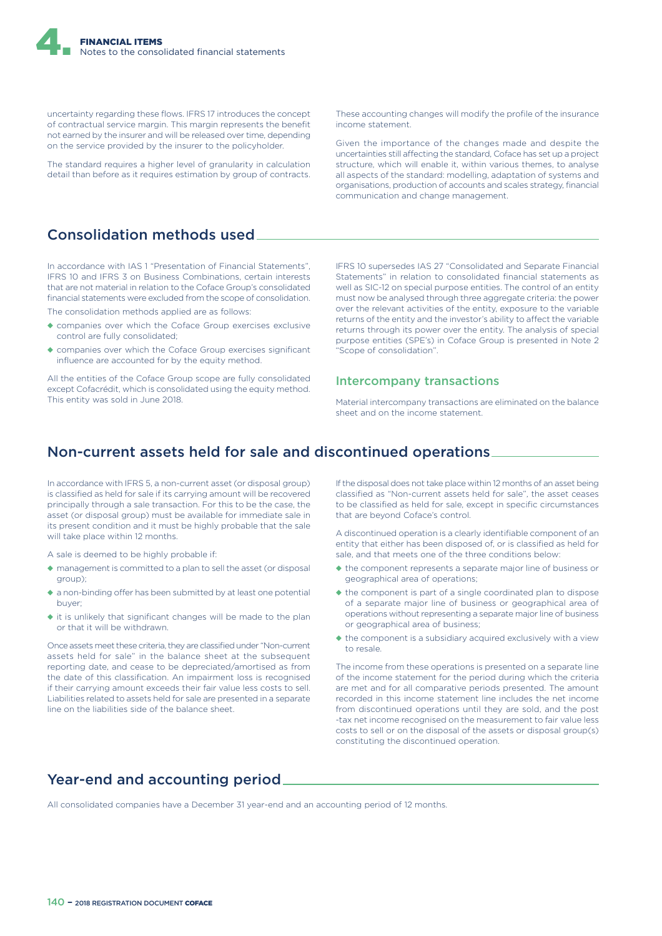uncertainty regarding these flows. IFRS 17 introduces the concept of contractual service margin. This margin represents the benefit not earned by the insurer and will be released over time, depending on the service provided by the insurer to the policyholder.

The standard requires a higher level of granularity in calculation detail than before as it requires estimation by group of contracts.

## Consolidation methods used

In accordance with IAS 1 "Presentation of Financial Statements", IFRS 10 and IFRS 3 on Business Combinations, certain interests that are not material in relation to the Coface Group's consolidated financial statements were excluded from the scope of consolidation.

The consolidation methods applied are as follows:

- ◆ companies over which the Coface Group exercises exclusive control are fully consolidated;
- ◆ companies over which the Coface Group exercises significant influence are accounted for by the equity method.

All the entities of the Coface Group scope are fully consolidated except Cofacrédit, which is consolidated using the equity method. This entity was sold in June 2018.

These accounting changes will modify the profile of the insurance income statement.

Given the importance of the changes made and despite the uncertainties still affecting the standard, Coface has set up a project structure, which will enable it, within various themes, to analyse all aspects of the standard: modelling, adaptation of systems and organisations, production of accounts and scales strategy, financial communication and change management.

IFRS 10 supersedes IAS 27 "Consolidated and Separate Financial Statements" in relation to consolidated financial statements as well as SIC-12 on special purpose entities. The control of an entity must now be analysed through three aggregate criteria: the power over the relevant activities of the entity, exposure to the variable returns of the entity and the investor's ability to affect the variable returns through its power over the entity. The analysis of special purpose entities (SPE's) in Coface Group is presented in Note 2 "Scope of consolidation".

#### Intercompany transactions

Material intercompany transactions are eliminated on the balance sheet and on the income statement.

### Non-current assets held for sale and discontinued operations

In accordance with IFRS 5, a non-current asset (or disposal group) is classified as held for sale if its carrying amount will be recovered principally through a sale transaction. For this to be the case, the asset (or disposal group) must be available for immediate sale in its present condition and it must be highly probable that the sale will take place within 12 months.

A sale is deemed to be highly probable if:

- $\bullet$  management is committed to a plan to sell the asset (or disposal group);
- $\bullet$  a non-binding offer has been submitted by at least one potential buyer;
- ◆ it is unlikely that significant changes will be made to the plan or that it will be withdrawn.

Once assets meet these criteria, they are classified under "Non-current assets held for sale" in the balance sheet at the subsequent reporting date, and cease to be depreciated/amortised as from the date of this classification. An impairment loss is recognised if their carrying amount exceeds their fair value less costs to sell. Liabilities related to assets held for sale are presented in a separate line on the liabilities side of the balance sheet.

If the disposal does not take place within 12 months of an asset being classified as "Non-current assets held for sale", the asset ceases to be classified as held for sale, except in specific circumstances that are beyond Coface's control.

A discontinued operation is a clearly identifiable component of an entity that either has been disposed of, or is classified as held for sale, and that meets one of the three conditions below:

- ◆ the component represents a separate major line of business or geographical area of operations;
- ◆ the component is part of a single coordinated plan to dispose of a separate major line of business or geographical area of operations without representing a separate major line of business or geographical area of business;
- ◆ the component is a subsidiary acquired exclusively with a view to resale.

The income from these operations is presented on a separate line of the income statement for the period during which the criteria are met and for all comparative periods presented. The amount recorded in this income statement line includes the net income from discontinued operations until they are sold, and the post -tax net income recognised on the measurement to fair value less costs to sell or on the disposal of the assets or disposal group(s) constituting the discontinued operation.

### Year-end and accounting period

All consolidated companies have a December 31 year-end and an accounting period of 12 months.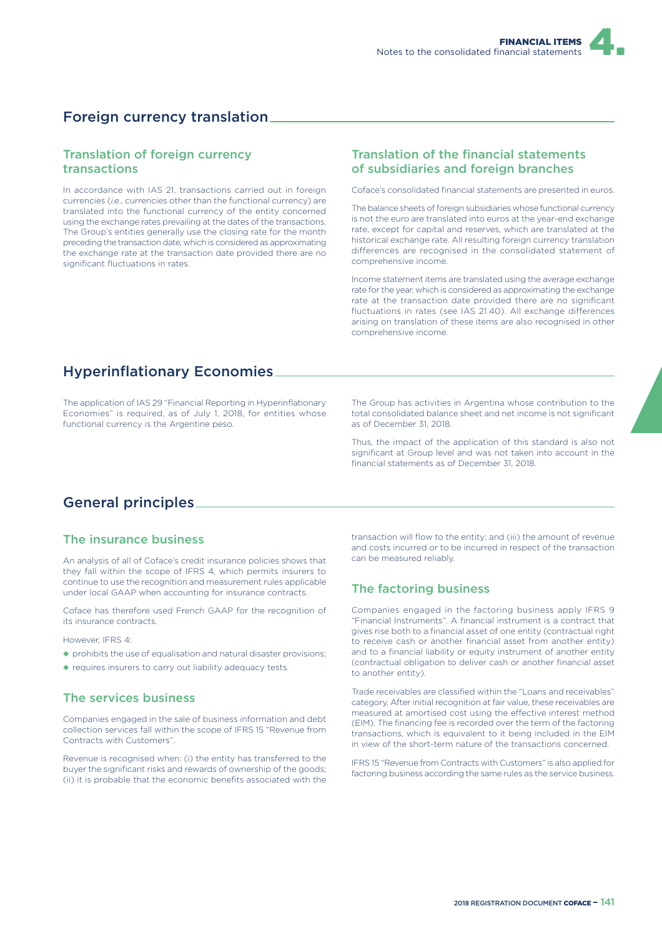## Foreign currency translation

### Translation of foreign currency transactions

In accordance with IAS 21, transactions carried out in foreign currencies (*i.e*., currencies other than the functional currency) are translated into the functional currency of the entity concerned using the exchange rates prevailing at the dates of the transactions. The Group's entities generally use the closing rate for the month preceding the transaction date, which is considered as approximating the exchange rate at the transaction date provided there are no significant fluctuations in rates.

### Translation of the financial statements of subsidiaries and foreign branches

Coface's consolidated financial statements are presented in euros.

The balance sheets of foreign subsidiaries whose functional currency is not the euro are translated into euros at the year-end exchange rate, except for capital and reserves, which are translated at the historical exchange rate. All resulting foreign currency translation differences are recognised in the consolidated statement of comprehensive income.

Income statement items are translated using the average exchange rate for the year, which is considered as approximating the exchange rate at the transaction date provided there are no significant fluctuations in rates (see IAS 21.40). All exchange differences arising on translation of these items are also recognised in other comprehensive income.

### Hyperinflationary Economies

The application of IAS 29 "Financial Reporting in Hyperinflationary Economies" is required, as of July 1, 2018, for entities whose functional currency is the Argentine peso.

The Group has activities in Argentina whose contribution to the total consolidated balance sheet and net income is not significant as of December 31, 2018.

Thus, the impact of the application of this standard is also not significant at Group level and was not taken into account in the financial statements as of December 31, 2018.

## General principles

### The insurance business

An analysis of all of Coface's credit insurance policies shows that they fall within the scope of IFRS 4, which permits insurers to continue to use the recognition and measurement rules applicable under local GAAP when accounting for insurance contracts.

Coface has therefore used French GAAP for the recognition of its insurance contracts.

However, IFRS 4:

- ◆ prohibits the use of equalisation and natural disaster provisions;
- ◆ requires insurers to carry out liability adequacy tests.

### The services business

Companies engaged in the sale of business information and debt collection services fall within the scope of IFRS 15 "Revenue from Contracts with Customers".

Revenue is recognised when: (i) the entity has transferred to the buyer the significant risks and rewards of ownership of the goods; (ii) it is probable that the economic benefits associated with the

transaction will flow to the entity; and (iii) the amount of revenue and costs incurred or to be incurred in respect of the transaction can be measured reliably.

### The factoring business

Companies engaged in the factoring business apply IFRS 9 "Financial Instruments". A financial instrument is a contract that gives rise both to a financial asset of one entity (contractual right to receive cash or another financial asset from another entity) and to a financial liability or equity instrument of another entity (contractual obligation to deliver cash or another financial asset to another entity).

Trade receivables are classified within the "Loans and receivables" category. After initial recognition at fair value, these receivables are measured at amortised cost using the effective interest method (EIM). The financing fee is recorded over the term of the factoring transactions, which is equivalent to it being included in the EIM in view of the short-term nature of the transactions concerned.

IFRS 15 "Revenue from Contracts with Customers" is also applied for factoring business according the same rules as the service business.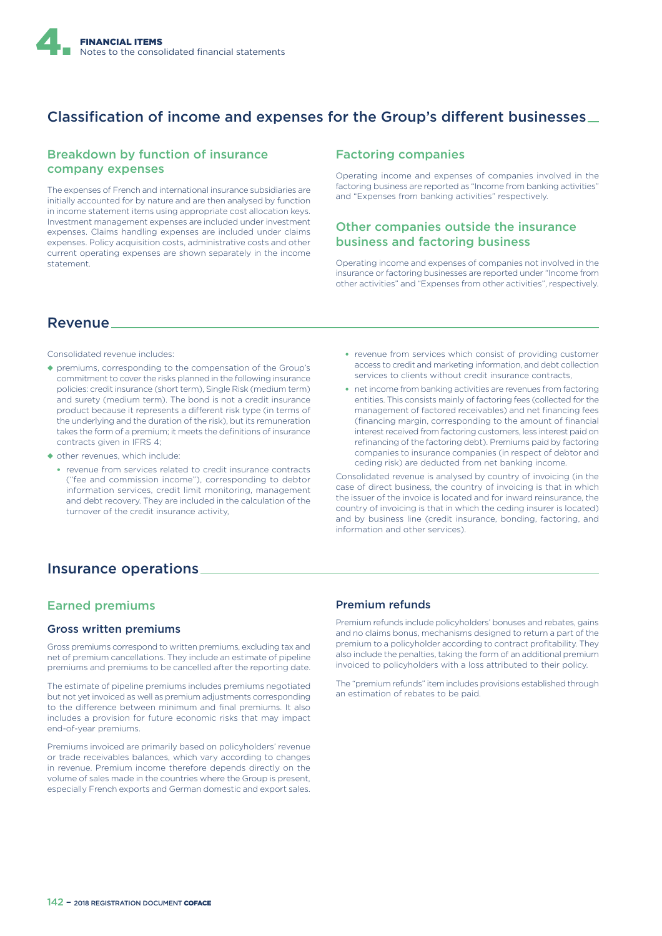

## Classification of income and expenses for the Group's different businesses  $\equiv$

### Breakdown by function of insurance company expenses

The expenses of French and international insurance subsidiaries are initially accounted for by nature and are then analysed by function in income statement items using appropriate cost allocation keys. Investment management expenses are included under investment expenses. Claims handling expenses are included under claims expenses. Policy acquisition costs, administrative costs and other current operating expenses are shown separately in the income statement.

### Factoring companies

Operating income and expenses of companies involved in the factoring business are reported as "Income from banking activities" and "Expenses from banking activities" respectively.

### Other companies outside the insurance business and factoring business

Operating income and expenses of companies not involved in the insurance or factoring businesses are reported under "Income from other activities" and "Expenses from other activities", respectively.

### Revenue

Consolidated revenue includes:

- ◆ premiums, corresponding to the compensation of the Group's commitment to cover the risks planned in the following insurance policies: credit insurance (short term), Single Risk (medium term) and surety (medium term). The bond is not a credit insurance product because it represents a different risk type (in terms of the underlying and the duration of the risk), but its remuneration takes the form of a premium; it meets the definitions of insurance contracts given in IFRS 4;
- ◆ other revenues, which include:
	- revenue from services related to credit insurance contracts ("fee and commission income"), corresponding to debtor information services, credit limit monitoring, management and debt recovery. They are included in the calculation of the turnover of the credit insurance activity,
- revenue from services which consist of providing customer access to credit and marketing information, and debt collection services to clients without credit insurance contracts,
- net income from banking activities are revenues from factoring entities. This consists mainly of factoring fees (collected for the management of factored receivables) and net financing fees (financing margin, corresponding to the amount of financial interest received from factoring customers, less interest paid on refinancing of the factoring debt). Premiums paid by factoring companies to insurance companies (in respect of debtor and ceding risk) are deducted from net banking income.

Consolidated revenue is analysed by country of invoicing (in the case of direct business, the country of invoicing is that in which the issuer of the invoice is located and for inward reinsurance, the country of invoicing is that in which the ceding insurer is located) and by business line (credit insurance, bonding, factoring, and information and other services).

### Insurance operations

### Earned premiums

#### Gross written premiums

Gross premiums correspond to written premiums, excluding tax and net of premium cancellations. They include an estimate of pipeline premiums and premiums to be cancelled after the reporting date.

The estimate of pipeline premiums includes premiums negotiated but not yet invoiced as well as premium adjustments corresponding to the difference between minimum and final premiums. It also includes a provision for future economic risks that may impact end-of-year premiums.

Premiums invoiced are primarily based on policyholders' revenue or trade receivables balances, which vary according to changes in revenue. Premium income therefore depends directly on the volume of sales made in the countries where the Group is present, especially French exports and German domestic and export sales.

#### Premium refunds

Premium refunds include policyholders' bonuses and rebates, gains and no claims bonus, mechanisms designed to return a part of the premium to a policyholder according to contract profitability. They also include the penalties, taking the form of an additional premium invoiced to policyholders with a loss attributed to their policy.

The "premium refunds" item includes provisions established through an estimation of rebates to be paid.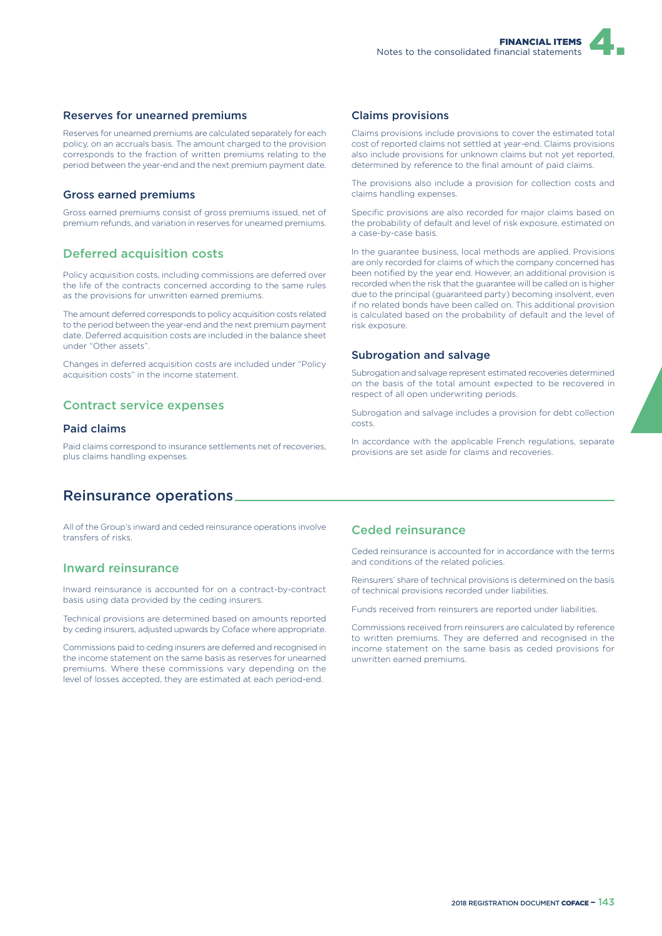#### Reserves for unearned premiums

Reserves for unearned premiums are calculated separately for each policy, on an accruals basis. The amount charged to the provision corresponds to the fraction of written premiums relating to the period between the year-end and the next premium payment date.

#### Gross earned premiums

Gross earned premiums consist of gross premiums issued, net of premium refunds, and variation in reserves for unearned premiums.

#### Deferred acquisition costs

Policy acquisition costs, including commissions are deferred over the life of the contracts concerned according to the same rules as the provisions for unwritten earned premiums.

The amount deferred corresponds to policy acquisition costs related to the period between the year-end and the next premium payment date. Deferred acquisition costs are included in the balance sheet under "Other assets".

Changes in deferred acquisition costs are included under "Policy acquisition costs" in the income statement.

#### Contract service expenses

#### Paid claims

Paid claims correspond to insurance settlements net of recoveries, plus claims handling expenses.

### Reinsurance operations

All of the Group's inward and ceded reinsurance operations involve transfers of risks.

### Inward reinsurance

Inward reinsurance is accounted for on a contract-by-contract basis using data provided by the ceding insurers.

Technical provisions are determined based on amounts reported by ceding insurers, adjusted upwards by Coface where appropriate.

Commissions paid to ceding insurers are deferred and recognised in the income statement on the same basis as reserves for unearned premiums. Where these commissions vary depending on the level of losses accepted, they are estimated at each period-end.

#### Claims provisions

Claims provisions include provisions to cover the estimated total cost of reported claims not settled at year-end. Claims provisions also include provisions for unknown claims but not yet reported, determined by reference to the final amount of paid claims.

The provisions also include a provision for collection costs and claims handling expenses.

Specific provisions are also recorded for major claims based on the probability of default and level of risk exposure, estimated on a case-by-case basis.

In the guarantee business, local methods are applied. Provisions are only recorded for claims of which the company concerned has been notified by the year end. However, an additional provision is recorded when the risk that the guarantee will be called on is higher due to the principal (guaranteed party) becoming insolvent, even if no related bonds have been called on. This additional provision is calculated based on the probability of default and the level of risk exposure.

#### Subrogation and salvage

Subrogation and salvage represent estimated recoveries determined on the basis of the total amount expected to be recovered in respect of all open underwriting periods.

Subrogation and salvage includes a provision for debt collection costs.

In accordance with the applicable French regulations, separate provisions are set aside for claims and recoveries.

### Ceded reinsurance

Ceded reinsurance is accounted for in accordance with the terms and conditions of the related policies.

Reinsurers' share of technical provisions is determined on the basis of technical provisions recorded under liabilities.

Funds received from reinsurers are reported under liabilities.

Commissions received from reinsurers are calculated by reference to written premiums. They are deferred and recognised in the income statement on the same basis as ceded provisions for unwritten earned premiums.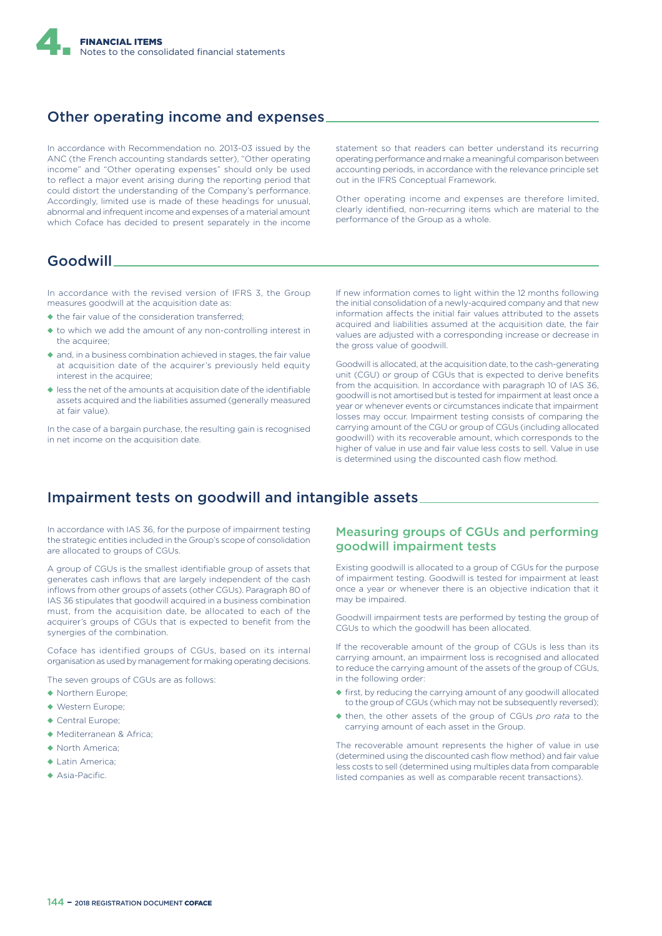

### Other operating income and expenses

In accordance with Recommendation no. 2013-03 issued by the ANC (the French accounting standards setter), "Other operating income" and "Other operating expenses" should only be used to reflect a major event arising during the reporting period that could distort the understanding of the Company's performance. Accordingly, limited use is made of these headings for unusual, abnormal and infrequent income and expenses of a material amount which Coface has decided to present separately in the income

statement so that readers can better understand its recurring operating performance and make a meaningful comparison between accounting periods, in accordance with the relevance principle set out in the IFRS Conceptual Framework.

Other operating income and expenses are therefore limited, clearly identified, non-recurring items which are material to the performance of the Group as a whole.

### Goodwill

In accordance with the revised version of IFRS 3, the Group measures goodwill at the acquisition date as:

- ◆ the fair value of the consideration transferred;
- ◆ to which we add the amount of any non-controlling interest in the acquiree;
- ◆ and, in a business combination achieved in stages, the fair value at acquisition date of the acquirer's previously held equity interest in the acquiree;
- ◆ less the net of the amounts at acquisition date of the identifiable assets acquired and the liabilities assumed (generally measured at fair value).

In the case of a bargain purchase, the resulting gain is recognised in net income on the acquisition date.

If new information comes to light within the 12 months following the initial consolidation of a newly-acquired company and that new information affects the initial fair values attributed to the assets acquired and liabilities assumed at the acquisition date, the fair values are adjusted with a corresponding increase or decrease in the gross value of goodwill.

Goodwill is allocated, at the acquisition date, to the cash-generating unit (CGU) or group of CGUs that is expected to derive benefits from the acquisition. In accordance with paragraph 10 of IAS 36, goodwill is not amortised but is tested for impairment at least once a year or whenever events or circumstances indicate that impairment losses may occur. Impairment testing consists of comparing the carrying amount of the CGU or group of CGUs (including allocated goodwill) with its recoverable amount, which corresponds to the higher of value in use and fair value less costs to sell. Value in use is determined using the discounted cash flow method.

### Impairment tests on goodwill and intangible assets

In accordance with IAS 36, for the purpose of impairment testing the strategic entities included in the Group's scope of consolidation are allocated to groups of CGUs.

A group of CGUs is the smallest identifiable group of assets that generates cash inflows that are largely independent of the cash inflows from other groups of assets (other CGUs). Paragraph 80 of IAS 36 stipulates that goodwill acquired in a business combination must, from the acquisition date, be allocated to each of the acquirer's groups of CGUs that is expected to benefit from the synergies of the combination.

Coface has identified groups of CGUs, based on its internal organisation as used by management for making operating decisions.

The seven groups of CGUs are as follows:

- ◆ Northern Europe;
- ◆ Western Europe;
- ◆ Central Europe;
- ◆ Mediterranean & Africa;
- ◆ North America;
- ◆ Latin America;
- ◆ Asia-Pacific.

### Measuring groups of CGUs and performing goodwill impairment tests

Existing goodwill is allocated to a group of CGUs for the purpose of impairment testing. Goodwill is tested for impairment at least once a year or whenever there is an objective indication that it may be impaired.

Goodwill impairment tests are performed by testing the group of CGUs to which the goodwill has been allocated.

If the recoverable amount of the group of CGUs is less than its carrying amount, an impairment loss is recognised and allocated to reduce the carrying amount of the assets of the group of CGUs, in the following order:

- ◆ first, by reducing the carrying amount of any goodwill allocated to the group of CGUs (which may not be subsequently reversed);
- ◆ then, the other assets of the group of CGUs *pro rata* to the carrying amount of each asset in the Group.

The recoverable amount represents the higher of value in use (determined using the discounted cash flow method) and fair value less costs to sell (determined using multiples data from comparable listed companies as well as comparable recent transactions).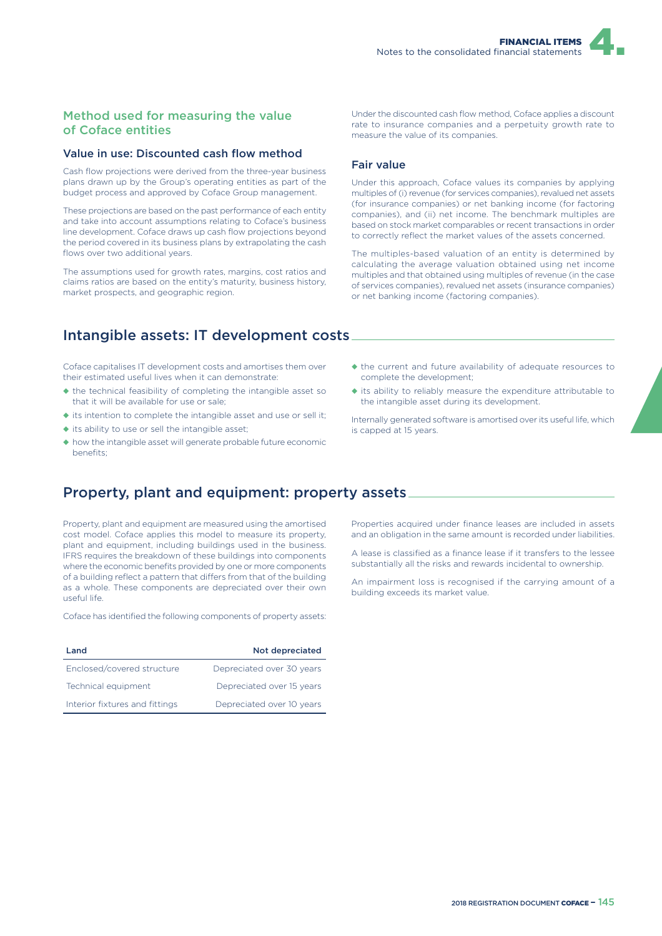### Method used for measuring the value of Coface entities

#### Value in use: Discounted cash flow method

Cash flow projections were derived from the three-year business plans drawn up by the Group's operating entities as part of the budget process and approved by Coface Group management.

These projections are based on the past performance of each entity and take into account assumptions relating to Coface's business line development. Coface draws up cash flow projections beyond the period covered in its business plans by extrapolating the cash flows over two additional years.

The assumptions used for growth rates, margins, cost ratios and claims ratios are based on the entity's maturity, business history, market prospects, and geographic region.

## Intangible assets: IT development costs

Coface capitalises IT development costs and amortises them over their estimated useful lives when it can demonstrate:

- ◆ the technical feasibility of completing the intangible asset so that it will be available for use or sale;
- ◆ its intention to complete the intangible asset and use or sell it;
- ◆ its ability to use or sell the intangible asset;
- ◆ how the intangible asset will generate probable future economic benefits;

### Property, plant and equipment: property assets

Property, plant and equipment are measured using the amortised cost model. Coface applies this model to measure its property, plant and equipment, including buildings used in the business. IFRS requires the breakdown of these buildings into components where the economic benefits provided by one or more components of a building reflect a pattern that differs from that of the building as a whole. These components are depreciated over their own useful life.

Coface has identified the following components of property assets:

| Land                           | Not depreciated           |
|--------------------------------|---------------------------|
| Enclosed/covered structure     | Depreciated over 30 years |
| Technical equipment            | Depreciated over 15 years |
| Interior fixtures and fittings | Depreciated over 10 years |

Under the discounted cash flow method, Coface applies a discount rate to insurance companies and a perpetuity growth rate to measure the value of its companies.

#### Fair value

Under this approach, Coface values its companies by applying multiples of (i) revenue (for services companies), revalued net assets (for insurance companies) or net banking income (for factoring companies), and (ii) net income. The benchmark multiples are based on stock market comparables or recent transactions in order to correctly reflect the market values of the assets concerned.

The multiples-based valuation of an entity is determined by calculating the average valuation obtained using net income multiples and that obtained using multiples of revenue (in the case of services companies), revalued net assets (insurance companies) or net banking income (factoring companies).

- ◆ the current and future availability of adequate resources to complete the development;
- ◆ its ability to reliably measure the expenditure attributable to the intangible asset during its development.

Internally generated software is amortised over its useful life, which is capped at 15 years.

Properties acquired under finance leases are included in assets and an obligation in the same amount is recorded under liabilities.

A lease is classified as a finance lease if it transfers to the lessee substantially all the risks and rewards incidental to ownership.

An impairment loss is recognised if the carrying amount of a building exceeds its market value.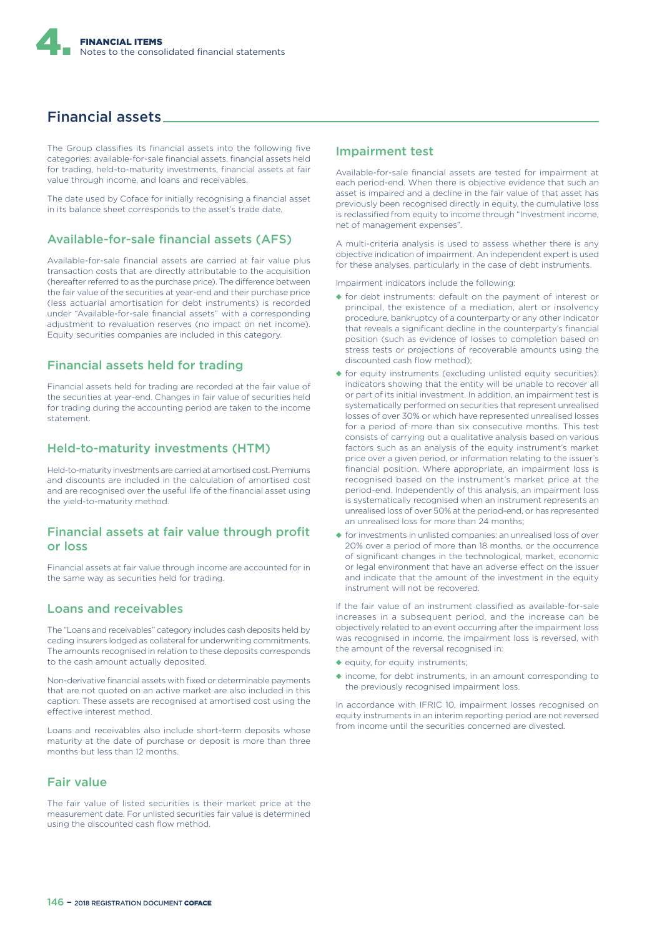

### Financial assets

The Group classifies its financial assets into the following five categories: available-for-sale financial assets, financial assets held for trading, held-to-maturity investments, financial assets at fair value through income, and loans and receivables.

The date used by Coface for initially recognising a financial asset in its balance sheet corresponds to the asset's trade date.

### Available-for-sale financial assets (AFS)

Available-for-sale financial assets are carried at fair value plus transaction costs that are directly attributable to the acquisition (hereafter referred to as the purchase price). The difference between the fair value of the securities at year-end and their purchase price (less actuarial amortisation for debt instruments) is recorded under "Available-for-sale financial assets" with a corresponding adjustment to revaluation reserves (no impact on net income). Equity securities companies are included in this category.

#### Financial assets held for trading

Financial assets held for trading are recorded at the fair value of the securities at year-end. Changes in fair value of securities held for trading during the accounting period are taken to the income statement.

#### Held-to-maturity investments (HTM)

Held-to-maturity investments are carried at amortised cost. Premiums and discounts are included in the calculation of amortised cost and are recognised over the useful life of the financial asset using the yield-to-maturity method.

### Financial assets at fair value through profit or loss

Financial assets at fair value through income are accounted for in the same way as securities held for trading.

### Loans and receivables

The "Loans and receivables" category includes cash deposits held by ceding insurers lodged as collateral for underwriting commitments. The amounts recognised in relation to these deposits corresponds to the cash amount actually deposited.

Non-derivative financial assets with fixed or determinable payments that are not quoted on an active market are also included in this caption. These assets are recognised at amortised cost using the effective interest method.

Loans and receivables also include short-term deposits whose maturity at the date of purchase or deposit is more than three months but less than 12 months.

### Fair value

The fair value of listed securities is their market price at the measurement date. For unlisted securities fair value is determined using the discounted cash flow method.

#### Impairment test

Available-for-sale financial assets are tested for impairment at each period-end. When there is objective evidence that such an asset is impaired and a decline in the fair value of that asset has previously been recognised directly in equity, the cumulative loss is reclassified from equity to income through "Investment income, net of management expenses".

A multi-criteria analysis is used to assess whether there is any objective indication of impairment. An independent expert is used for these analyses, particularly in the case of debt instruments.

Impairment indicators include the following:

- ◆ for debt instruments: default on the payment of interest or principal, the existence of a mediation, alert or insolvency procedure, bankruptcy of a counterparty or any other indicator that reveals a significant decline in the counterparty's financial position (such as evidence of losses to completion based on stress tests or projections of recoverable amounts using the discounted cash flow method);
- ◆ for equity instruments (excluding unlisted equity securities): indicators showing that the entity will be unable to recover all or part of its initial investment. In addition, an impairment test is systematically performed on securities that represent unrealised losses of over 30% or which have represented unrealised losses for a period of more than six consecutive months. This test consists of carrying out a qualitative analysis based on various factors such as an analysis of the equity instrument's market price over a given period, or information relating to the issuer's financial position. Where appropriate, an impairment loss is recognised based on the instrument's market price at the period-end. Independently of this analysis, an impairment loss is systematically recognised when an instrument represents an unrealised loss of over 50% at the period-end, or has represented an unrealised loss for more than 24 months;
- ◆ for investments in unlisted companies: an unrealised loss of over 20% over a period of more than 18 months, or the occurrence of significant changes in the technological, market, economic or legal environment that have an adverse effect on the issuer and indicate that the amount of the investment in the equity instrument will not be recovered.

If the fair value of an instrument classified as available-for-sale increases in a subsequent period, and the increase can be objectively related to an event occurring after the impairment loss was recognised in income, the impairment loss is reversed, with the amount of the reversal recognised in:

- ◆ equity, for equity instruments;
- ◆ income, for debt instruments, in an amount corresponding to the previously recognised impairment loss.

In accordance with IFRIC 10, impairment losses recognised on equity instruments in an interim reporting period are not reversed from income until the securities concerned are divested.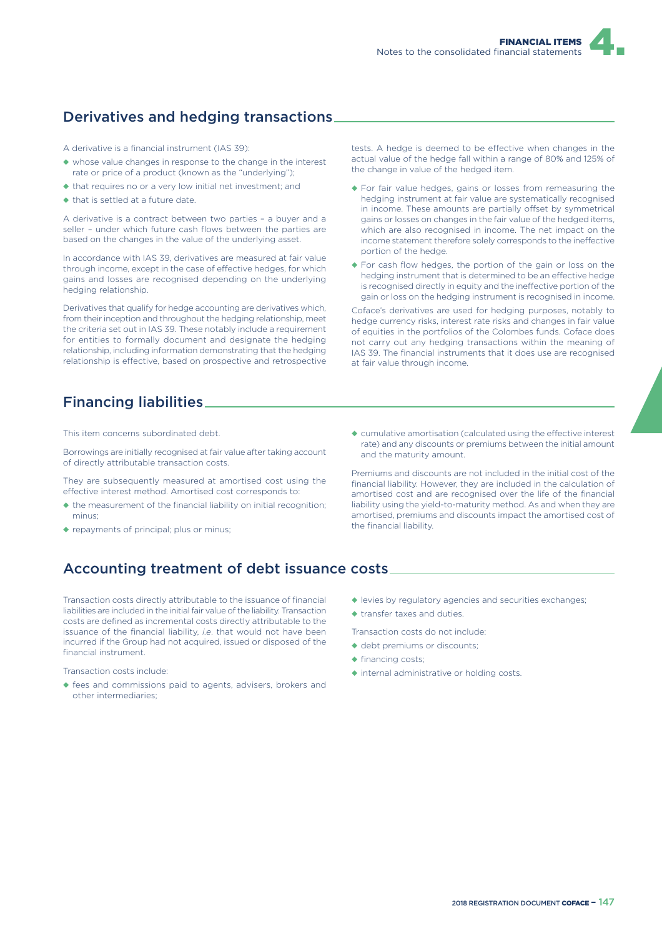## Derivatives and hedging transactions

A derivative is a financial instrument (IAS 39):

- ◆ whose value changes in response to the change in the interest rate or price of a product (known as the "underlying");
- ◆ that requires no or a very low initial net investment; and
- ◆ that is settled at a future date.

A derivative is a contract between two parties – a buyer and a seller – under which future cash flows between the parties are based on the changes in the value of the underlying asset.

In accordance with IAS 39, derivatives are measured at fair value through income, except in the case of effective hedges, for which gains and losses are recognised depending on the underlying hedging relationship.

Derivatives that qualify for hedge accounting are derivatives which, from their inception and throughout the hedging relationship, meet the criteria set out in IAS 39. These notably include a requirement for entities to formally document and designate the hedging relationship, including information demonstrating that the hedging relationship is effective, based on prospective and retrospective tests. A hedge is deemed to be effective when changes in the actual value of the hedge fall within a range of 80% and 125% of the change in value of the hedged item.

- ◆ For fair value hedges, gains or losses from remeasuring the hedging instrument at fair value are systematically recognised in income. These amounts are partially offset by symmetrical gains or losses on changes in the fair value of the hedged items, which are also recognised in income. The net impact on the income statement therefore solely corresponds to the ineffective portion of the hedge.
- ◆ For cash flow hedges, the portion of the gain or loss on the hedging instrument that is determined to be an effective hedge is recognised directly in equity and the ineffective portion of the gain or loss on the hedging instrument is recognised in income.

Coface's derivatives are used for hedging purposes, notably to hedge currency risks, interest rate risks and changes in fair value of equities in the portfolios of the Colombes funds. Coface does not carry out any hedging transactions within the meaning of IAS 39. The financial instruments that it does use are recognised at fair value through income.

## Financing liabilities

This item concerns subordinated debt.

Borrowings are initially recognised at fair value after taking account of directly attributable transaction costs.

They are subsequently measured at amortised cost using the effective interest method. Amortised cost corresponds to:

- ◆ the measurement of the financial liability on initial recognition; minus;
- ◆ repayments of principal; plus or minus;

 $\triangle$  cumulative amortisation (calculated using the effective interest rate) and any discounts or premiums between the initial amount and the maturity amount.

Premiums and discounts are not included in the initial cost of the financial liability. However, they are included in the calculation of amortised cost and are recognised over the life of the financial liability using the yield-to-maturity method. As and when they are amortised, premiums and discounts impact the amortised cost of the financial liability.

## Accounting treatment of debt issuance costs

Transaction costs directly attributable to the issuance of financial liabilities are included in the initial fair value of the liability. Transaction costs are defined as incremental costs directly attributable to the issuance of the financial liability, *i.e*. that would not have been incurred if the Group had not acquired, issued or disposed of the financial instrument.

Transaction costs include:

- ◆ fees and commissions paid to agents, advisers, brokers and other intermediaries;
- ◆ levies by regulatory agencies and securities exchanges;
- ◆ transfer taxes and duties.

Transaction costs do not include:

- ◆ debt premiums or discounts;
- ◆ financing costs;
- ◆ internal administrative or holding costs.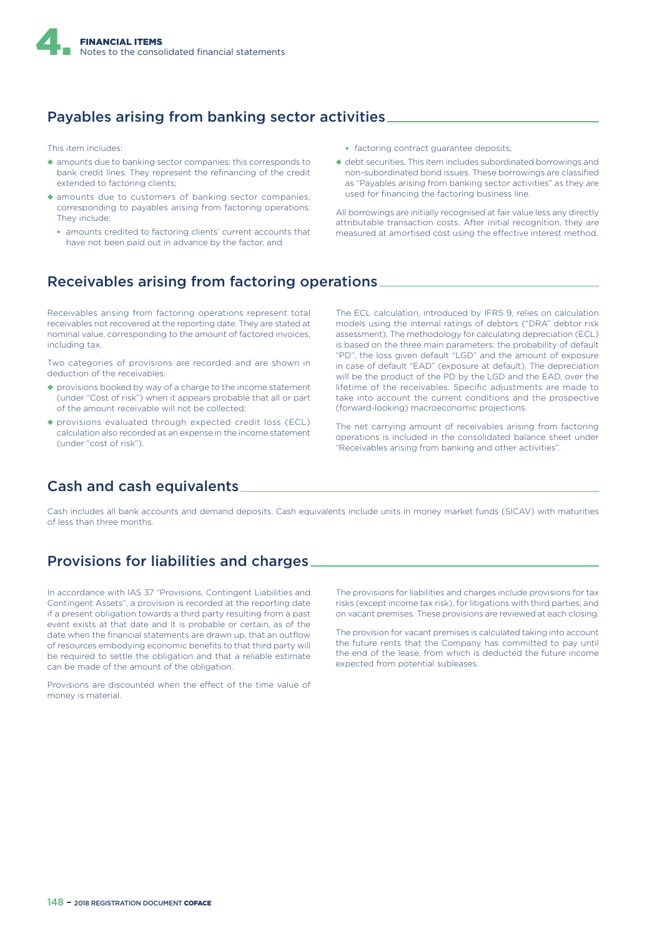

## Payables arising from banking sector activities

This item includes:

- ◆ amounts due to banking sector companies: this corresponds to bank credit lines. They represent the refinancing of the credit extended to factoring clients;
- ◆ amounts due to customers of banking sector companies, corresponding to payables arising from factoring operations. They include:
	- amounts credited to factoring clients' current accounts that have not been paid out in advance by the factor, and
- factoring contract guarantee deposits;
- ◆ debt securities. This item includes subordinated borrowings and non-subordinated bond issues. These borrowings are classified as "Payables arising from banking sector activities" as they are used for financing the factoring business line.

All borrowings are initially recognised at fair value less any directly attributable transaction costs. After initial recognition, they are measured at amortised cost using the effective interest method.

## Receivables arising from factoring operations

Receivables arising from factoring operations represent total receivables not recovered at the reporting date. They are stated at nominal value, corresponding to the amount of factored invoices, including tax.

Two categories of provisions are recorded and are shown in deduction of the receivables:

- ◆ provisions booked by way of a charge to the income statement (under "Cost of risk") when it appears probable that all or part of the amount receivable will not be collected;
- ◆ provisions evaluated through expected credit loss (ECL) calculation also recorded as an expense in the income statement (under "cost of risk").

The ECL calculation, introduced by IFRS 9, relies on calculation models using the internal ratings of debtors ("DRA" debtor risk assessment). The methodology for calculating depreciation (ECL) is based on the three main parameters: the probability of default "PD", the loss given default "LGD" and the amount of exposure in case of default "EAD" (exposure at default). The depreciation will be the product of the PD by the LGD and the EAD, over the lifetime of the receivables. Specific adjustments are made to take into account the current conditions and the prospective (forward-looking) macroeconomic projections.

The net carrying amount of receivables arising from factoring operations is included in the consolidated balance sheet under "Receivables arising from banking and other activities".

## Cash and cash equivalents

Cash includes all bank accounts and demand deposits. Cash equivalents include units in money market funds (SICAV) with maturities of less than three months.

## Provisions for liabilities and charges

In accordance with IAS 37 "Provisions, Contingent Liabilities and Contingent Assets", a provision is recorded at the reporting date if a present obligation towards a third party resulting from a past event exists at that date and it is probable or certain, as of the date when the financial statements are drawn up, that an outflow of resources embodying economic benefits to that third party will be required to settle the obligation and that a reliable estimate can be made of the amount of the obligation.

Provisions are discounted when the effect of the time value of money is material.

The provisions for liabilities and charges include provisions for tax risks (except income tax risk), for litigations with third parties, and on vacant premises. These provisions are reviewed at each closing.

The provision for vacant premises is calculated taking into account the future rents that the Company has committed to pay until the end of the lease, from which is deducted the future income expected from potential subleases.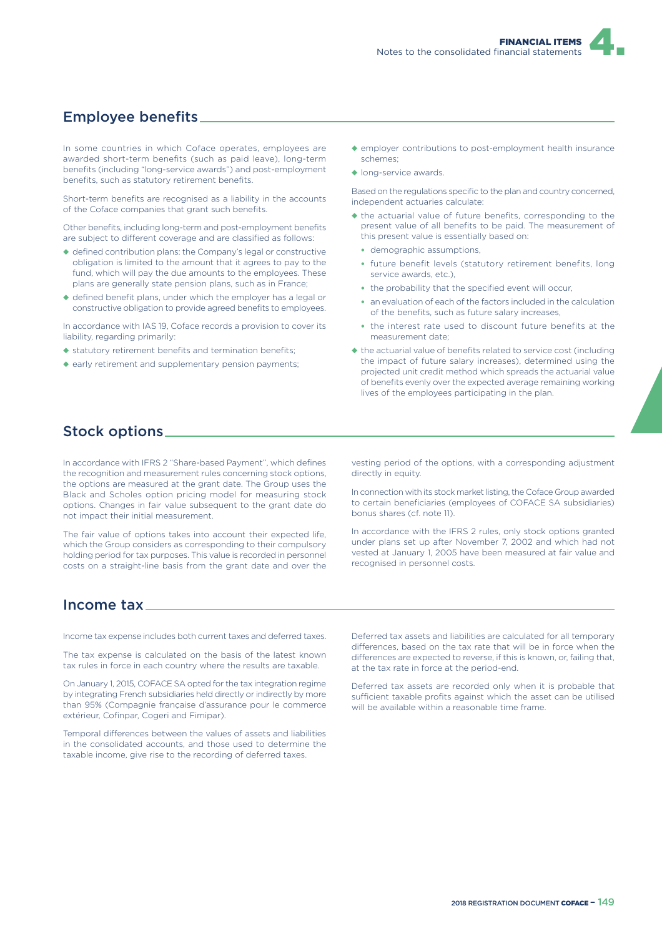

### Employee benefits

In some countries in which Coface operates, employees are awarded short-term benefits (such as paid leave), long-term benefits (including "long-service awards") and post-employment benefits, such as statutory retirement benefits.

Short-term benefits are recognised as a liability in the accounts of the Coface companies that grant such benefits.

Other benefits, including long-term and post-employment benefits are subject to different coverage and are classified as follows:

- ◆ defined contribution plans: the Company's legal or constructive obligation is limited to the amount that it agrees to pay to the fund, which will pay the due amounts to the employees. These plans are generally state pension plans, such as in France;
- ◆ defined benefit plans, under which the employer has a legal or constructive obligation to provide agreed benefits to employees.

In accordance with IAS 19, Coface records a provision to cover its liability, regarding primarily:

- ◆ statutory retirement benefits and termination benefits;
- ◆ early retirement and supplementary pension payments;
- ◆ employer contributions to post-employment health insurance schemes;
- ◆ long-service awards.

Based on the regulations specific to the plan and country concerned, independent actuaries calculate:

- ◆ the actuarial value of future benefits, corresponding to the present value of all benefits to be paid. The measurement of this present value is essentially based on:
	- demographic assumptions,
	- future benefit levels (statutory retirement benefits, long service awards, etc.),
	- the probability that the specified event will occur.
	- an evaluation of each of the factors included in the calculation of the benefits, such as future salary increases,
	- the interest rate used to discount future benefits at the measurement date;
- ◆ the actuarial value of benefits related to service cost (including the impact of future salary increases), determined using the projected unit credit method which spreads the actuarial value of benefits evenly over the expected average remaining working lives of the employees participating in the plan.

### Stock options

In accordance with IFRS 2 "Share-based Payment", which defines the recognition and measurement rules concerning stock options, the options are measured at the grant date. The Group uses the Black and Scholes option pricing model for measuring stock options. Changes in fair value subsequent to the grant date do not impact their initial measurement.

The fair value of options takes into account their expected life, which the Group considers as corresponding to their compulsory holding period for tax purposes. This value is recorded in personnel costs on a straight-line basis from the grant date and over the vesting period of the options, with a corresponding adjustment directly in equity.

In connection with its stock market listing, the Coface Group awarded to certain beneficiaries (employees of COFACE SA subsidiaries) bonus shares (cf. note 11).

In accordance with the IFRS 2 rules, only stock options granted under plans set up after November 7, 2002 and which had not vested at January 1, 2005 have been measured at fair value and recognised in personnel costs.

### Income tax

Income tax expense includes both current taxes and deferred taxes.

The tax expense is calculated on the basis of the latest known tax rules in force in each country where the results are taxable.

On January 1, 2015, COFACE SA opted for the tax integration regime by integrating French subsidiaries held directly or indirectly by more than 95% (Compagnie française d'assurance pour le commerce extérieur, Cofinnar, Cogeri and Fiminar).

Temporal differences between the values of assets and liabilities in the consolidated accounts, and those used to determine the taxable income, give rise to the recording of deferred taxes.

Deferred tax assets and liabilities are calculated for all temporary differences, based on the tax rate that will be in force when the differences are expected to reverse, if this is known, or, failing that, at the tax rate in force at the period-end.

Deferred tax assets are recorded only when it is probable that sufficient taxable profits against which the asset can be utilised will be available within a reasonable time frame.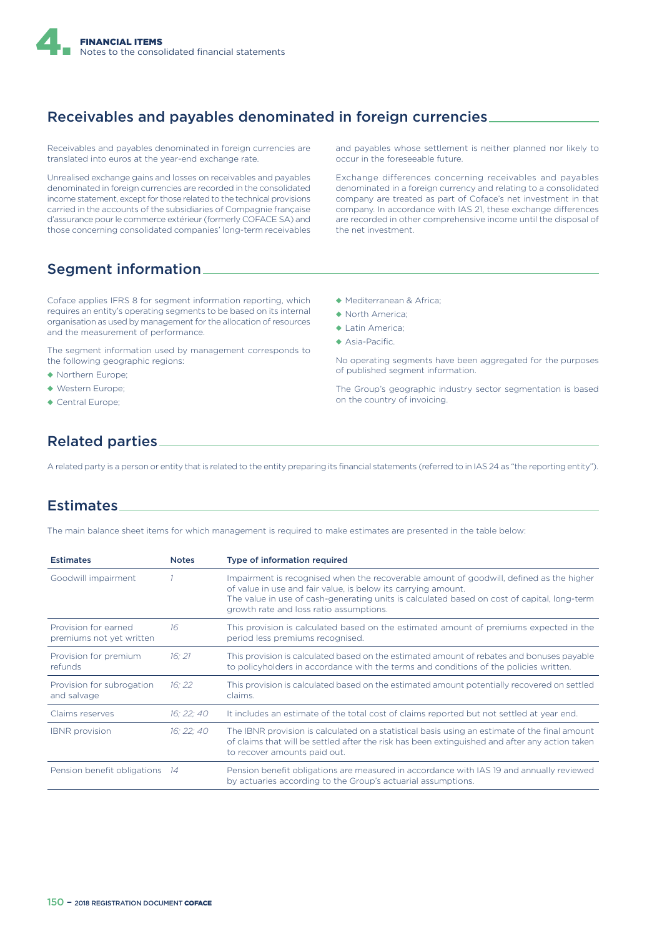

## Receivables and payables denominated in foreign currencies

Receivables and payables denominated in foreign currencies are translated into euros at the year-end exchange rate.

Unrealised exchange gains and losses on receivables and payables denominated in foreign currencies are recorded in the consolidated income statement, except for those related to the technical provisions carried in the accounts of the subsidiaries of Compagnie française d'assurance pour le commerce extérieur (formerly COFACE SA) and those concerning consolidated companies' long-term receivables

and payables whose settlement is neither planned nor likely to occur in the foreseeable future.

Exchange differences concerning receivables and payables denominated in a foreign currency and relating to a consolidated company are treated as part of Coface's net investment in that company. In accordance with IAS 21, these exchange differences are recorded in other comprehensive income until the disposal of the net investment.

### Segment information

Coface applies IFRS 8 for segment information reporting, which requires an entity's operating segments to be based on its internal organisation as used by management for the allocation of resources and the measurement of performance.

The segment information used by management corresponds to the following geographic regions:

- ◆ Northern Europe;
- ◆ Western Europe;
- ◆ Central Europe:
- ◆ Mediterranean & Africa;
- ◆ North America;
- ◆ Latin America;
- ◆ Asia-Pacific.

No operating segments have been aggregated for the purposes of published segment information.

The Group's geographic industry sector segmentation is based on the country of invoicing.

## Related parties

A related party is a person or entity that is related to the entity preparing its financial statements (referred to in IAS 24 as "the reporting entity").

### Estimates

The main balance sheet items for which management is required to make estimates are presented in the table below:

| <b>Estimates</b>                                 | <b>Notes</b> | Type of information required                                                                                                                                                                                                                                                                       |
|--------------------------------------------------|--------------|----------------------------------------------------------------------------------------------------------------------------------------------------------------------------------------------------------------------------------------------------------------------------------------------------|
| Goodwill impairment                              |              | Impairment is recognised when the recoverable amount of goodwill, defined as the higher<br>of value in use and fair value, is below its carrying amount.<br>The value in use of cash-generating units is calculated based on cost of capital, long-term<br>growth rate and loss ratio assumptions. |
| Provision for earned<br>premiums not yet written | 16           | This provision is calculated based on the estimated amount of premiums expected in the<br>period less premiums recognised.                                                                                                                                                                         |
| Provision for premium<br>refunds                 | 16:21        | This provision is calculated based on the estimated amount of rebates and bonuses payable<br>to policyholders in accordance with the terms and conditions of the policies written.                                                                                                                 |
| Provision for subrogation<br>and salvage         | 16:22        | This provision is calculated based on the estimated amount potentially recovered on settled<br>claims.                                                                                                                                                                                             |
| Claims reserves                                  | 16: 22: 40   | It includes an estimate of the total cost of claims reported but not settled at year end.                                                                                                                                                                                                          |
| <b>IBNR</b> provision                            | 16: 22: 40   | The IBNR provision is calculated on a statistical basis using an estimate of the final amount<br>of claims that will be settled after the risk has been extinguished and after any action taken<br>to recover amounts paid out.                                                                    |
| Pension benefit obligations 14                   |              | Pension benefit obligations are measured in accordance with IAS 19 and annually reviewed<br>by actuaries according to the Group's actuarial assumptions.                                                                                                                                           |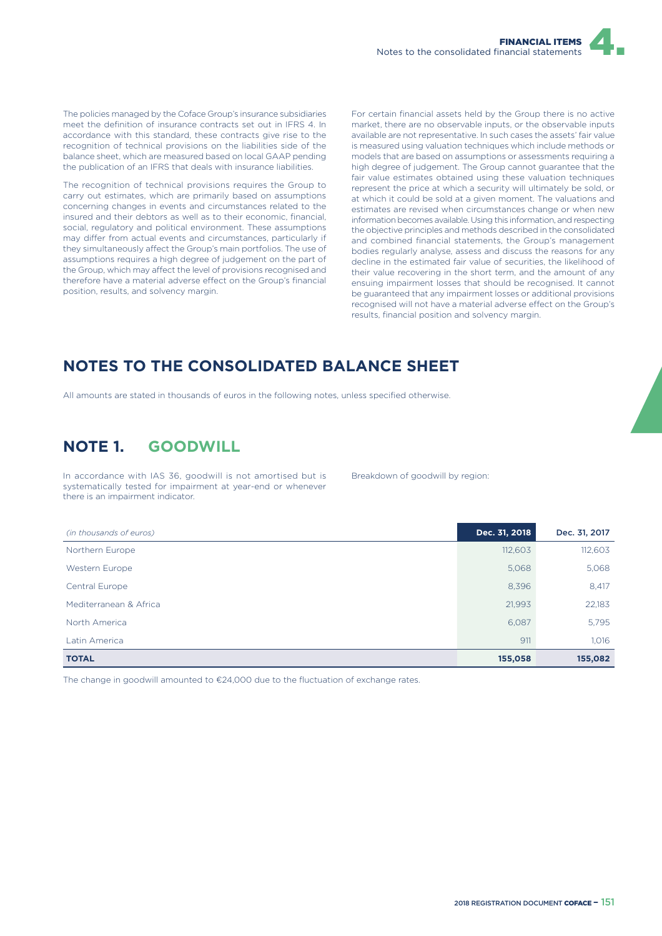The policies managed by the Coface Group's insurance subsidiaries meet the definition of insurance contracts set out in IFRS 4. In accordance with this standard, these contracts give rise to the recognition of technical provisions on the liabilities side of the balance sheet, which are measured based on local GAAP pending the publication of an IFRS that deals with insurance liabilities.

The recognition of technical provisions requires the Group to carry out estimates, which are primarily based on assumptions concerning changes in events and circumstances related to the insured and their debtors as well as to their economic, financial, social, regulatory and political environment. These assumptions may differ from actual events and circumstances, particularly if they simultaneously affect the Group's main portfolios. The use of assumptions requires a high degree of judgement on the part of the Group, which may affect the level of provisions recognised and therefore have a material adverse effect on the Group's financial position, results, and solvency margin.

For certain financial assets held by the Group there is no active market, there are no observable inputs, or the observable inputs available are not representative. In such cases the assets' fair value is measured using valuation techniques which include methods or models that are based on assumptions or assessments requiring a high degree of judgement. The Group cannot guarantee that the fair value estimates obtained using these valuation techniques represent the price at which a security will ultimately be sold, or at which it could be sold at a given moment. The valuations and estimates are revised when circumstances change or when new information becomes available. Using this information, and respecting the objective principles and methods described in the consolidated and combined financial statements, the Group's management bodies regularly analyse, assess and discuss the reasons for any decline in the estimated fair value of securities, the likelihood of their value recovering in the short term, and the amount of any ensuing impairment losses that should be recognised. It cannot be guaranteed that any impairment losses or additional provisions recognised will not have a material adverse effect on the Group's results, financial position and solvency margin.

# **NOTES TO THE CONSOLIDATED BALANCE SHEET**

All amounts are stated in thousands of euros in the following notes, unless specified otherwise.

# **NOTE 1. GOODWILL**

In accordance with IAS 36, goodwill is not amortised but is systematically tested for impairment at year-end or whenever there is an impairment indicator.

Breakdown of goodwill by region:

| (in thousands of euros) | Dec. 31, 2018 | Dec. 31, 2017 |
|-------------------------|---------------|---------------|
| Northern Europe         | 112,603       | 112,603       |
| Western Europe          | 5,068         | 5,068         |
| Central Europe          | 8,396         | 8,417         |
| Mediterranean & Africa  | 21,993        | 22,183        |
| North America           | 6,087         | 5,795         |
| Latin America           | 911           | 1,016         |
| <b>TOTAL</b>            | 155,058       | 155,082       |

The change in goodwill amounted to  $E24,000$  due to the fluctuation of exchange rates.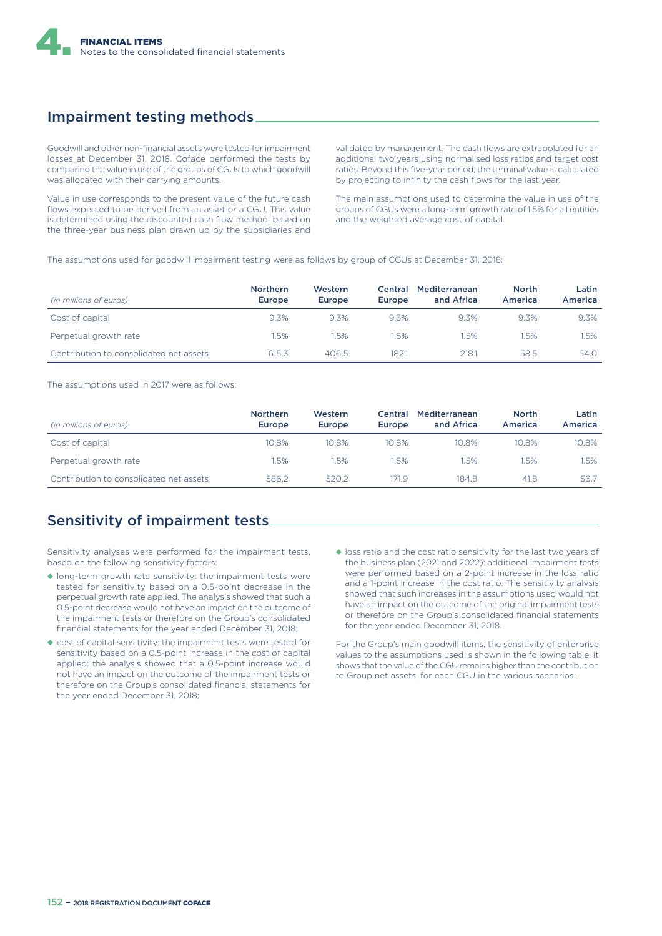

## Impairment testing methods

Goodwill and other non-financial assets were tested for impairment losses at December 31, 2018. Coface performed the tests by comparing the value in use of the groups of CGUs to which goodwill was allocated with their carrying amounts.

Value in use corresponds to the present value of the future cash flows expected to be derived from an asset or a CGU. This value is determined using the discounted cash flow method, based on the three-year business plan drawn up by the subsidiaries and

validated by management. The cash flows are extrapolated for an additional two years using normalised loss ratios and target cost ratios. Beyond this five-year period, the terminal value is calculated by projecting to infinity the cash flows for the last year.

The main assumptions used to determine the value in use of the groups of CGUs were a long-term growth rate of 1.5% for all entities and the weighted average cost of capital.

The assumptions used for goodwill impairment testing were as follows by group of CGUs at December 31, 2018:

| (in millions of euros)                  | <b>Northern</b><br><b>Europe</b> | Western<br><b>Europe</b> | Central<br>Europe | Mediterranean<br>and Africa | <b>North</b><br>America | Latin<br>America |
|-----------------------------------------|----------------------------------|--------------------------|-------------------|-----------------------------|-------------------------|------------------|
| Cost of capital                         | 9.3%                             | 9.3%                     | 9.3%              | 9.3%                        | 9.3%                    | 9.3%             |
| Perpetual growth rate                   | .5%                              | 1.5%                     | .5%               | .5%                         | 1.5%                    | .5%              |
| Contribution to consolidated net assets | 615.3                            | 406.5                    | 182.1             | 218.1                       | 58.5                    | 54.0             |

The assumptions used in 2017 were as follows:

| (in millions of euros)                  | <b>Northern</b><br>Europe | Western<br><b>Europe</b> | Central<br>Europe | Mediterranean<br>and Africa | <b>North</b><br>America | Latin<br><b>America</b> |
|-----------------------------------------|---------------------------|--------------------------|-------------------|-----------------------------|-------------------------|-------------------------|
| Cost of capital                         | 10.8%                     | 10.8%                    | 10.8%             | 10.8%                       | 10.8%                   | 10.8%                   |
| Perpetual growth rate                   | 1.5%                      | .5%                      | 1.5%              | 1.5%                        | .5%                     | 1.5%                    |
| Contribution to consolidated net assets | 586.2                     | 520.2                    | 71.9              | 184.8                       | 41.8                    | 56.7                    |

### Sensitivity of impairment tests

Sensitivity analyses were performed for the impairment tests, based on the following sensitivity factors:

- ◆ long-term growth rate sensitivity: the impairment tests were tested for sensitivity based on a 0.5-point decrease in the perpetual growth rate applied. The analysis showed that such a 0.5-point decrease would not have an impact on the outcome of the impairment tests or therefore on the Group's consolidated financial statements for the year ended December 31, 2018;
- ◆ cost of capital sensitivity: the impairment tests were tested for sensitivity based on a 0.5-point increase in the cost of capital applied: the analysis showed that a 0.5-point increase would not have an impact on the outcome of the impairment tests or therefore on the Group's consolidated financial statements for the year ended December 31, 2018;
- ◆ loss ratio and the cost ratio sensitivity for the last two years of the business plan (2021 and 2022): additional impairment tests were performed based on a 2-point increase in the loss ratio and a 1-point increase in the cost ratio. The sensitivity analysis showed that such increases in the assumptions used would not have an impact on the outcome of the original impairment tests or therefore on the Group's consolidated financial statements for the year ended December 31, 2018.

For the Group's main goodwill items, the sensitivity of enterprise values to the assumptions used is shown in the following table. It shows that the value of the CGU remains higher than the contribution to Group net assets, for each CGU in the various scenarios: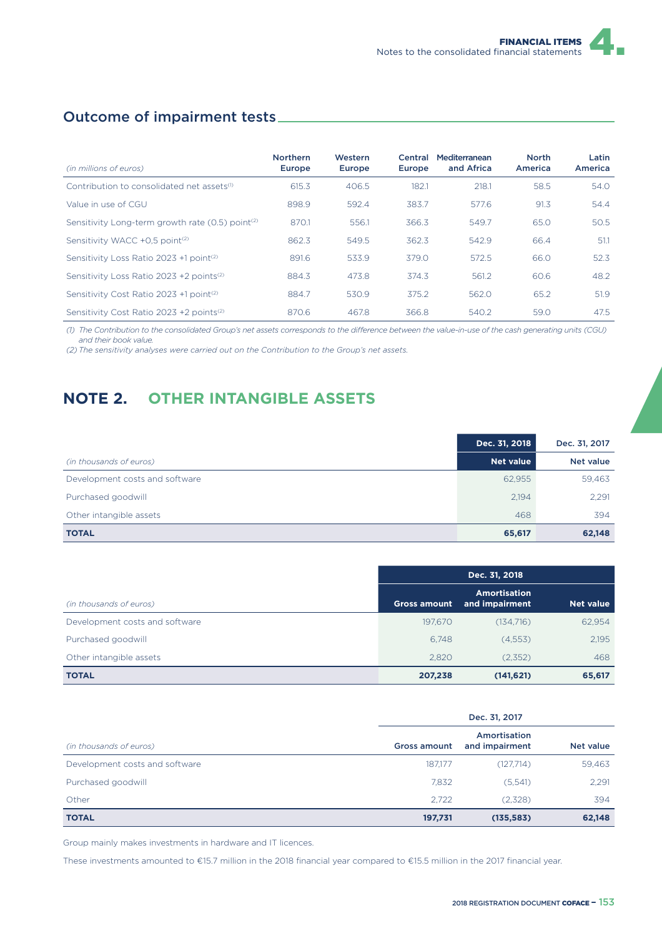## Outcome of impairment tests

|                                                              | <b>Northern</b> | <b>Western</b> | Central | Mediterranean | <b>North</b> | Latin   |
|--------------------------------------------------------------|-----------------|----------------|---------|---------------|--------------|---------|
| (in millions of euros)                                       | Europe          | Europe         | Europe  | and Africa    | America      | America |
| Contribution to consolidated net assets <sup>(1)</sup>       | 615.3           | 406.5          | 182.1   | 218.1         | 58.5         | 54.0    |
| Value in use of CGU                                          | 898.9           | 592.4          | 383.7   | 577.6         | 91.3         | 54.4    |
| Sensitivity Long-term growth rate (0.5) point <sup>(2)</sup> | 870.1           | 556.1          | 366.3   | 549.7         | 65.0         | 50.5    |
| Sensitivity WACC +0.5 point <sup>(2)</sup>                   | 862.3           | 549.5          | 362.3   | 542.9         | 66.4         | 51.1    |
| Sensitivity Loss Ratio 2023 +1 point <sup>(2)</sup>          | 891.6           | 533.9          | 379.0   | 572.5         | 66.0         | 52.3    |
| Sensitivity Loss Ratio 2023 +2 points <sup>(2)</sup>         | 884.3           | 473.8          | 374.3   | 561.2         | 60.6         | 48.2    |
| Sensitivity Cost Ratio 2023 +1 point <sup>(2)</sup>          | 884.7           | 530.9          | 375.2   | 562.0         | 65.2         | 51.9    |
| Sensitivity Cost Ratio 2023 +2 points <sup>(2)</sup>         | 870.6           | 467.8          | 366.8   | 540.2         | 59.0         | 47.5    |

(1) The Contribution to the consolidated Group's net assets corresponds to the difference between the value-in-use of the cash generating units (CGU) *and their book value.*

*(2) The sensitivity analyses were carried out on the Contribution to the Group's net assets.*

# **NOTE 2. OTHER INTANGIBLE ASSETS**

|                                | Dec. 31, 2018    | Dec. 31, 2017    |
|--------------------------------|------------------|------------------|
| (in thousands of euros)        | <b>Net value</b> | <b>Net value</b> |
| Development costs and software | 62.955           | 59,463           |
| Purchased goodwill             | 2.194            | 2,291            |
| Other intangible assets        | 468              | 394              |
| <b>TOTAL</b>                   | 65,617           | 62,148           |

|                                | Dec. 31, 2018       |                                       |                  |
|--------------------------------|---------------------|---------------------------------------|------------------|
| (in thousands of euros)        | <b>Gross amount</b> | <b>Amortisation</b><br>and impairment | <b>Net value</b> |
| Development costs and software | 197.670             | (134,716)                             | 62,954           |
| Purchased goodwill             | 6.748               | (4,553)                               | 2.195            |
| Other intangible assets        | 2,820               | (2,352)                               | 468              |
| <b>TOTAL</b>                   | 207,238             | (141, 621)                            | 65,617           |

|                                | Dec. 31, 2017       |                                |           |
|--------------------------------|---------------------|--------------------------------|-----------|
| (in thousands of euros)        | <b>Gross amount</b> | Amortisation<br>and impairment | Net value |
| Development costs and software | 187.177             | (127,714)                      | 59,463    |
| Purchased goodwill             | 7.832               | (5,541)                        | 2,291     |
| Other                          | 2.722               | (2,328)                        | 394       |
| <b>TOTAL</b>                   | 197,731             | (135, 583)                     | 62,148    |

Group mainly makes investments in hardware and IT licences.

These investments amounted to €15.7 million in the 2018 financial year compared to €15.5 million in the 2017 financial year.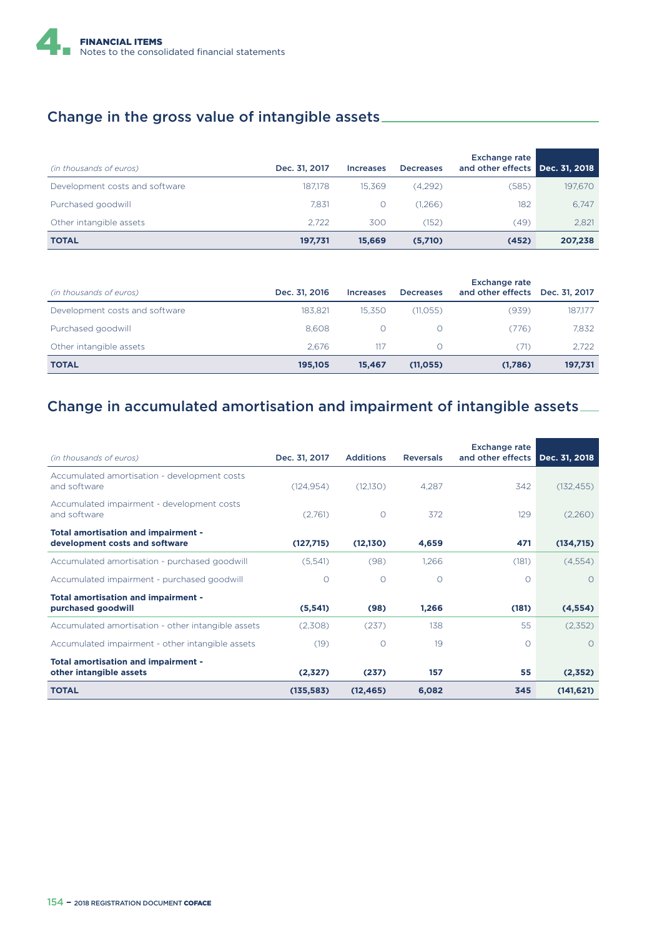

### Change in the gross value of intangible assets

| (in thousands of euros)        | Dec. 31, 2017 | <b>Increases</b> | <b>Decreases</b> | <b>Exchange rate</b><br>and other effects Dec. 31, 2018 |         |
|--------------------------------|---------------|------------------|------------------|---------------------------------------------------------|---------|
| Development costs and software | 187.178       | 15.369           | (4,292)          | (585)                                                   | 197,670 |
| Purchased goodwill             | 7.831         |                  | (1,266)          | 182                                                     | 6.747   |
| Other intangible assets        | 2.722         | 300              | (152)            | (49)                                                    | 2,821   |
| <b>TOTAL</b>                   | 197,731       | 15,669           | (5,710)          | (452)                                                   | 207,238 |

| (in thousands of euros)        | Dec. 31, 2016 | <b>Increases</b> | <b>Decreases</b> | <b>Exchange rate</b><br>and other effects | Dec. 31, 2017 |
|--------------------------------|---------------|------------------|------------------|-------------------------------------------|---------------|
| Development costs and software | 183.821       | 15.350           | (11,055)         | (939)                                     | 187,177       |
| Purchased goodwill             | 8.608         |                  |                  | (776)                                     | 7,832         |
| Other intangible assets        | 2.676         | 117              | Ω                | (71)                                      | 2.722         |
| <b>TOTAL</b>                   | 195,105       | 15.467           | (11,055)         | (1,786)                                   | 197,731       |

### Change in accumulated amortisation and impairment of intangible assets

| (in thousands of euros)                                               | Dec. 31, 2017 | <b>Additions</b> | <b>Reversals</b> | <b>Exchange rate</b><br>and other effects | Dec. 31, 2018 |
|-----------------------------------------------------------------------|---------------|------------------|------------------|-------------------------------------------|---------------|
| Accumulated amortisation - development costs<br>and software          | (124.954)     | (12,130)         | 4.287            | 342                                       | (132, 455)    |
| Accumulated impairment - development costs<br>and software            | (2,761)       | $\circ$          | 372              | 129                                       | (2,260)       |
| Total amortisation and impairment -<br>development costs and software | (127,715)     | (12,130)         | 4,659            | 471                                       | (134,715)     |
| Accumulated amortisation - purchased goodwill                         | (5,541)       | (98)             | 1,266            | (181)                                     | (4,554)       |
| Accumulated impairment - purchased goodwill                           | $\Omega$      | $\Omega$         | $\Omega$         | Ω                                         | $\Omega$      |
| Total amortisation and impairment -<br>purchased goodwill             | (5, 541)      | (98)             | 1,266            | (181)                                     | (4, 554)      |
| Accumulated amortisation - other intangible assets                    | (2,308)       | (237)            | 138              | 55                                        | (2,352)       |
| Accumulated impairment - other intangible assets                      | (19)          | $\Omega$         | 19               | Ω                                         | $\bigcap$     |
| Total amortisation and impairment -<br>other intangible assets        | (2,327)       | (237)            | 157              | 55                                        | (2,352)       |
| <b>TOTAL</b>                                                          | (135, 583)    | (12, 465)        | 6,082            | 345                                       | (141, 621)    |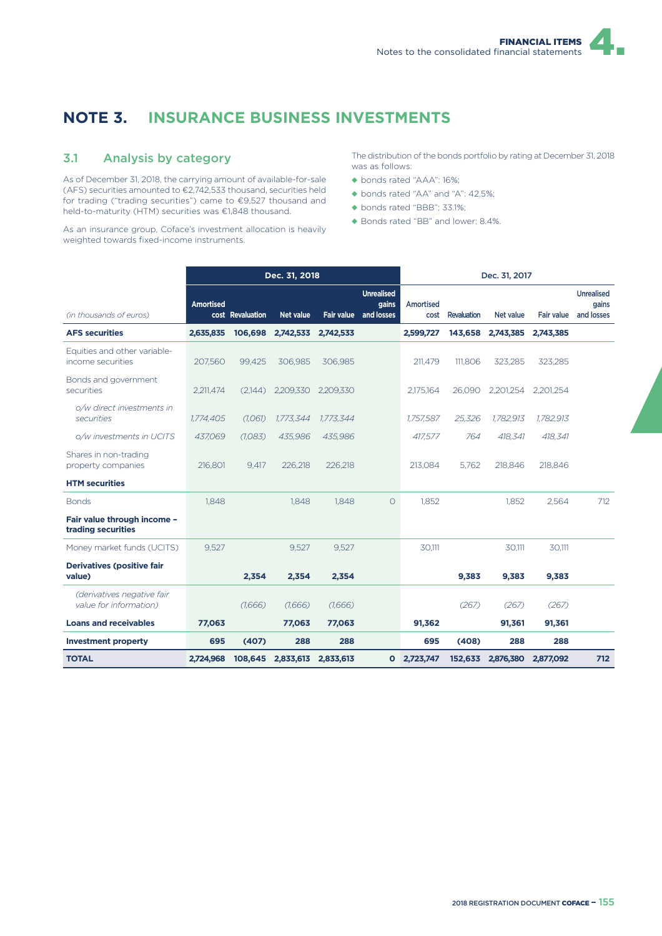## **NOTE 3. INSURANCE BUSINESS INVESTMENTS**

#### 3.1 Analysis by category

As of December 31, 2018, the carrying amount of available-for-sale (AFS) securities amounted to €2,742,533 thousand, securities held for trading ("trading securities") came to €9,527 thousand and held-to-maturity (HTM) securities was €1,848 thousand.

As an insurance group, Coface's investment allocation is heavily weighted towards fixed-income instruments.

The distribution of the bonds portfolio by rating at December 31, 2018 was as follows:

- ◆ bonds rated "AAA": 16%;
- ◆ bonds rated "AA" and "A": 42.5%;
- ◆ bonds rated "BBB": 33.1%;
- ◆ Bonds rated "BB" and lower: 8.4%.

|                                                      |                  |                  | Dec. 31, 2018       |                   |                                          |                   |             | Dec. 31, 2017     |            |                                          |
|------------------------------------------------------|------------------|------------------|---------------------|-------------------|------------------------------------------|-------------------|-------------|-------------------|------------|------------------------------------------|
| (in thousands of euros)                              | <b>Amortised</b> | cost Revaluation | <b>Net value</b>    | <b>Fair value</b> | <b>Unrealised</b><br>gains<br>and losses | Amortised<br>cost | Revaluation | Net value         | Fair value | <b>Unrealised</b><br>gains<br>and losses |
| <b>AFS securities</b>                                | 2,635,835        | 106,698          | 2,742,533           | 2,742,533         |                                          | 2,599,727         | 143,658     | 2,743,385         | 2,743,385  |                                          |
| Equities and other variable-<br>income securities    | 207,560          | 99.425           | 306.985             | 306.985           |                                          | 211.479           | 111.806     | 323,285           | 323,285    |                                          |
| Bonds and government<br>securities                   | 2,211,474        | (2.144)          | 2,209,330           | 2,209,330         |                                          | 2,175,164         | 26.090      | 2,201,254         | 2,201,254  |                                          |
| o/w direct investments in<br>securities              | 1,774,405        | (1,061)          | 1,773,344           | 1.773.344         |                                          | 1,757,587         | 25,326      | 1,782,913         | 1,782,913  |                                          |
| o/w investments in UCITS                             | 437,069          | (1,083)          | 435,986             | 435,986           |                                          | 417,577           | 764         | 418,341           | 418,341    |                                          |
| Shares in non-trading<br>property companies          | 216,801          | 9.417            | 226.218             | 226.218           |                                          | 213.084           | 5.762       | 218,846           | 218,846    |                                          |
| <b>HTM</b> securities                                |                  |                  |                     |                   |                                          |                   |             |                   |            |                                          |
| <b>Bonds</b>                                         | 1,848            |                  | 1.848               | 1.848             | $\circ$                                  | 1,852             |             | 1,852             | 2,564      | 712                                      |
| Fair value through income -<br>trading securities    |                  |                  |                     |                   |                                          |                   |             |                   |            |                                          |
| Money market funds (UCITS)                           | 9,527            |                  | 9,527               | 9,527             |                                          | 30,111            |             | 30,111            | 30,111     |                                          |
| <b>Derivatives (positive fair</b><br>value)          |                  | 2,354            | 2,354               | 2,354             |                                          |                   | 9,383       | 9,383             | 9,383      |                                          |
| (derivatives negative fair<br>value for information) |                  | (1,666)          | (1,666)             | (1,666)           |                                          |                   | (267)       | (267)             | (267)      |                                          |
| <b>Loans and receivables</b>                         | 77,063           |                  | 77,063              | 77,063            |                                          | 91,362            |             | 91,361            | 91,361     |                                          |
| <b>Investment property</b>                           | 695              | (407)            | 288                 | 288               |                                          | 695               | (408)       | 288               | 288        |                                          |
| <b>TOTAL</b>                                         | 2,724,968        | 108,645          | 2,833,613 2,833,613 |                   |                                          | 0 2,723,747       |             | 152,633 2,876,380 | 2,877,092  | 712                                      |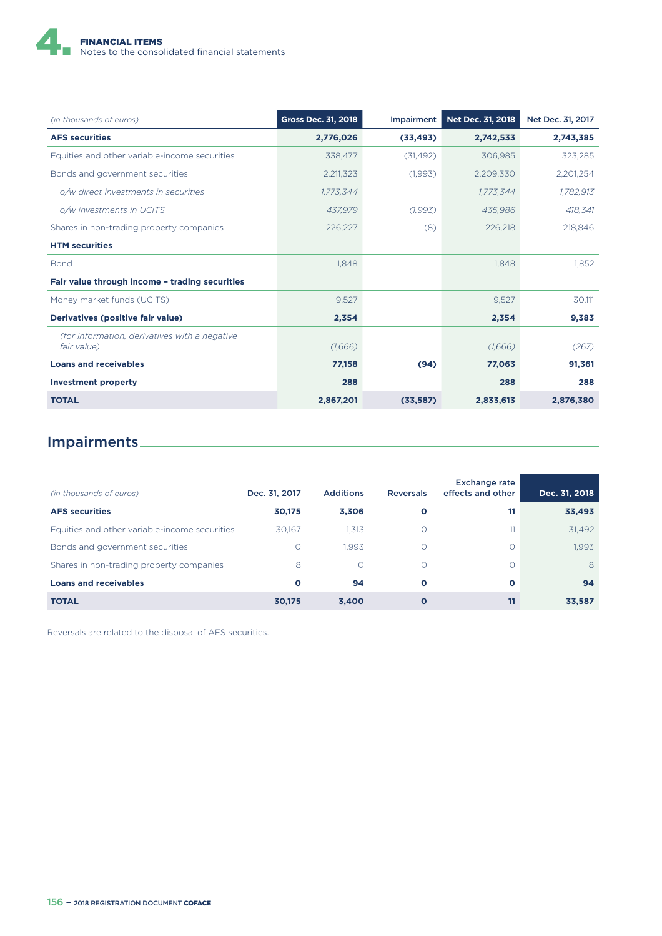

| (in thousands of euros)                                      | <b>Gross Dec. 31, 2018</b> | <b>Impairment</b> | Net Dec. 31, 2018 | Net Dec. 31, 2017 |
|--------------------------------------------------------------|----------------------------|-------------------|-------------------|-------------------|
| <b>AFS securities</b>                                        | 2,776,026                  | (33, 493)         | 2,742,533         | 2,743,385         |
| Equities and other variable-income securities                | 338,477                    | (31, 492)         | 306,985           | 323,285           |
| Bonds and government securities                              | 2,211,323                  | (1,993)           | 2,209,330         | 2,201,254         |
| o/w direct investments in securities                         | 1,773,344                  |                   | 1,773,344         | 1,782,913         |
| o/w investments in UCITS                                     | 437.979                    | (1,993)           | 435,986           | 418,341           |
| Shares in non-trading property companies                     | 226,227                    | (8)               | 226,218           | 218,846           |
| <b>HTM</b> securities                                        |                            |                   |                   |                   |
| Bond                                                         | 1,848                      |                   | 1,848             | 1,852             |
| Fair value through income - trading securities               |                            |                   |                   |                   |
| Money market funds (UCITS)                                   | 9,527                      |                   | 9,527             | 30,111            |
| Derivatives (positive fair value)                            | 2,354                      |                   | 2,354             | 9,383             |
| (for information, derivatives with a negative<br>fair value) | (1,666)                    |                   | (1,666)           | (267)             |
| <b>Loans and receivables</b>                                 | 77,158                     | (94)              | 77,063            | 91,361            |
| <b>Investment property</b>                                   | 288                        |                   | 288               | 288               |
| <b>TOTAL</b>                                                 | 2,867,201                  | (33,587)          | 2,833,613         | 2,876,380         |

# Impairments

| (in thousands of euros)                       | Dec. 31, 2017 | <b>Additions</b> | <b>Reversals</b> | <b>Exchange rate</b><br>effects and other | Dec. 31, 2018 |
|-----------------------------------------------|---------------|------------------|------------------|-------------------------------------------|---------------|
| <b>AFS</b> securities                         | 30,175        | 3,306            | $\mathbf{o}$     | 11                                        | 33,493        |
| Equities and other variable-income securities | 30.167        | 1.313            | Ω                | 11                                        | 31.492        |
| Bonds and government securities               |               | 1.993            | Ω                |                                           | 1.993         |
| Shares in non-trading property companies      | 8             | $\bigcirc$       | Ω                |                                           | 8             |
| <b>Loans and receivables</b>                  | $\Omega$      | 94               | O                | $\Omega$                                  | 94            |
| <b>TOTAL</b>                                  | 30,175        | 3,400            | O                |                                           | 33,587        |

Reversals are related to the disposal of AFS securities.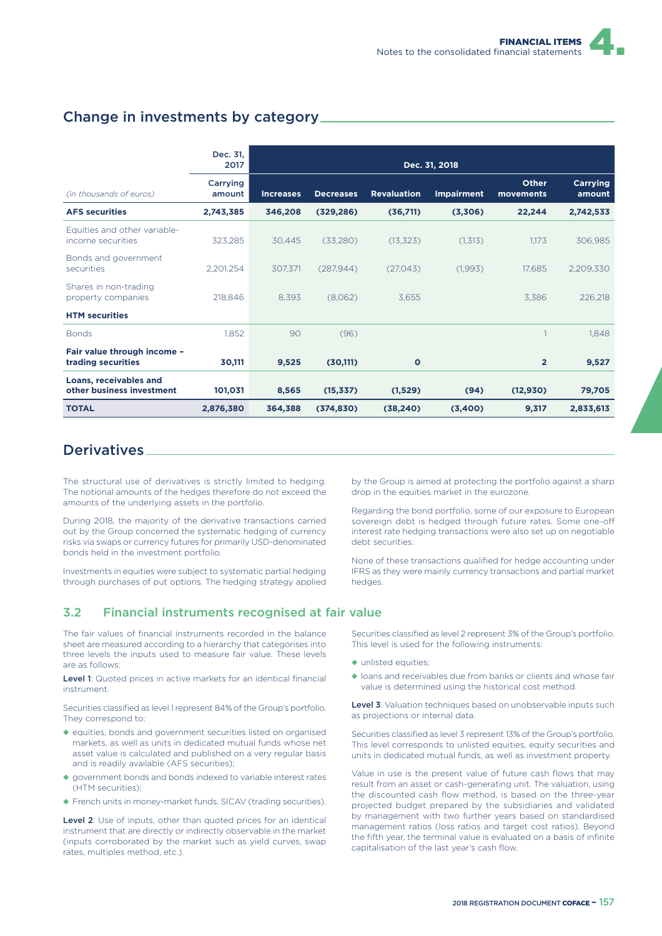#### Change in investments by category

|                                                            | Dec. 31,<br>2017   |                  |                  |                    | Dec. 31, 2018     |                    |                    |
|------------------------------------------------------------|--------------------|------------------|------------------|--------------------|-------------------|--------------------|--------------------|
| (in thousands of euros)                                    | Carrying<br>amount | <b>Increases</b> | <b>Decreases</b> | <b>Revaluation</b> | <b>Impairment</b> | Other<br>movements | Carrying<br>amount |
| <b>AFS securities</b>                                      | 2,743,385          | 346,208          | (329, 286)       | (36,711)           | (3,306)           | 22,244             | 2,742,533          |
| Equities and other variable-<br>income securities          | 323,285            | 30,445           | (33,280)         | (13, 323)          | (1,313)           | 1,173              | 306,985            |
| Bonds and government<br>securities                         | 2,201,254          | 307,371          | (287, 944)       | (27,043)           | (1,993)           | 17,685             | 2,209,330          |
| Shares in non-trading<br>property companies                | 218,846            | 8,393            | (8,062)          | 3,655              |                   | 3,386              | 226,218            |
| <b>HTM</b> securities                                      |                    |                  |                  |                    |                   |                    |                    |
| <b>Bonds</b>                                               | 1,852              | 90               | (96)             |                    |                   |                    | 1,848              |
| Fair value through income -<br>trading securities          | 30,111             | 9,525            | (30, 111)        | $\mathbf{o}$       |                   | $\overline{2}$     | 9,527              |
| <b>Loans, receivables and</b><br>other business investment | 101,031            | 8,565            | (15, 337)        | (1,529)            | (94)              | (12, 930)          | 79,705             |
| <b>TOTAL</b>                                               | 2,876,380          | 364,388          | (374, 830)       | (38, 240)          | (3,400)           | 9,317              | 2,833,613          |

#### **Derivatives**

The structural use of derivatives is strictly limited to hedging. The notional amounts of the hedges therefore do not exceed the amounts of the underlying assets in the portfolio.

During 2018, the majority of the derivative transactions carried out by the Group concerned the systematic hedging of currency risks via swaps or currency futures for primarily USD-denominated bonds held in the investment portfolio.

Investments in equities were subject to systematic partial hedging through purchases of put options. The hedging strategy applied

#### 3.2 Financial instruments recognised at fair value

The fair values of financial instruments recorded in the balance sheet are measured according to a hierarchy that categorises into three levels the inputs used to measure fair value. These levels are as follows:

Level 1: Quoted prices in active markets for an identical financial instrument.

Securities classified as level 1 represent 84% of the Group's portfolio. They correspond to:

- ◆ equities, bonds and government securities listed on organised markets, as well as units in dedicated mutual funds whose net asset value is calculated and published on a very regular basis and is readily available (AFS securities);
- ◆ government bonds and bonds indexed to variable interest rates (HTM securities);
- ◆ French units in money-market funds, SICAV (trading securities).

Level 2: Use of inputs, other than quoted prices for an identical instrument that are directly or indirectly observable in the market (inputs corroborated by the market such as yield curves, swap rates, multiples method, etc.).

by the Group is aimed at protecting the portfolio against a sharp drop in the equities market in the eurozone.

Regarding the bond portfolio, some of our exposure to European sovereign debt is hedged through future rates. Some one-off interest rate hedging transactions were also set up on negotiable debt securities.

None of these transactions qualified for hedge accounting under IFRS as they were mainly currency transactions and partial market hedges.

Securities classified as level 2 represent 3% of the Group's portfolio. This level is used for the following instruments:

- ◆ unlisted equities:
- ◆ loans and receivables due from banks or clients and whose fair value is determined using the historical cost method.

Level 3: Valuation techniques based on unobservable inputs such as projections or internal data.

Securities classified as level 3 represent 13% of the Group's portfolio. This level corresponds to unlisted equities, equity securities and units in dedicated mutual funds, as well as investment property.

Value in use is the present value of future cash flows that may result from an asset or cash-generating unit. The valuation, using the discounted cash flow method, is based on the three-year projected budget prepared by the subsidiaries and validated by management with two further years based on standardised management ratios (loss ratios and target cost ratios). Beyond the fifth year, the terminal value is evaluated on a basis of infinite capitalisation of the last year's cash flow.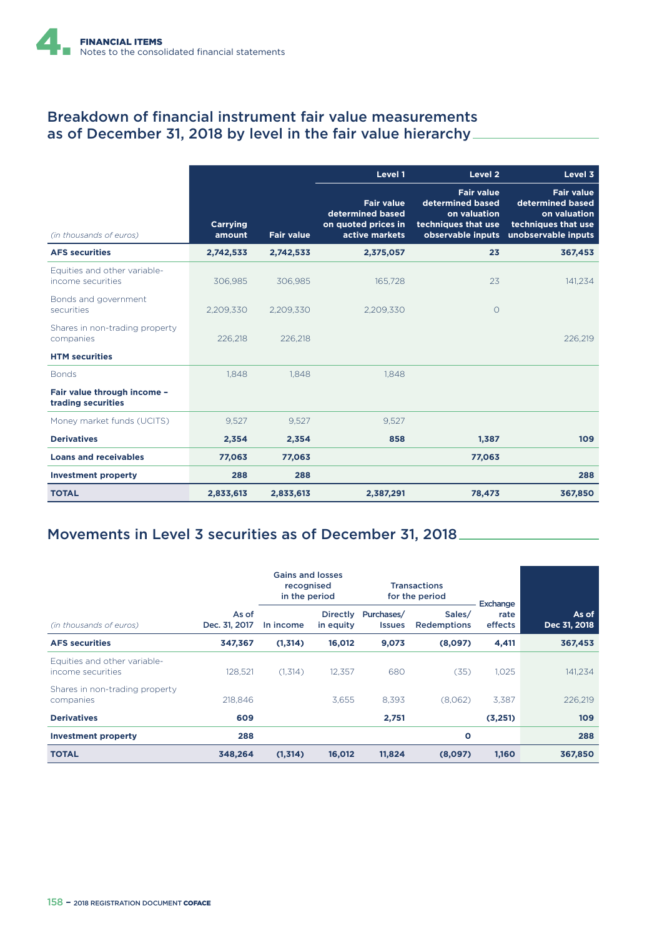#### Breakdown of financial instrument fair value measurements as of December 31, 2018 by level in the fair value hierarchy

|                                                   |                           |                   | Level 1                                                                        | Level <sub>2</sub>                                                                                | Level 3                                                                                             |
|---------------------------------------------------|---------------------------|-------------------|--------------------------------------------------------------------------------|---------------------------------------------------------------------------------------------------|-----------------------------------------------------------------------------------------------------|
| (in thousands of euros)                           | <b>Carrying</b><br>amount | <b>Fair value</b> | <b>Fair value</b><br>determined based<br>on quoted prices in<br>active markets | <b>Fair value</b><br>determined based<br>on valuation<br>techniques that use<br>observable inputs | <b>Fair value</b><br>determined based<br>on valuation<br>techniques that use<br>unobservable inputs |
| <b>AFS securities</b>                             | 2,742,533                 | 2,742,533         | 2,375,057                                                                      | 23                                                                                                | 367,453                                                                                             |
| Equities and other variable-<br>income securities | 306.985                   | 306.985           | 165.728                                                                        | 23                                                                                                | 141,234                                                                                             |
| Bonds and government<br>securities                | 2,209,330                 | 2.209.330         | 2.209.330                                                                      | $\circ$                                                                                           |                                                                                                     |
| Shares in non-trading property<br>companies       | 226,218                   | 226.218           |                                                                                |                                                                                                   | 226.219                                                                                             |
| <b>HTM</b> securities                             |                           |                   |                                                                                |                                                                                                   |                                                                                                     |
| <b>Bonds</b>                                      | 1.848                     | 1.848             | 1.848                                                                          |                                                                                                   |                                                                                                     |
| Fair value through income -<br>trading securities |                           |                   |                                                                                |                                                                                                   |                                                                                                     |
| Money market funds (UCITS)                        | 9,527                     | 9,527             | 9,527                                                                          |                                                                                                   |                                                                                                     |
| <b>Derivatives</b>                                | 2,354                     | 2,354             | 858                                                                            | 1,387                                                                                             | 109                                                                                                 |
| <b>Loans and receivables</b>                      | 77,063                    | 77,063            |                                                                                | 77,063                                                                                            |                                                                                                     |
| <b>Investment property</b>                        | 288                       | 288               |                                                                                |                                                                                                   | 288                                                                                                 |
| <b>TOTAL</b>                                      | 2,833,613                 | 2,833,613         | 2,387,291                                                                      | 78,473                                                                                            | 367,850                                                                                             |

## Movements in Level 3 securities as of December 31, 2018

|                                                   |                        | <b>Gains and losses</b><br>recognised<br>in the period |                              | <b>Transactions</b><br>for the period |                              | Exchange        |                       |
|---------------------------------------------------|------------------------|--------------------------------------------------------|------------------------------|---------------------------------------|------------------------------|-----------------|-----------------------|
| (in thousands of euros)                           | As of<br>Dec. 31, 2017 | In income                                              | <b>Directly</b><br>in equity | Purchases/<br><b>Issues</b>           | Sales/<br><b>Redemptions</b> | rate<br>effects | As of<br>Dec 31, 2018 |
| <b>AFS securities</b>                             | 347,367                | (1,314)                                                | 16,012                       | 9,073                                 | (8,097)                      | 4,411           | 367,453               |
| Equities and other variable-<br>income securities | 128.521                | (1,314)                                                | 12.357                       | 680                                   | (35)                         | 1.025           | 141,234               |
| Shares in non-trading property<br>companies       | 218.846                |                                                        | 3,655                        | 8,393                                 | (8,062)                      | 3.387           | 226,219               |
| <b>Derivatives</b>                                | 609                    |                                                        |                              | 2,751                                 |                              | (3,251)         | 109                   |
| <b>Investment property</b>                        | 288                    |                                                        |                              |                                       | $\circ$                      |                 | 288                   |
| <b>TOTAL</b>                                      | 348,264                | (1,314)                                                | 16,012                       | 11,824                                | (8,097)                      | 1,160           | 367,850               |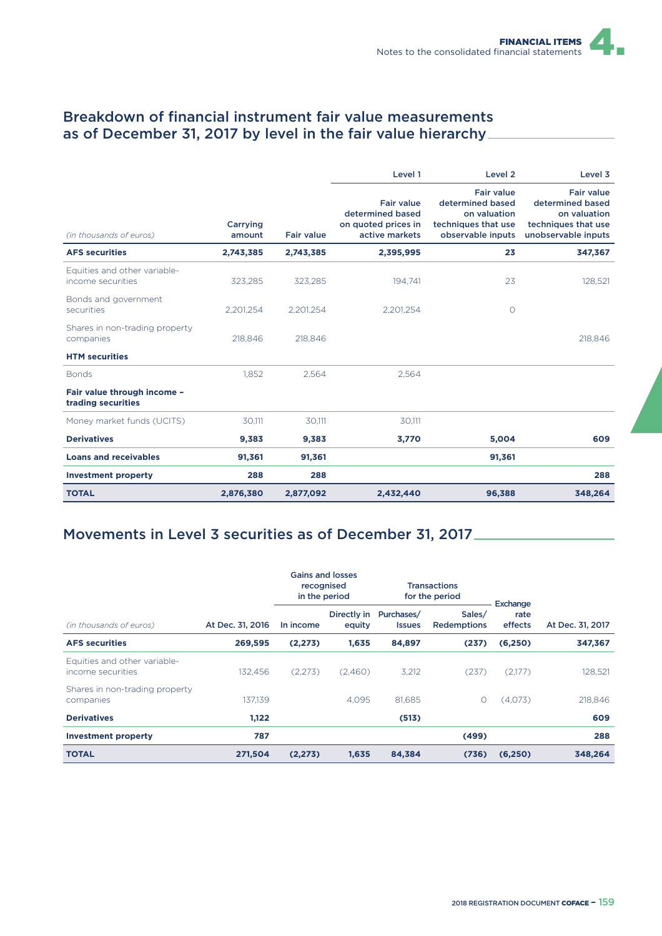#### Breakdown of financial instrument fair value measurements as of December 31, 2017 by level in the fair value hierarchy

|                                                   |                    |                   | Level 1                                                                        | Level <sub>2</sub>                                                                                | Level 3                                                                                             |
|---------------------------------------------------|--------------------|-------------------|--------------------------------------------------------------------------------|---------------------------------------------------------------------------------------------------|-----------------------------------------------------------------------------------------------------|
| (in thousands of euros)                           | Carrying<br>amount | <b>Fair value</b> | <b>Fair value</b><br>determined based<br>on quoted prices in<br>active markets | <b>Fair value</b><br>determined based<br>on valuation<br>techniques that use<br>observable inputs | <b>Fair value</b><br>determined based<br>on valuation<br>techniques that use<br>unobservable inputs |
| <b>AFS securities</b>                             | 2,743,385          | 2,743,385         | 2,395,995                                                                      | 23                                                                                                | 347,367                                                                                             |
| Equities and other variable-<br>income securities | 323.285            | 323.285           | 194.741                                                                        | 23                                                                                                | 128,521                                                                                             |
| Bonds and government<br>securities                | 2,201,254          | 2,201,254         | 2,201,254                                                                      | $\circ$                                                                                           |                                                                                                     |
| Shares in non-trading property<br>companies       | 218.846            | 218,846           |                                                                                |                                                                                                   | 218,846                                                                                             |
| <b>HTM</b> securities                             |                    |                   |                                                                                |                                                                                                   |                                                                                                     |
| <b>Bonds</b>                                      | 1.852              | 2.564             | 2,564                                                                          |                                                                                                   |                                                                                                     |
| Fair value through income -<br>trading securities |                    |                   |                                                                                |                                                                                                   |                                                                                                     |
| Money market funds (UCITS)                        | 30,111             | 30,111            | 30,111                                                                         |                                                                                                   |                                                                                                     |
| <b>Derivatives</b>                                | 9,383              | 9,383             | 3,770                                                                          | 5,004                                                                                             | 609                                                                                                 |
| <b>Loans and receivables</b>                      | 91,361             | 91,361            |                                                                                | 91,361                                                                                            |                                                                                                     |
| <b>Investment property</b>                        | 288                | 288               |                                                                                |                                                                                                   | 288                                                                                                 |
| <b>TOTAL</b>                                      | 2,876,380          | 2,877,092         | 2,432,440                                                                      | 96,388                                                                                            | 348,264                                                                                             |

## Movements in Level 3 securities as of December 31, 2017

|                                                   |                  |           | <b>Gains and losses</b><br>recognised<br>in the period |                             | <b>Transactions</b><br>for the period | Exchange        |                  |
|---------------------------------------------------|------------------|-----------|--------------------------------------------------------|-----------------------------|---------------------------------------|-----------------|------------------|
| (in thousands of euros)                           | At Dec. 31, 2016 | In income | Directly in<br>equity                                  | Purchases/<br><b>Issues</b> | Sales/<br><b>Redemptions</b>          | rate<br>effects | At Dec. 31, 2017 |
| <b>AFS</b> securities                             | 269,595          | (2, 273)  | 1,635                                                  | 84,897                      | (237)                                 | (6, 250)        | 347,367          |
| Equities and other variable-<br>income securities | 132.456          | (2,273)   | (2,460)                                                | 3,212                       | (237)                                 | (2,177)         | 128,521          |
| Shares in non-trading property<br>companies       | 137.139          |           | 4.095                                                  | 81.685                      | O                                     | (4,073)         | 218,846          |
| <b>Derivatives</b>                                | 1,122            |           |                                                        | (513)                       |                                       |                 | 609              |
| <b>Investment property</b>                        | 787              |           |                                                        |                             | (499)                                 |                 | 288              |
| <b>TOTAL</b>                                      | 271,504          | (2, 273)  | 1,635                                                  | 84,384                      | (736)                                 | (6, 250)        | 348,264          |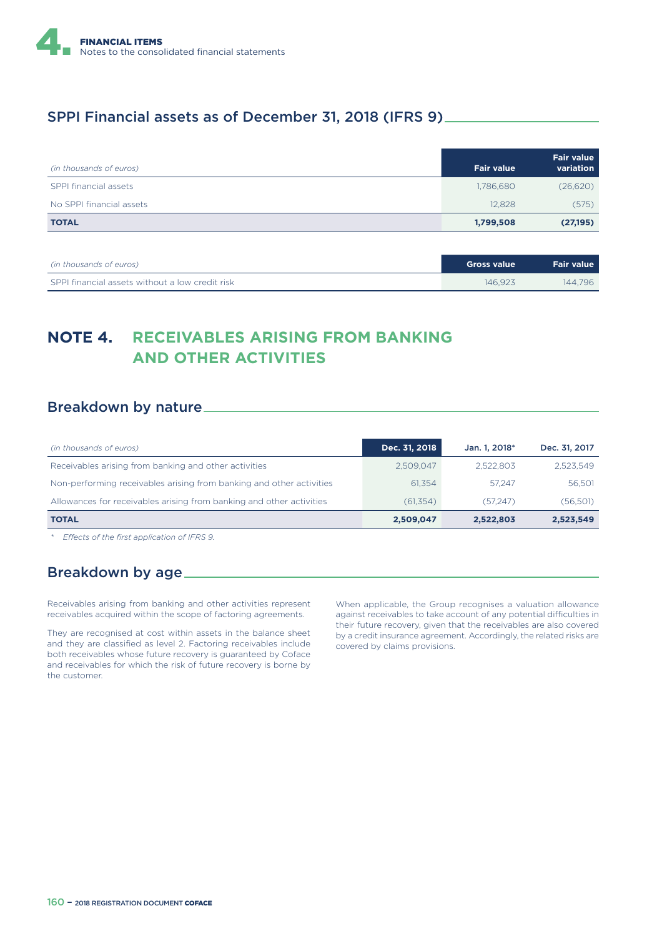

#### SPPI Financial assets as of December 31, 2018 (IFRS 9)

| (in thousands of euros)  | <b>Fair value</b> | <b>Fair value</b><br>variation |
|--------------------------|-------------------|--------------------------------|
| SPPI financial assets    | 1,786,680         | (26,620)                       |
| No SPPI financial assets | 12.828            | (575)                          |
| <b>TOTAL</b>             | 1,799,508         | (27, 195)                      |

| (in thousands of euros)                         | Gross value | <b>Fair value</b> |
|-------------------------------------------------|-------------|-------------------|
| SPPI financial assets without a low credit risk | 146 923     | 144.796           |

## **NOTE 4. RECEIVABLES ARISING FROM BANKING AND OTHER ACTIVITIES**

#### Breakdown by nature

| (in thousands of euros)                                              | Dec. 31, 2018 | Jan. 1, 2018* | Dec. 31, 2017 |
|----------------------------------------------------------------------|---------------|---------------|---------------|
| Receivables arising from banking and other activities                | 2.509.047     | 2.522.803     | 2.523.549     |
| Non-performing receivables arising from banking and other activities | 61.354        | 57.247        | 56.501        |
| Allowances for receivables arising from banking and other activities | (61, 354)     | (57.247)      | (56,501)      |
| <b>TOTAL</b>                                                         | 2,509,047     | 2,522,803     | 2,523,549     |

*\* E9ects of the first application of IFRS 9.*

#### Breakdown by age

Receivables arising from banking and other activities represent receivables acquired within the scope of factoring agreements.

They are recognised at cost within assets in the balance sheet and they are classified as level 2. Factoring receivables include both receivables whose future recovery is guaranteed by Coface and receivables for which the risk of future recovery is borne by the customer.

When applicable, the Group recognises a valuation allowance against receivables to take account of any potential difficulties in their future recovery, given that the receivables are also covered by a credit insurance agreement. Accordingly, the related risks are covered by claims provisions.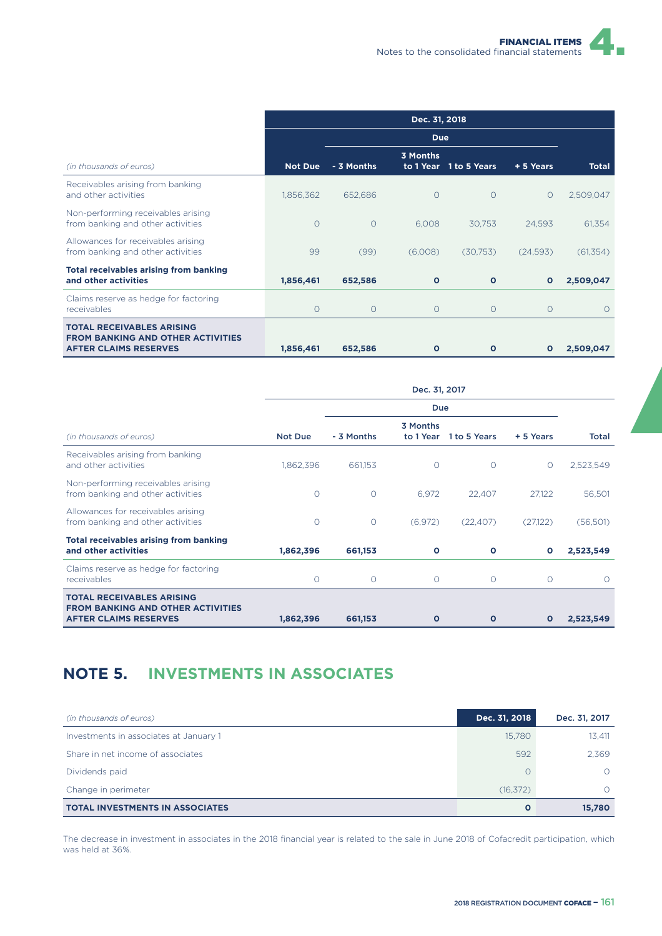|                                                                                                              |                |            | Dec. 31, 2018 |                        |              |              |
|--------------------------------------------------------------------------------------------------------------|----------------|------------|---------------|------------------------|--------------|--------------|
|                                                                                                              | <b>Due</b>     |            |               |                        |              |              |
| (in thousands of euros)                                                                                      | <b>Not Due</b> | - 3 Months | 3 Months      | to 1 Year 1 to 5 Years | + 5 Years    | <b>Total</b> |
| Receivables arising from banking<br>and other activities                                                     | 1,856,362      | 652,686    | $\circ$       | $\circ$                | $\circ$      | 2,509,047    |
| Non-performing receivables arising<br>from banking and other activities                                      | $\circ$        | $\circ$    | 6.008         | 30.753                 | 24.593       | 61.354       |
| Allowances for receivables arising<br>from banking and other activities                                      | 99             | (99)       | (6,008)       | (30,753)               | (24,593)     | (61, 354)    |
| <b>Total receivables arising from banking</b><br>and other activities                                        | 1,856,461      | 652,586    | $\mathbf{o}$  | $\mathbf{o}$           | $\mathbf{o}$ | 2,509,047    |
| Claims reserve as hedge for factoring<br>receivables                                                         | O              | O          | $\circ$       | O                      | $\circ$      | $\Omega$     |
| <b>TOTAL RECEIVABLES ARISING</b><br><b>FROM BANKING AND OTHER ACTIVITIES</b><br><b>AFTER CLAIMS RESERVES</b> | 1,856,461      | 652,586    | $\mathbf{o}$  | $\mathbf{o}$           | $\mathbf{o}$ | 2,509,047    |

|                                                                                                              | Dec. 31, 2017 |            |                       |              |              |           |
|--------------------------------------------------------------------------------------------------------------|---------------|------------|-----------------------|--------------|--------------|-----------|
|                                                                                                              |               |            | <b>Due</b>            |              |              |           |
| (in thousands of euros)                                                                                      | Not Due       | - 3 Months | 3 Months<br>to 1 Year | 1 to 5 Years | + 5 Years    | Total     |
| Receivables arising from banking<br>and other activities                                                     | 1,862,396     | 661,153    | $\circ$               | $\Omega$     | O            | 2,523,549 |
| Non-performing receivables arising<br>from banking and other activities                                      | O             | $\circ$    | 6,972                 | 22,407       | 27,122       | 56,501    |
| Allowances for receivables arising<br>from banking and other activities                                      | O             | $\circ$    | (6,972)               | (22, 407)    | (27,122)     | (56, 501) |
| <b>Total receivables arising from banking</b><br>and other activities                                        | 1,862,396     | 661,153    | $\circ$               | O            | $\mathbf{o}$ | 2,523,549 |
| Claims reserve as hedge for factoring<br><i>receivables</i>                                                  | $\circ$       | $\Omega$   | $\circ$               | $\circ$      | $\circ$      | $\Omega$  |
| <b>TOTAL RECEIVABLES ARISING</b><br><b>FROM BANKING AND OTHER ACTIVITIES</b><br><b>AFTER CLAIMS RESERVES</b> | 1,862,396     | 661,153    | $\mathbf{o}$          | $\mathbf{o}$ | Ο            | 2,523,549 |

## **NOTE 5. INVESTMENTS IN ASSOCIATES**

| (in thousands of euros)                | Dec. 31, 2018 | Dec. 31, 2017 |
|----------------------------------------|---------------|---------------|
| Investments in associates at January 1 | 15,780        | 13.411        |
| Share in net income of associates      | 592           | 2.369         |
| Dividends paid                         |               |               |
| Change in perimeter                    | (16, 372)     |               |
| <b>TOTAL INVESTMENTS IN ASSOCIATES</b> | $\mathbf{o}$  | 15,780        |

The decrease in investment in associates in the 2018 financial year is related to the sale in June 2018 of Cofacredit participation, which was held at 36%.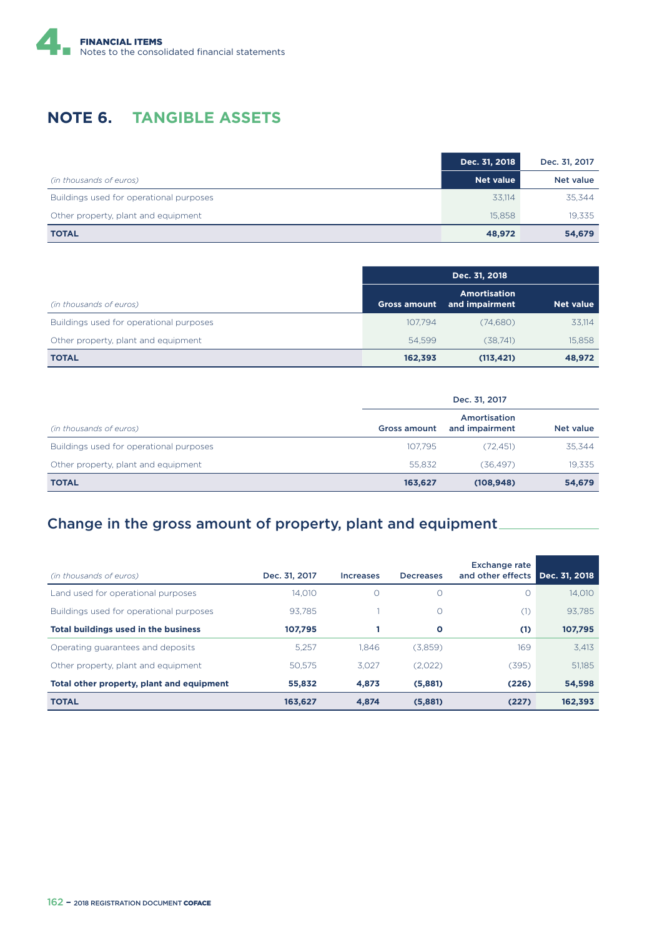

## **NOTE 6. TANGIBLE ASSETS**

|                                         | Dec. 31, 2018    | Dec. 31, 2017 |
|-----------------------------------------|------------------|---------------|
| (in thousands of euros)                 | <b>Net value</b> | Net value     |
| Buildings used for operational purposes | 33.114           | 35,344        |
| Other property, plant and equipment     | 15.858           | 19,335        |
| <b>TOTAL</b>                            | 48,972           | 54,679        |

| (in thousands of euros)                 | <b>Gross amount</b> | <b>Amortisation</b><br>and impairment | Net value |
|-----------------------------------------|---------------------|---------------------------------------|-----------|
| Buildings used for operational purposes | 107.794             | (74.680)                              | 33,114    |
| Other property, plant and equipment     | 54.599              | (38.741)                              | 15,858    |
| <b>TOTAL</b>                            | 162,393             | (113, 421)                            | 48,972    |

|                                         | Dec. 31, 2017 |                                |           |  |  |  |
|-----------------------------------------|---------------|--------------------------------|-----------|--|--|--|
| (in thousands of euros)                 | Gross amount  | Amortisation<br>and impairment | Net value |  |  |  |
| Buildings used for operational purposes | 107.795       | (72.451)                       | 35,344    |  |  |  |
| Other property, plant and equipment     | 55.832        | (36.497)                       | 19,335    |  |  |  |
| <b>TOTAL</b>                            | 163,627       | (108, 948)                     | 54,679    |  |  |  |

## Change in the gross amount of property, plant and equipment

| (in thousands of euros)                     | Dec. 31, 2017 | <i><u><b>Increases</b></u></i> | <b>Decreases</b> | <b>Exchange rate</b><br>and other effects Dec. 31, 2018 |         |
|---------------------------------------------|---------------|--------------------------------|------------------|---------------------------------------------------------|---------|
| Land used for operational purposes          | 14.010        | O                              | O                | $\left( \right)$                                        | 14,010  |
| Buildings used for operational purposes     | 93.785        |                                | $\Omega$         | (1)                                                     | 93.785  |
| <b>Total buildings used in the business</b> | 107.795       |                                | O                | (1)                                                     | 107,795 |
| Operating guarantees and deposits           | 5.257         | 1.846                          | (3,859)          | 169                                                     | 3.413   |
| Other property, plant and equipment         | 50.575        | 3.027                          | (2,022)          | (395)                                                   | 51,185  |
| Total other property, plant and equipment   | 55,832        | 4,873                          | (5,881)          | (226)                                                   | 54,598  |
| <b>TOTAL</b>                                | 163,627       | 4.874                          | (5,881)          | (227)                                                   | 162.393 |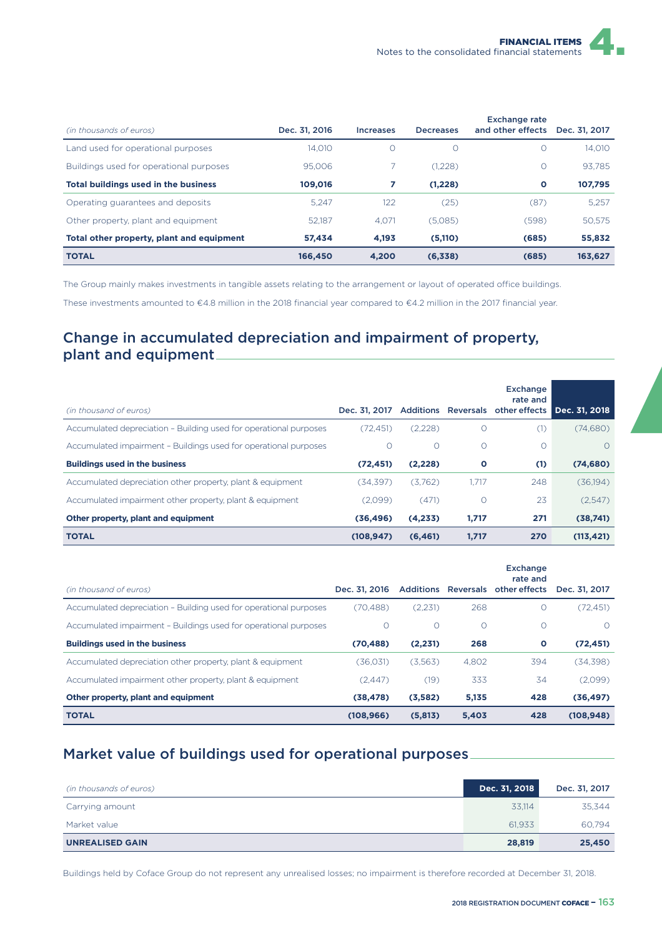| (in thousands of euros)                     | Dec. 31, 2016 | <b>Increases</b> | <b>Decreases</b> | <b>Exchange rate</b><br>and other effects | Dec. 31, 2017 |
|---------------------------------------------|---------------|------------------|------------------|-------------------------------------------|---------------|
|                                             |               |                  |                  |                                           |               |
| Land used for operational purposes          | 14.010        | $\circ$          | $\Omega$         | $\Omega$                                  | 14.010        |
| Buildings used for operational purposes     | 95,006        |                  | (1,228)          | $\Omega$                                  | 93.785        |
| <b>Total buildings used in the business</b> | 109,016       | 7                | (1.228)          | $\circ$                                   | 107,795       |
| Operating guarantees and deposits           | 5.247         | 122              | (25)             | (87)                                      | 5.257         |
| Other property, plant and equipment         | 52.187        | 4.071            | (5,085)          | (598)                                     | 50.575        |
| Total other property, plant and equipment   | 57.434        | 4.193            | (5,110)          | (685)                                     | 55,832        |
| <b>TOTAL</b>                                | 166,450       | 4.200            | (6,338)          | (685)                                     | 163,627       |

The Group mainly makes investments in tangible assets relating to the arrangement or layout of operated office buildings.

These investments amounted to €4.8 million in the 2018 financial year compared to €4.2 million in the 2017 financial year.

#### Change in accumulated depreciation and impairment of property, plant and equipment

| (in thousand of euros)                                            | Dec. 31, 2017 |          |       | <b>Exchange</b><br>rate and<br>Additions Reversals other effects | Dec. 31, 2018 |
|-------------------------------------------------------------------|---------------|----------|-------|------------------------------------------------------------------|---------------|
| Accumulated depreciation - Building used for operational purposes | (72.451)      | (2,228)  | O     | (1)                                                              | (74,680)      |
| Accumulated impairment - Buildings used for operational purposes  | 0             | $\circ$  | O     | $\Omega$                                                         | $\bigcirc$    |
| <b>Buildings used in the business</b>                             | (72, 451)     | (2,228)  | O     | (1)                                                              | (74, 680)     |
| Accumulated depreciation other property, plant & equipment        | (34.397)      | (3.762)  | 1.717 | 248                                                              | (36,194)      |
| Accumulated impairment other property, plant & equipment          | (2,099)       | (471)    | O     | 23                                                               | (2,547)       |
| Other property, plant and equipment                               | (36, 496)     | (4,233)  | 1,717 | 271                                                              | (38,741)      |
| <b>TOTAL</b>                                                      | (108, 947)    | (6, 461) | 1,717 | 270                                                              | (113, 421)    |

| (in thousand of euros)                                            | Dec. 31, 2016 |         |          | <b>Exchange</b><br>rate and<br>Additions Reversals other effects | Dec. 31, 2017 |
|-------------------------------------------------------------------|---------------|---------|----------|------------------------------------------------------------------|---------------|
| Accumulated depreciation - Building used for operational purposes | (70.488)      | (2.231) | 268      | O                                                                | (72, 451)     |
| Accumulated impairment - Buildings used for operational purposes  | $\Omega$      | $\circ$ | $\Omega$ | $\Omega$                                                         | $\bigcirc$    |
| <b>Buildings used in the business</b>                             | (70, 488)     | (2,231) | 268      | О                                                                | (72, 451)     |
| Accumulated depreciation other property, plant & equipment        | (36,031)      | (3,563) | 4.802    | 394                                                              | (34, 398)     |
| Accumulated impairment other property, plant & equipment          | (2.447)       | (19)    | 333      | 34                                                               | (2,099)       |
| Other property, plant and equipment                               | (38, 478)     | (3,582) | 5,135    | 428                                                              | (36, 497)     |
| <b>TOTAL</b>                                                      | (108, 966)    | (5,813) | 5,403    | 428                                                              | (108, 948)    |

#### Market value of buildings used for operational purposes

| (in thousands of euros) | Dec. 31, 2018 | Dec. 31, 2017 |
|-------------------------|---------------|---------------|
| Carrying amount         | 33.114        | 35.344        |
| Market value            | 61.933        | 60.794        |
| <b>UNREALISED GAIN</b>  | 28,819        | 25,450        |

Buildings held by Coface Group do not represent any unrealised losses; no impairment is therefore recorded at December 31, 2018.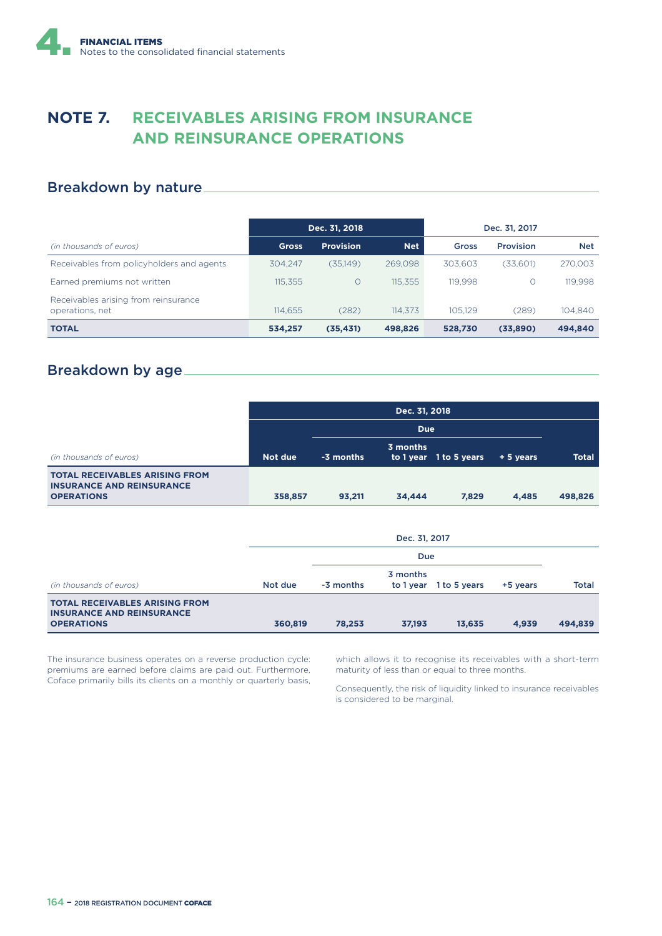## **NOTE 7. RECEIVABLES ARISING FROM INSURANCE AND REINSURANCE OPERATIONS**

#### Breakdown by nature

|                                                         | Dec. 31, 2018 |                  |            | Dec. 31, 2017 |                  |            |
|---------------------------------------------------------|---------------|------------------|------------|---------------|------------------|------------|
| (in thousands of euros)                                 | <b>Gross</b>  | <b>Provision</b> | <b>Net</b> | Gross         | <b>Provision</b> | <b>Net</b> |
| Receivables from policyholders and agents               | 304.247       | (35,149)         | 269.098    | 303.603       | (33,601)         | 270,003    |
| Earned premiums not written                             | 115,355       | $\Omega$         | 115.355    | 119.998       | $\Omega$         | 119.998    |
| Receivables arising from reinsurance<br>operations, net | 114.655       | (282)            | 114.373    | 105.129       | (289)            | 104.840    |
| <b>TOTAL</b>                                            | 534,257       | (35, 431)        | 498,826    | 528,730       | (33,890)         | 494,840    |

#### Breakdown by age

|                                                                                                | Dec. 31, 2018 |           |          |                        |          |              |  |
|------------------------------------------------------------------------------------------------|---------------|-----------|----------|------------------------|----------|--------------|--|
|                                                                                                |               |           |          |                        |          |              |  |
| (in thousands of euros)                                                                        | Not due       | -3 months | 3 months | to 1 year 1 to 5 years | +5 years | <b>Total</b> |  |
| <b>TOTAL RECEIVABLES ARISING FROM</b><br><b>INSURANCE AND REINSURANCE</b><br><b>OPERATIONS</b> | 358,857       | 93,211    | 34,444   | 7,829                  | 4,485    | 498,826      |  |

|                                                                                                | Dec. 31, 2017 |           |                       |              |          |              |  |
|------------------------------------------------------------------------------------------------|---------------|-----------|-----------------------|--------------|----------|--------------|--|
|                                                                                                | Due           |           |                       |              |          |              |  |
| (in thousands of euros)                                                                        | Not due       | -3 months | 3 months<br>to 1 year | 1 to 5 years | +5 years | <b>Total</b> |  |
| <b>TOTAL RECEIVABLES ARISING FROM</b><br><b>INSURANCE AND REINSURANCE</b><br><b>OPERATIONS</b> | 360,819       | 78,253    | 37,193                | 13,635       | 4,939    | 494,839      |  |

The insurance business operates on a reverse production cycle: premiums are earned before claims are paid out. Furthermore, Coface primarily bills its clients on a monthly or quarterly basis, which allows it to recognise its receivables with a short-term maturity of less than or equal to three months.

Consequently, the risk of liquidity linked to insurance receivables is considered to be marginal.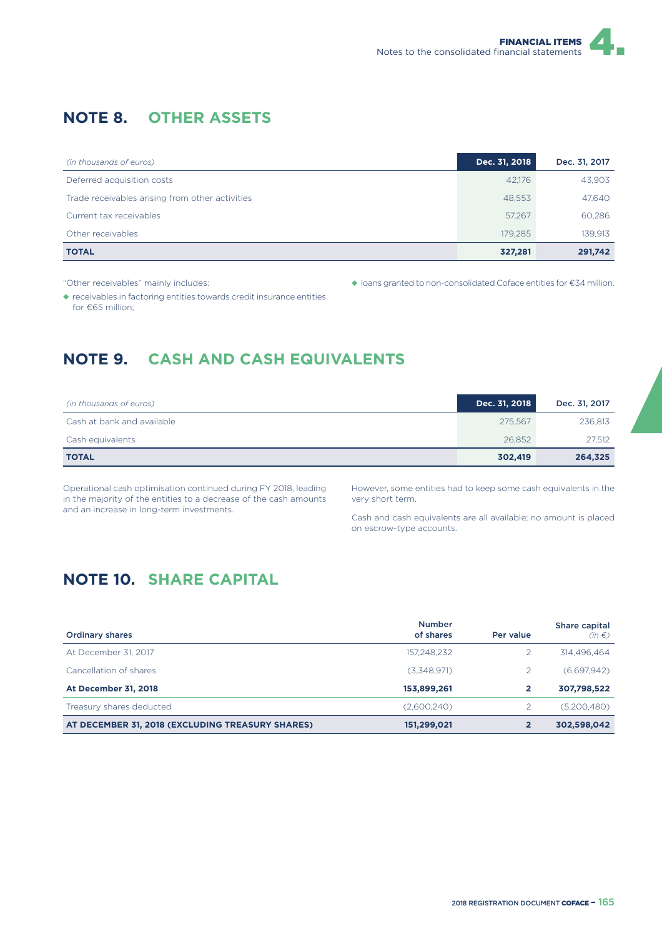## **NOTE 8. OTHER ASSETS**

| (in thousands of euros)                         | Dec. 31, 2018 | Dec. 31, 2017 |
|-------------------------------------------------|---------------|---------------|
| Deferred acquisition costs                      | 42.176        | 43,903        |
| Trade receivables arising from other activities | 48,553        | 47,640        |
| Current tax receivables                         | 57,267        | 60,286        |
| Other receivables                               | 179.285       | 139,913       |
| <b>TOTAL</b>                                    | 327,281       | 291,742       |

"Other receivables" mainly includes:

◆ loans granted to non-consolidated Coface entities for €34 million.

◆ receivables in factoring entities towards credit insurance entities for €65 million;

## **NOTE 9. CASH AND CASH EQUIVALENTS**

| (in thousands of euros)    | Dec. 31, 2018 | Dec. 31, 2017 |
|----------------------------|---------------|---------------|
| Cash at bank and available | 275.567       | 236,813       |
| Cash equivalents           | 26.852        | 27.512        |
| <b>TOTAL</b>               | 302,419       | 264,325       |

Operational cash optimisation continued during FY 2018, leading in the majority of the entities to a decrease of the cash amounts and an increase in long-term investments.

However, some entities had to keep some cash equivalents in the very short term.

Cash and cash equivalents are all available; no amount is placed on escrow-type accounts.

## **NOTE 10. SHARE CAPITAL**

| <b>Ordinary shares</b>                           | <b>Number</b><br>of shares | Per value | Share capital<br>$(in \in)$ |
|--------------------------------------------------|----------------------------|-----------|-----------------------------|
| At December 31, 2017                             | 157.248.232                |           | 314,496,464                 |
| Cancellation of shares                           | (3,348,971)                |           | (6,697,942)                 |
| <b>At December 31, 2018</b>                      | 153,899,261                |           | 307,798,522                 |
| Treasury shares deducted                         | (2,600,240)                |           | (5,200,480)                 |
| AT DECEMBER 31, 2018 (EXCLUDING TREASURY SHARES) | 151,299,021                |           | 302,598,042                 |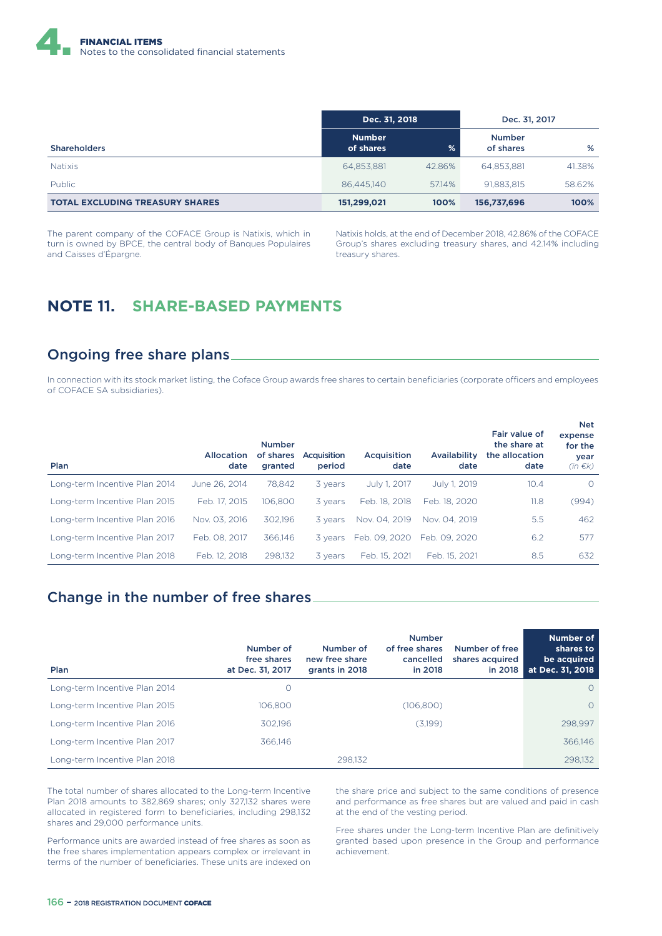

|                                        | Dec. 31, 2018              |        | Dec. 31, 2017              |        |
|----------------------------------------|----------------------------|--------|----------------------------|--------|
| <b>Shareholders</b>                    | <b>Number</b><br>of shares | %      | <b>Number</b><br>of shares | %      |
| <b>Natixis</b>                         | 64,853,881                 | 42.86% | 64.853.881                 | 41.38% |
| <b>Public</b>                          | 86.445.140                 | 57.14% | 91.883.815                 | 58.62% |
| <b>TOTAL EXCLUDING TREASURY SHARES</b> | 151,299,021                | 100%   | 156,737,696                | 100%   |

The parent company of the COFACE Group is Natixis, which in turn is owned by BPCE, the central body of Banques Populaires and Caisses d'Épargne.

Natixis holds, at the end of December 2018, 42.86% of the COFACE Group's shares excluding treasury shares, and 42.14% including treasury shares.

#### **NOTE 11. SHARE-BASED PAYMENTS**

#### Ongoing free share plans

In connection with its stock market listing, the Coface Group awards free shares to certain beneficiaries (corporate officers and employees of COFACE SA subsidiaries).

| Plan                          | <b>Allocation</b><br>date | <b>Number</b><br>of shares<br>granted | Acquisition<br>period | Acquisition<br>date | Availability<br>date | Fair value of<br>the share at<br>the allocation<br>date | <b>Net</b><br>expense<br>for the<br>year<br>$(in \in k)$ |
|-------------------------------|---------------------------|---------------------------------------|-----------------------|---------------------|----------------------|---------------------------------------------------------|----------------------------------------------------------|
| Long-term Incentive Plan 2014 | June 26, 2014             | 78.842                                | 3 years               | July 1, 2017        | July 1, 2019         | 10.4                                                    | $\circ$                                                  |
| Long-term Incentive Plan 2015 | Feb. 17, 2015             | 106.800                               | 3 years               | Feb. 18, 2018       | Feb. 18, 2020        | 11.8                                                    | (994)                                                    |
| Long-term Incentive Plan 2016 | Nov. 03, 2016             | 302.196                               | 3 years               | Nov. 04, 2019       | Nov. 04, 2019        | 5.5                                                     | 462                                                      |
| Long-term Incentive Plan 2017 | Feb. 08, 2017             | 366,146                               | 3 vears               | Feb. 09. 2020       | Feb. 09. 2020        | 6.2                                                     | 577                                                      |
| Long-term Incentive Plan 2018 | Feb. 12, 2018             | 298.132                               | 3 years               | Feb. 15, 2021       | Feb. 15, 2021        | 8.5                                                     | 632                                                      |

#### Change in the number of free shares

| Plan                          | Number of<br>free shares<br>at Dec. 31, 2017 | Number of<br>new free share<br>grants in 2018 | <b>Number</b><br>of free shares<br>cancelled<br>in 2018 | Number of free<br>shares acquired<br>in 2018 | <b>Number of</b><br>shares to<br>be acquired<br>at Dec. 31, 2018 |
|-------------------------------|----------------------------------------------|-----------------------------------------------|---------------------------------------------------------|----------------------------------------------|------------------------------------------------------------------|
| Long-term Incentive Plan 2014 | O                                            |                                               |                                                         |                                              | $\Omega$                                                         |
| Long-term Incentive Plan 2015 | 106,800                                      |                                               | (106.800)                                               |                                              | $\Omega$                                                         |
| Long-term Incentive Plan 2016 | 302.196                                      |                                               | (3,199)                                                 |                                              | 298.997                                                          |
| Long-term Incentive Plan 2017 | 366,146                                      |                                               |                                                         |                                              | 366,146                                                          |
| Long-term Incentive Plan 2018 |                                              | 298.132                                       |                                                         |                                              | 298.132                                                          |

The total number of shares allocated to the Long-term Incentive Plan 2018 amounts to 382,869 shares; only 327,132 shares were allocated in registered form to beneficiaries, including 298,132 shares and 29,000 performance units.

Performance units are awarded instead of free shares as soon as the free shares implementation appears complex or irrelevant in terms of the number of beneficiaries. These units are indexed on

the share price and subject to the same conditions of presence and performance as free shares but are valued and paid in cash at the end of the vesting period.

Free shares under the Long-term Incentive Plan are definitively granted based upon presence in the Group and performance achievement.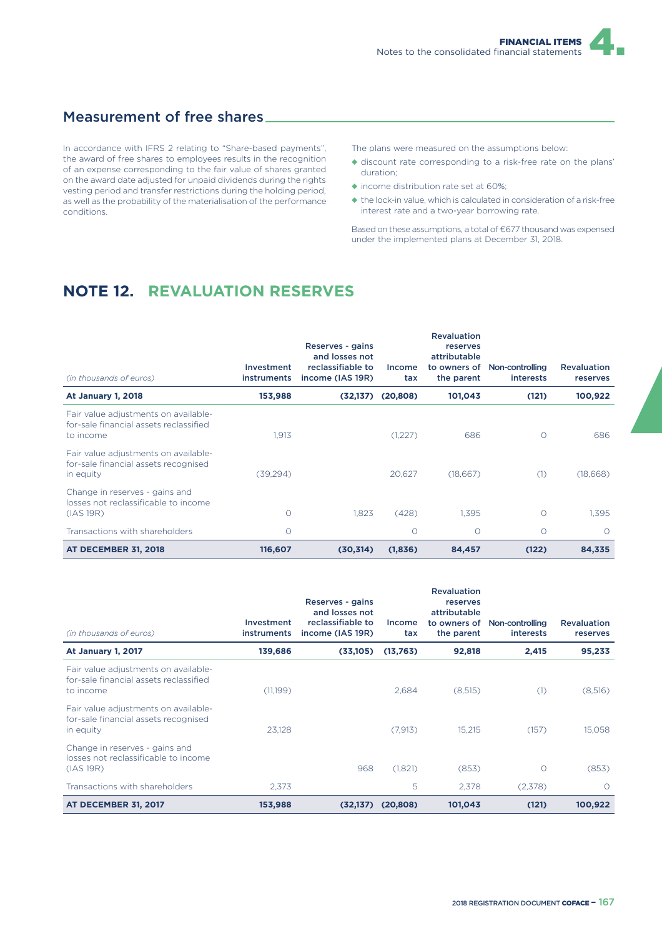#### Measurement of free shares

In accordance with IFRS 2 relating to "Share-based payments", the award of free shares to employees results in the recognition of an expense corresponding to the fair value of shares granted on the award date adjusted for unpaid dividends during the rights vesting period and transfer restrictions during the holding period, as well as the probability of the materialisation of the performance conditions.

The plans were measured on the assumptions below:

- ◆ discount rate corresponding to a risk-free rate on the plans' duration;
- ◆ income distribution rate set at 60%;
- ◆ the lock-in value, which is calculated in consideration of a risk-free interest rate and a two-year borrowing rate.

Based on these assumptions, a total of €677 thousand was expensed under the implemented plans at December 31, 2018.

### **NOTE 12. REVALUATION RESERVES**

| (in thousands of euros)                                                                     | Investment<br><b>instruments</b> | Reserves - gains<br>and losses not<br>reclassifiable to<br>income (IAS 19R) | Income<br>tax | <b>Revaluation</b><br>reserves<br>attributable<br>to owners of<br>the parent | Non-controlling<br><i>interests</i> | <b>Revaluation</b><br>reserves |
|---------------------------------------------------------------------------------------------|----------------------------------|-----------------------------------------------------------------------------|---------------|------------------------------------------------------------------------------|-------------------------------------|--------------------------------|
| <b>At January 1, 2018</b>                                                                   | 153,988                          | (32, 137)                                                                   | (20, 808)     | 101,043                                                                      | (121)                               | 100,922                        |
| Fair value adjustments on available-<br>for-sale financial assets reclassified<br>to income | 1.913                            |                                                                             | (1,227)       | 686                                                                          | $\Omega$                            | 686                            |
| Fair value adjustments on available-<br>for-sale financial assets recognised<br>in equity   | (39, 294)                        |                                                                             | 20,627        | (18,667)                                                                     | (1)                                 | (18,668)                       |
| Change in reserves - gains and<br>losses not reclassificable to income<br>(IAS 19R)         | $\circ$                          | 1.823                                                                       | (428)         | 1.395                                                                        | $\Omega$                            | 1.395                          |
| Transactions with shareholders                                                              | O                                |                                                                             | Ω             | O                                                                            | Ω                                   | $\Omega$                       |
| <b>AT DECEMBER 31, 2018</b>                                                                 | 116,607                          | (30, 314)                                                                   | (1,836)       | 84,457                                                                       | (122)                               | 84,335                         |

| (in thousands of euros)                                                                     | Investment<br><b>instruments</b> | Reserves - gains<br>and losses not<br>reclassifiable to<br>income (IAS 19R) | Income<br>tax | <b>Revaluation</b><br>reserves<br>attributable<br>to owners of<br>the parent | Non-controlling<br><i>interests</i> | <b>Revaluation</b><br>reserves |
|---------------------------------------------------------------------------------------------|----------------------------------|-----------------------------------------------------------------------------|---------------|------------------------------------------------------------------------------|-------------------------------------|--------------------------------|
| <b>At January 1, 2017</b>                                                                   | 139,686                          | (33,105)                                                                    | (13,763)      | 92,818                                                                       | 2,415                               | 95,233                         |
| Fair value adjustments on available-<br>for-sale financial assets reclassified<br>to income | (11,199)                         |                                                                             | 2,684         | (8,515)                                                                      | (1)                                 | (8,516)                        |
| Fair value adjustments on available-<br>for-sale financial assets recognised<br>in equity   | 23.128                           |                                                                             | (7, 913)      | 15,215                                                                       | (157)                               | 15,058                         |
| Change in reserves - gains and<br>losses not reclassificable to income<br>(IAS 19R)         |                                  | 968                                                                         | (1,821)       | (853)                                                                        | $\Omega$                            | (853)                          |
| Transactions with shareholders                                                              | 2,373                            |                                                                             | 5             | 2,378                                                                        | (2,378)                             | $\circ$                        |
| <b>AT DECEMBER 31, 2017</b>                                                                 | 153,988                          | (32, 137)                                                                   | (20, 808)     | 101,043                                                                      | (121)                               | 100,922                        |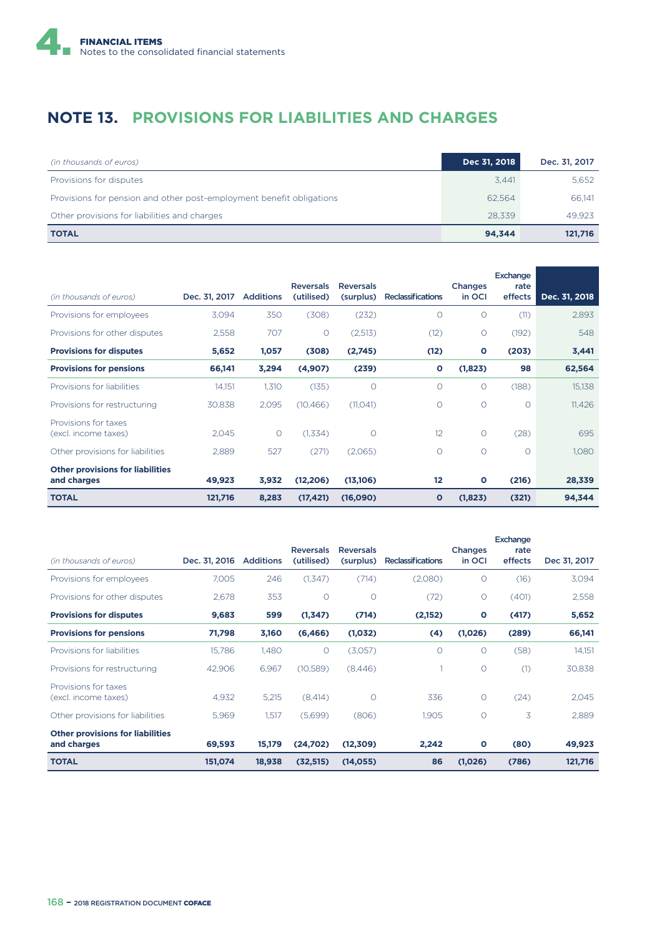

## **NOTE 13. PROVISIONS FOR LIABILITIES AND CHARGES**

| (in thousands of euros)                                              | Dec 31, 2018 | Dec. 31, 2017 |
|----------------------------------------------------------------------|--------------|---------------|
| Provisions for disputes                                              | 3.441        | 5,652         |
| Provisions for pension and other post-employment benefit obligations | 62.564       | 66.141        |
| Other provisions for liabilities and charges                         | 28.339       | 49.923        |
| <b>TOTAL</b>                                                         | 94.344       | 121,716       |

|                                                        |               |                  | <b>Reversals</b> | <b>Reversals</b> |                          | Changes      | <b>Exchange</b><br>rate |               |
|--------------------------------------------------------|---------------|------------------|------------------|------------------|--------------------------|--------------|-------------------------|---------------|
| (in thousands of euros)                                | Dec. 31, 2017 | <b>Additions</b> | (utilised)       | (surplus)        | <b>Reclassifications</b> | in OCI       | effects                 | Dec. 31, 2018 |
| Provisions for employees                               | 3,094         | 350              | (308)            | (232)            | $\circ$                  | 0            | (11)                    | 2,893         |
| Provisions for other disputes                          | 2,558         | 707              | O                | (2,513)          | (12)                     | $\circ$      | (192)                   | 548           |
| <b>Provisions for disputes</b>                         | 5,652         | 1,057            | (308)            | (2,745)          | (12)                     | $\mathbf{o}$ | (203)                   | 3,441         |
| <b>Provisions for pensions</b>                         | 66,141        | 3,294            | (4,907)          | (239)            | O                        | (1,823)      | 98                      | 62,564        |
| Provisions for liabilities                             | 14,151        | 1,310            | (135)            | $\circ$          | $\circ$                  | O            | (188)                   | 15,138        |
| Provisions for restructuring                           | 30,838        | 2,095            | (10, 466)        | (11, 041)        | $\circ$                  | $\circ$      | $\circ$                 | 11,426        |
| Provisions for taxes<br>(excl. income taxes)           | 2,045         | $\circ$          | (1,334)          | $\circ$          | 12                       | 0            | (28)                    | 695           |
| Other provisions for liabilities                       | 2,889         | 527              | (271)            | (2,065)          | $\circ$                  | $\circ$      | $\circ$                 | 1,080         |
| <b>Other provisions for liabilities</b><br>and charges | 49,923        | 3,932            | (12, 206)        | (13,106)         | $12 \overline{ }$        | $\mathbf{o}$ | (216)                   | 28,339        |
| <b>TOTAL</b>                                           | 121,716       | 8,283            | (17, 421)        | (16,090)         | $\mathbf{o}$             | (1,823)      | (321)                   | 94,344        |

|                                                        |               |                  |                                |                               |                          |                   | Exchange        |              |
|--------------------------------------------------------|---------------|------------------|--------------------------------|-------------------------------|--------------------------|-------------------|-----------------|--------------|
| (in thousands of euros)                                | Dec. 31, 2016 | <b>Additions</b> | <b>Reversals</b><br>(utilised) | <b>Reversals</b><br>(surplus) | <b>Reclassifications</b> | Changes<br>in OCI | rate<br>effects | Dec 31, 2017 |
| Provisions for employees                               | 7.005         | 246              | (1,347)                        | (714)                         | (2,080)                  | $\circ$           | (16)            | 3,094        |
| Provisions for other disputes                          | 2.678         | 353              | $\circ$                        | $\circ$                       | (72)                     | $\circ$           | (401)           | 2,558        |
| <b>Provisions for disputes</b>                         | 9,683         | 599              | (1,347)                        | (714)                         | (2,152)                  | $\mathbf{o}$      | (417)           | 5,652        |
| <b>Provisions for pensions</b>                         | 71,798        | 3,160            | (6, 466)                       | (1,032)                       | (4)                      | (1,026)           | (289)           | 66,141       |
| Provisions for liabilities                             | 15,786        | 1,480            | $\circ$                        | (3,057)                       | 0                        | $\circ$           | (58)            | 14,151       |
| Provisions for restructuring                           | 42,906        | 6,967            | (10,589)                       | (8,446)                       |                          | $\circ$           | (1)             | 30,838       |
| Provisions for taxes<br>(excl. income taxes)           | 4,932         | 5,215            | (8,414)                        | $\circ$                       | 336                      | $\circ$           | (24)            | 2,045        |
| Other provisions for liabilities                       | 5,969         | 1,517            | (5,699)                        | (806)                         | 1,905                    | $\circ$           | 3               | 2,889        |
| <b>Other provisions for liabilities</b><br>and charges | 69,593        | 15,179           | (24,702)                       | (12, 309)                     | 2,242                    | $\mathbf{o}$      | (80)            | 49,923       |
| <b>TOTAL</b>                                           | 151,074       | 18,938           | (32, 515)                      | (14, 055)                     | 86                       | (1,026)           | (786)           | 121,716      |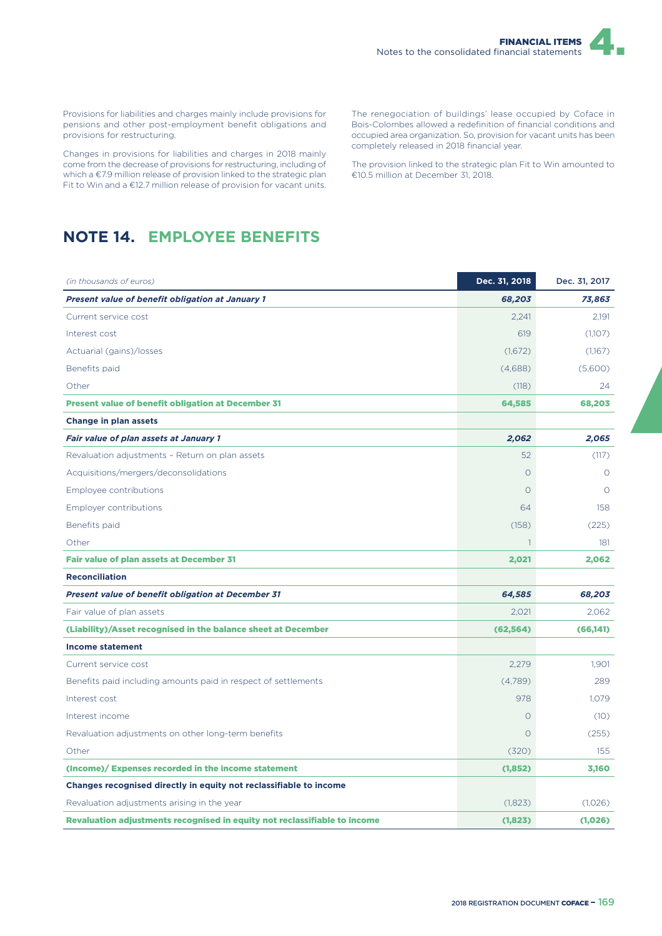Provisions for liabilities and charges mainly include provisions for pensions and other post-employment benefit obligations and provisions for restructuring.

Changes in provisions for liabilities and charges in 2018 mainly come from the decrease of provisions for restructuring, including of which a €7.9 million release of provision linked to the strategic plan Fit to Win and a €12.7 million release of provision for vacant units.

The renegociation of buildings' lease occupied by Coface in Bois-Colombes allowed a redefinition of financial conditions and occupied area organization. So, provision for vacant units has been completely released in 2018 financial year.

The provision linked to the strategic plan Fit to Win amounted to €10.5 million at December 31, 2018.

## **NOTE 14. EMPLOYEE BENEFITS**

| (in thousands of euros)                                                   | Dec. 31, 2018 | Dec. 31, 2017 |
|---------------------------------------------------------------------------|---------------|---------------|
| <b>Present value of benefit obligation at January 1</b>                   | 68,203        | 73,863        |
| Current service cost                                                      | 2.241         | 2.191         |
| Interest cost                                                             | 619           | (1,107)       |
| Actuarial (gains)/losses                                                  | (1,672)       | (1,167)       |
| Benefits paid                                                             | (4,688)       | (5,600)       |
| Other                                                                     | (118)         | 24            |
| <b>Present value of benefit obligation at December 31</b>                 | 64,585        | 68,203        |
| <b>Change in plan assets</b>                                              |               |               |
| <b>Fair value of plan assets at January 1</b>                             | 2,062         | 2,065         |
| Revaluation adjustments - Return on plan assets                           | 52            | (117)         |
| Acquisitions/mergers/deconsolidations                                     | $\circ$       | $\bigcirc$    |
| Employee contributions                                                    | $\circ$       | $\Omega$      |
| Employer contributions                                                    | 64            | 158           |
| Benefits paid                                                             | (158)         | (225)         |
| Other                                                                     | $\mathbf{1}$  | 181           |
| <b>Fair value of plan assets at December 31</b>                           | 2,021         | 2,062         |
| <b>Reconciliation</b>                                                     |               |               |
| <b>Present value of benefit obligation at December 31</b>                 | 64,585        | 68,203        |
| Fair value of plan assets                                                 | 2.021         | 2.062         |
| (Liability)/Asset recognised in the balance sheet at December             | (62, 564)     | (66, 141)     |
| <b>Income statement</b>                                                   |               |               |
| Current service cost                                                      | 2,279         | 1,901         |
| Benefits paid including amounts paid in respect of settlements            | (4,789)       | 289           |
| Interest cost                                                             | 978           | 1,079         |
| Interest income                                                           | $\circ$       | (10)          |
| Revaluation adjustments on other long-term benefits                       | $\Omega$      | (255)         |
| Other                                                                     | (320)         | 155           |
| (Income)/ Expenses recorded in the income statement                       | (1, 852)      | 3,160         |
| Changes recognised directly in equity not reclassifiable to income        |               |               |
| Revaluation adjustments arising in the year                               | (1,823)       | (1,026)       |
| Revaluation adjustments recognised in equity not reclassifiable to income | (1,823)       | (1,026)       |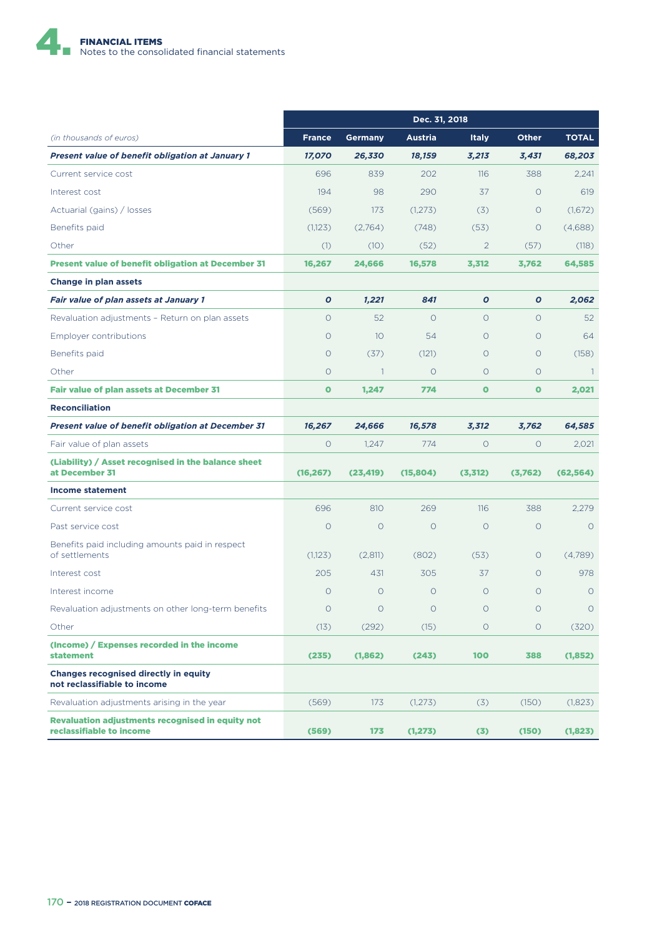

|                                                                                     | Dec. 31, 2018 |                 |                |                |              |                |
|-------------------------------------------------------------------------------------|---------------|-----------------|----------------|----------------|--------------|----------------|
| (in thousands of euros)                                                             | <b>France</b> | <b>Germany</b>  | <b>Austria</b> | <b>Italy</b>   | <b>Other</b> | <b>TOTAL</b>   |
| <b>Present value of benefit obligation at January 1</b>                             | 17,070        | 26,330          | 18,159         | 3,213          | 3,431        | 68,203         |
| Current service cost                                                                | 696           | 839             | 202            | 116            | 388          | 2.241          |
| Interest cost                                                                       | 194           | 98              | 290            | 37             | $\circ$      | 619            |
| Actuarial (gains) / losses                                                          | (569)         | 173             | (1,273)        | (3)            | $\circ$      | (1,672)        |
| Benefits paid                                                                       | (1,123)       | (2,764)         | (748)          | (53)           | $\circ$      | (4,688)        |
| Other                                                                               | (1)           | (10)            | (52)           | $\overline{2}$ | (57)         | (118)          |
| <b>Present value of benefit obligation at December 31</b>                           | 16,267        | 24.666          | 16.578         | 3,312          | 3,762        | 64,585         |
| <b>Change in plan assets</b>                                                        |               |                 |                |                |              |                |
| <b>Fair value of plan assets at January 1</b>                                       | $\mathbf o$   | 1,221           | 841            | $\mathbf o$    | $\mathbf o$  | 2,062          |
| Revaluation adjustments - Return on plan assets                                     | $\circ$       | 52              | $\Omega$       | $\Omega$       | $\Omega$     | 52             |
| Employer contributions                                                              | $\Omega$      | 10              | 54             | $\Omega$       | $\circ$      | 64             |
| Benefits paid                                                                       | $\circ$       | (37)            | (121)          | $\circ$        | $\circ$      | (158)          |
| Other                                                                               | $\circ$       | $\overline{1}$  | $\circ$        | $\Omega$       | $\circ$      | $\overline{1}$ |
| Fair value of plan assets at December 31                                            | $\mathbf{o}$  | 1,247           | 774            | $\bullet$      | $\bullet$    | 2,021          |
| <b>Reconciliation</b>                                                               |               |                 |                |                |              |                |
| <b>Present value of benefit obligation at December 31</b>                           | 16,267        | 24,666          | 16,578         | 3,312          | 3.762        | 64,585         |
| Fair value of plan assets                                                           | $\circ$       | 1.247           | 774            | $\circ$        | $\circ$      | 2,021          |
| (Liability) / Asset recognised in the balance sheet<br>at December 31               | (16, 267)     | (23, 419)       | (15,804)       | (3,312)        | (3,762)      | (62, 564)      |
| Income statement                                                                    |               |                 |                |                |              |                |
| Current service cost                                                                | 696           | 810             | 269            | 116            | 388          | 2,279          |
| Past service cost                                                                   | $\circ$       | $\circ$         | $\circ$        | $\circ$        | $\circ$      | $\circ$        |
| Benefits paid including amounts paid in respect<br>of settlements                   | (1,123)       | (2,811)         | (802)          | (53)           | $\circ$      | (4,789)        |
| Interest cost                                                                       | 205           | 431             | 305            | 37             | $\circ$      | 978            |
| Interest income                                                                     | $\circ$       | $\circ$         | $\circ$        | $\circ$        | $\Omega$     | $\circ$        |
| Revaluation adjustments on other long-term benefits                                 | $\circ$       | $\circ$         | $\circ$        | $\circ$        | $\circ$      | $\circ$        |
| Other                                                                               | (13)          | (292)           | (15)           | $\circ$        | $\circ$      | (320)          |
| (Income) / Expenses recorded in the income<br><b>statement</b>                      | (235)         | (1,862)         | (243)          | 100            | 388          | (1,852)        |
| <b>Changes recognised directly in equity</b><br>not reclassifiable to income        |               |                 |                |                |              |                |
| Revaluation adjustments arising in the year                                         | (569)         | 173             | (1,273)        | (3)            | (150)        | (1,823)        |
| <b>Revaluation adjustments recognised in equity not</b><br>reclassifiable to income | (569)         | 17 <sub>3</sub> | (1, 273)       | (3)            | (150)        | (1,823)        |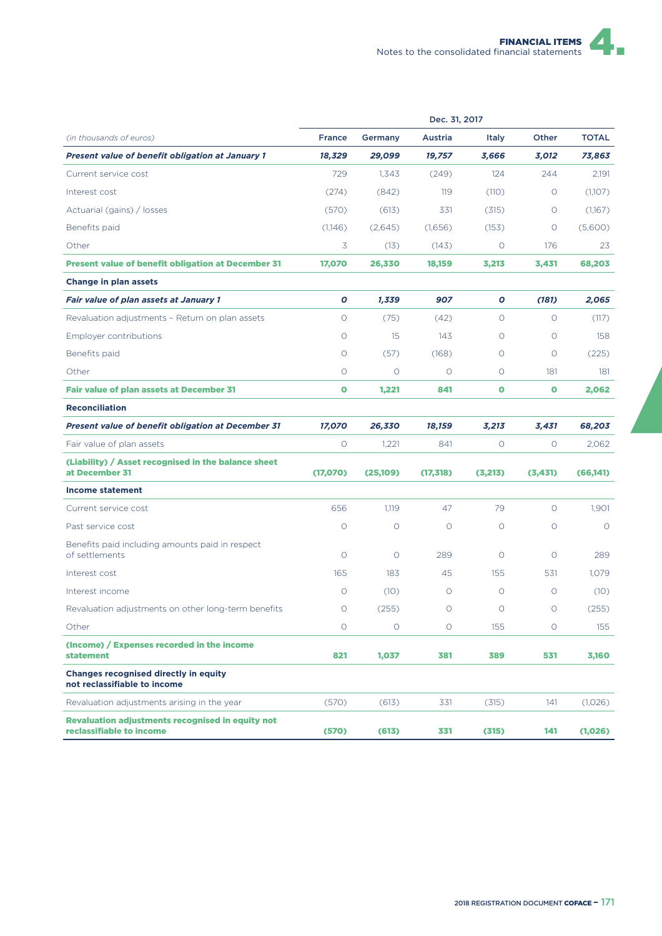| Dec. 31, 2017                                                                       |               |          |           |              |           |              |
|-------------------------------------------------------------------------------------|---------------|----------|-----------|--------------|-----------|--------------|
| (in thousands of euros)                                                             | <b>France</b> | Germany  | Austria   | <b>Italy</b> | Other     | <b>TOTAL</b> |
| <b>Present value of benefit obligation at January 1</b>                             | 18,329        | 29,099   | 19,757    | 3,666        | 3,012     | 73,863       |
| Current service cost                                                                | 729           | 1,343    | (249)     | 124          | 244       | 2,191        |
| Interest cost                                                                       | (274)         | (842)    | 119       | (110)        | $\circ$   | (1,107)      |
| Actuarial (gains) / losses                                                          | (570)         | (613)    | 331       | (315)        | O         | (1,167)      |
| Benefits paid                                                                       | (1,146)       | (2,645)  | (1.656)   | (153)        | $\circ$   | (5,600)      |
| Other                                                                               | 3             | (13)     | (143)     | $\circ$      | 176       | 23           |
| <b>Present value of benefit obligation at December 31</b>                           | 17,070        | 26,330   | 18,159    | 3,213        | 3,431     | 68,203       |
| <b>Change in plan assets</b>                                                        |               |          |           |              |           |              |
| <b>Fair value of plan assets at January 1</b>                                       | Ο             | 1,339    | 907       | O            | (181)     | 2,065        |
| Revaluation adjustments - Return on plan assets                                     | 0             | (75)     | (42)      | $\circ$      | $\circ$   | (117)        |
| Employer contributions                                                              | $\circ$       | 15       | 143       | $\circ$      | $\circ$   | 158          |
| Benefits paid                                                                       | $\circ$       | (57)     | (168)     | $\circ$      | $\circ$   | (225)        |
| Other                                                                               | $\circ$       | $\circ$  | $\circ$   | $\circ$      | 181       | 181          |
| <b>Fair value of plan assets at December 31</b>                                     | $\bullet$     | 1,221    | 841       | $\bullet$    | $\bullet$ | 2,062        |
| <b>Reconciliation</b>                                                               |               |          |           |              |           |              |
| <b>Present value of benefit obligation at December 31</b>                           | 17,070        | 26,330   | 18,159    | 3,213        | 3,431     | 68,203       |
| Fair value of plan assets                                                           | O             | 1,221    | 841       | $\circ$      | $\circ$   | 2,062        |
| (Liability) / Asset recognised in the balance sheet<br>at December 31               | (17,070)      | (25,109) | (17, 318) | (3,213)      | (3, 431)  | (66, 141)    |
| <b>Income statement</b>                                                             |               |          |           |              |           |              |
| Current service cost                                                                | 656           | 1,119    | 47        | 79           | $\circ$   | 1,901        |
| Past service cost                                                                   | $\circ$       | O        | $\circ$   | $\circ$      | $\circ$   | $\circ$      |
| Benefits paid including amounts paid in respect<br>of settlements                   | $\circ$       | O        | 289       | $\circ$      | $\circ$   | 289          |
| Interest cost                                                                       | 165           | 183      | 45        | 155          | 531       | 1,079        |
| Interest income                                                                     | $\circ$       | (10)     | $\circ$   | $\circ$      | $\circ$   | (10)         |
| Revaluation adjustments on other long-term benefits                                 | $\circ$       | (255)    | $\circ$   | $\circ$      | $\circ$   | (255)        |
| Other                                                                               | $\circ$       | $\circ$  | $\circ$   | 155          | $\circ$   | 155          |
| (Income) / Expenses recorded in the income<br><b>statement</b>                      | 821           | 1,037    | 381       | 389          | 531       | 3,160        |
| <b>Changes recognised directly in equity</b><br>not reclassifiable to income        |               |          |           |              |           |              |
| Revaluation adjustments arising in the year                                         | (570)         | (613)    | 331       | (315)        | 141       | (1,026)      |
| <b>Revaluation adjustments recognised in equity not</b><br>reclassifiable to income | (570)         | (613)    | 331       | (315)        | 141       | (1,026)      |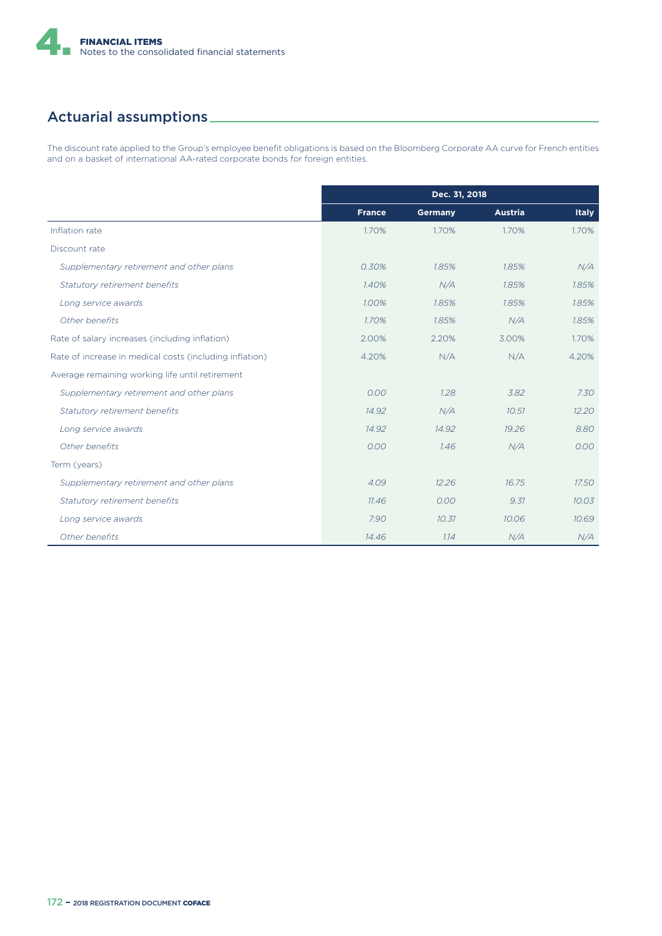

### Actuarial assumptions

The discount rate applied to the Group's employee benefit obligations is based on the Bloomberg Corporate AA curve for French entities and on a basket of international AA-rated corporate bonds for foreign entities.

|                                                         | Dec. 31, 2018 |                |                |              |  |
|---------------------------------------------------------|---------------|----------------|----------------|--------------|--|
|                                                         | <b>France</b> | <b>Germany</b> | <b>Austria</b> | <b>Italy</b> |  |
| Inflation rate                                          | 1.70%         | 1.70%          | 1.70%          | 1.70%        |  |
| Discount rate                                           |               |                |                |              |  |
| Supplementary retirement and other plans                | 0.30%         | 1.85%          | 1.85%          | N/A          |  |
| Statutory retirement benefits                           | 1.40%         | N/A            | 1.85%          | 1.85%        |  |
| Long service awards                                     | 1.00%         | 1.85%          | 1.85%          | 1.85%        |  |
| Other benefits                                          | 1.70%         | 1.85%          | N/A            | 1.85%        |  |
| Rate of salary increases (including inflation)          | 2.00%         | 2.20%          | 3.00%          | 1.70%        |  |
| Rate of increase in medical costs (including inflation) | 4.20%         | N/A            | N/A            | 4.20%        |  |
| Average remaining working life until retirement         |               |                |                |              |  |
| Supplementary retirement and other plans                | 0.00          | 1.28           | 3.82           | 7.30         |  |
| Statutory retirement benefits                           | 14.92         | N/A            | 10.51          | 12.20        |  |
| Long service awards                                     | 14.92         | 14.92          | 19.26          | 8.80         |  |
| Other benefits                                          | 0.00          | 1.46           | N/A            | 0.00         |  |
| Term (years)                                            |               |                |                |              |  |
| Supplementary retirement and other plans                | 4.09          | 12.26          | 16.75          | 17.50        |  |
| Statutory retirement benefits                           | 11.46         | 0.00           | 9.31           | 10.03        |  |
| Long service awards                                     | 7.90          | 10.31          | 10.06          | 10.69        |  |
| Other benefits                                          | 14.46         | 1.14           | N/A            | N/A          |  |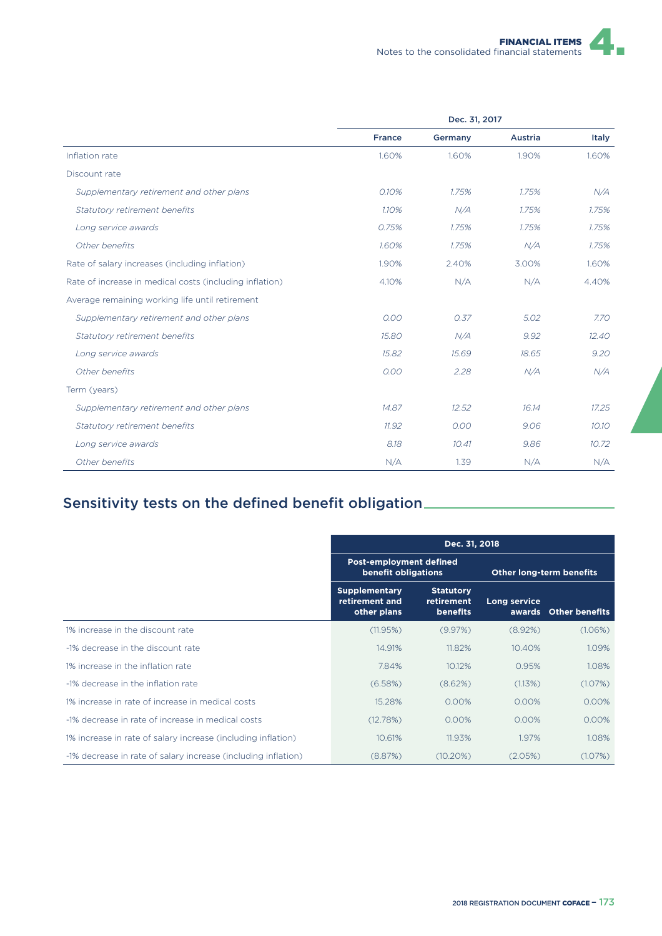|                                                         | Dec. 31, 2017 |         |         |       |  |
|---------------------------------------------------------|---------------|---------|---------|-------|--|
|                                                         | France        | Germany | Austria | Italy |  |
| Inflation rate                                          | 1.60%         | 1.60%   | 1.90%   | 1.60% |  |
| Discount rate                                           |               |         |         |       |  |
| Supplementary retirement and other plans                | 0.10%         | 1.75%   | 1.75%   | N/A   |  |
| Statutory retirement benefits                           | 1.10%         | N/A     | 1.75%   | 1.75% |  |
| Long service awards                                     | 0.75%         | 1.75%   | 1.75%   | 1.75% |  |
| Other benefits                                          | 1.60%         | 1.75%   | N/A     | 1.75% |  |
| Rate of salary increases (including inflation)          | 1.90%         | 2.40%   | 3.00%   | 1.60% |  |
| Rate of increase in medical costs (including inflation) | 4.10%         | N/A     | N/A     | 4.40% |  |
| Average remaining working life until retirement         |               |         |         |       |  |
| Supplementary retirement and other plans                | 0.00          | 0.37    | 5.02    | 7.70  |  |
| Statutory retirement benefits                           | 15.80         | N/A     | 9.92    | 12.40 |  |
| Long service awards                                     | 15.82         | 15.69   | 18.65   | 9.20  |  |
| Other benefits                                          | 0.00          | 2.28    | N/A     | N/A   |  |
| Term (years)                                            |               |         |         |       |  |
| Supplementary retirement and other plans                | 14.87         | 12.52   | 16.14   | 17.25 |  |
| Statutory retirement benefits                           | 11.92         | 0.00    | 9.06    | 10.10 |  |
| Long service awards                                     | 8.18          | 10.41   | 9.86    | 10.72 |  |
| Other benefits                                          | N/A           | 1.39    | N/A     | N/A   |  |

## Sensitivity tests on the defined benefit obligation

|                                                               | Dec. 31, 2018                                         |                                                   |                                 |                       |  |
|---------------------------------------------------------------|-------------------------------------------------------|---------------------------------------------------|---------------------------------|-----------------------|--|
|                                                               | <b>Post-employment defined</b><br>benefit obligations |                                                   | <b>Other long-term benefits</b> |                       |  |
|                                                               | <b>Supplementary</b><br>retirement and<br>other plans | <b>Statutory</b><br>retirement<br><b>benefits</b> | Long service                    | awards Other benefits |  |
| 1% increase in the discount rate                              | (11.95%)                                              | (9.97%)                                           | (8.92%)                         | (1.06%)               |  |
| -1% decrease in the discount rate                             | 14.91%                                                | 11.82%                                            | 10.40%                          | 1.09%                 |  |
| 1% increase in the inflation rate                             | 7.84%                                                 | 10.12%                                            | 0.95%                           | 1.08%                 |  |
| -1% decrease in the inflation rate                            | (6.58%)                                               | (8.62%)                                           | (1.13%)                         | (1.07%)               |  |
| 1% increase in rate of increase in medical costs              | 15.28%                                                | 0.00%                                             | 0.00%                           | $0.00\%$              |  |
| -1% decrease in rate of increase in medical costs             | (12.78%)                                              | 0.00%                                             | 0.00%                           | $0.00\%$              |  |
| 1% increase in rate of salary increase (including inflation)  | 10.61%                                                | 11.93%                                            | 1.97%                           | 1.08%                 |  |
| -1% decrease in rate of salary increase (including inflation) | (8.87%)                                               | $(10.20\%)$                                       | (2.05%)                         | (1.07%)               |  |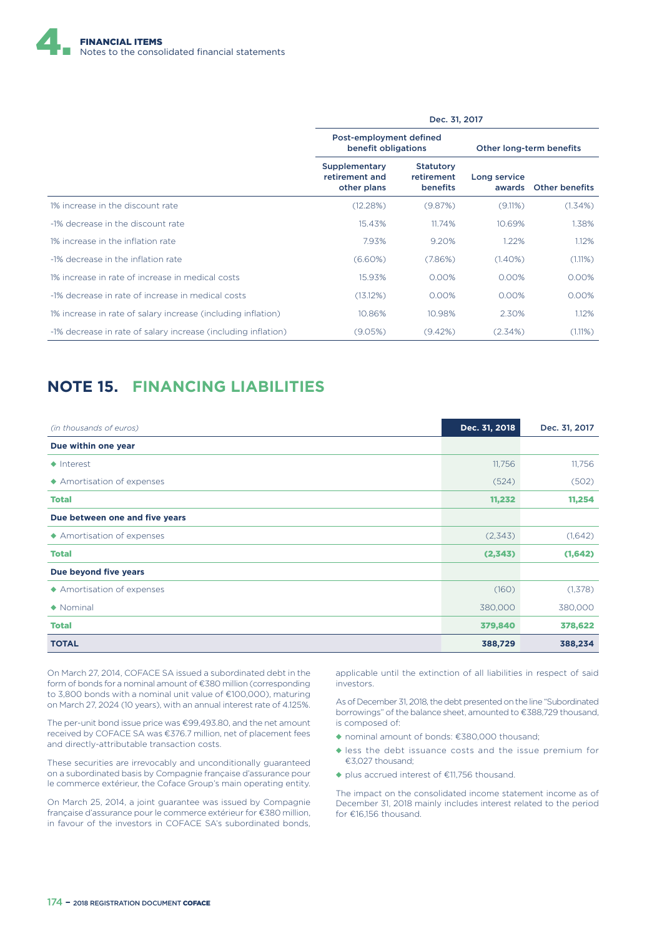

|                                                               | Dec. 31, 2017                                  |                                            |                          |                       |  |  |
|---------------------------------------------------------------|------------------------------------------------|--------------------------------------------|--------------------------|-----------------------|--|--|
|                                                               | Post-employment defined<br>benefit obligations |                                            | Other long-term benefits |                       |  |  |
|                                                               | Supplementary<br>retirement and<br>other plans | <b>Statutory</b><br>retirement<br>benefits | Long service<br>awards   | <b>Other benefits</b> |  |  |
| 1% increase in the discount rate                              | (12.28%)                                       | (9.87%)                                    | (9.11%)                  | $(1.34\%)$            |  |  |
| -1% decrease in the discount rate                             | 15.43%                                         | 11.74%                                     | 10.69%                   | 1.38%                 |  |  |
| 1% increase in the inflation rate                             | 7.93%                                          | 9.20%                                      | 1.22%                    | 1.12%                 |  |  |
| -1% decrease in the inflation rate                            | (6.60%)                                        | (7.86%)                                    | $(1.40\%)$               | (1.11%)               |  |  |
| 1% increase in rate of increase in medical costs              | 15.93%                                         | 0.00%                                      | 0.00%                    | 0.00%                 |  |  |
| -1% decrease in rate of increase in medical costs             | (13.12%)                                       | 0.00%                                      | 0.00%                    | 0.00%                 |  |  |
| 1% increase in rate of salary increase (including inflation)  | 10.86%                                         | 10.98%                                     | 2.30%                    | 1.12%                 |  |  |
| -1% decrease in rate of salary increase (including inflation) | (9.05%)                                        | $(9.42\%)$                                 | (2.34%)                  | $(1.11\%)$            |  |  |

#### **NOTE 15. FINANCING LIABILITIES**

| (in thousands of euros)        | Dec. 31, 2018 | Dec. 31, 2017 |
|--------------------------------|---------------|---------------|
| Due within one year            |               |               |
| $\triangle$ Interest           | 11,756        | 11,756        |
| ◆ Amortisation of expenses     | (524)         | (502)         |
| <b>Total</b>                   | 11,232        | 11,254        |
| Due between one and five years |               |               |
| ◆ Amortisation of expenses     | (2,343)       | (1,642)       |
| <b>Total</b>                   | (2,343)       | (1,642)       |
| Due beyond five years          |               |               |
| ◆ Amortisation of expenses     | (160)         | (1,378)       |
| $\blacklozenge$ Nominal        | 380,000       | 380,000       |
| <b>Total</b>                   | 379,840       | 378,622       |
| <b>TOTAL</b>                   | 388,729       | 388,234       |

On March 27, 2014, COFACE SA issued a subordinated debt in the form of bonds for a nominal amount of €380 million (corresponding to 3,800 bonds with a nominal unit value of €100,000), maturing on March 27, 2024 (10 years), with an annual interest rate of 4.125%.

The per-unit bond issue price was €99,493.80, and the net amount received by COFACE SA was €376.7 million, net of placement fees and directly-attributable transaction costs.

These securities are irrevocably and unconditionally guaranteed on a subordinated basis by Compagnie française d'assurance pour le commerce extérieur, the Coface Group's main operating entity.

On March 25, 2014, a joint guarantee was issued by Compagnie française d'assurance pour le commerce extérieur for €380 million, in favour of the investors in COFACE SA's subordinated bonds,

applicable until the extinction of all liabilities in respect of said investors.

As of December 31, 2018, the debt presented on the line "Subordinated borrowings" of the balance sheet, amounted to €388,729 thousand, is composed of:

- ◆ nominal amount of bonds: €380,000 thousand;
- ◆ less the debt issuance costs and the issue premium for €3,027 thousand;
- ◆ plus accrued interest of €11,756 thousand.

The impact on the consolidated income statement income as of December 31, 2018 mainly includes interest related to the period for €16,156 thousand.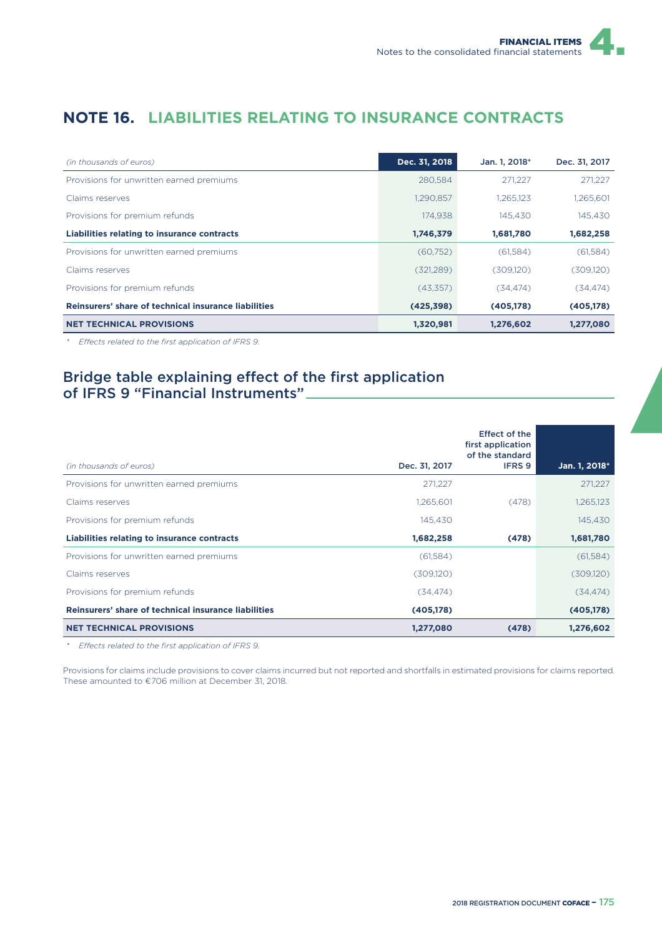## **NOTE 16. LIABILITIES RELATING TO INSURANCE CONTRACTS**

| (in thousands of euros)                              | Dec. 31, 2018 | Jan. 1, 2018* | Dec. 31, 2017 |
|------------------------------------------------------|---------------|---------------|---------------|
| Provisions for unwritten earned premiums             | 280.584       | 271.227       | 271,227       |
| Claims reserves                                      | 1,290,857     | 1.265.123     | 1,265,601     |
| Provisions for premium refunds                       | 174.938       | 145,430       | 145.430       |
| Liabilities relating to insurance contracts          | 1,746,379     | 1,681,780     | 1,682,258     |
| Provisions for unwritten earned premiums             | (60,752)      | (61,584)      | (61,584)      |
| Claims reserves                                      | (321, 289)    | (309, 120)    | (309, 120)    |
| Provisions for premium refunds                       | (43,357)      | (34.474)      | (34, 474)     |
| Reinsurers' share of technical insurance liabilities | (425, 398)    | (405, 178)    | (405, 178)    |
| <b>NET TECHNICAL PROVISIONS</b>                      | 1,320,981     | 1,276,602     | 1,277,080     |

*\* E9ects related to the first application of IFRS 9.*

#### Bridge table explaining effect of the first application of IFRS 9 "Financial Instruments"

| (in thousands of euros)                              | Dec. 31, 2017 | <b>Effect of the</b><br>first application<br>of the standard<br><b>IFRS 9</b> | Jan. 1, 2018* |
|------------------------------------------------------|---------------|-------------------------------------------------------------------------------|---------------|
| Provisions for unwritten earned premiums             | 271.227       |                                                                               | 271,227       |
| Claims reserves                                      | 1,265,601     | (478)                                                                         | 1,265,123     |
| Provisions for premium refunds                       | 145.430       |                                                                               | 145.430       |
| <b>Liabilities relating to insurance contracts</b>   | 1,682,258     | (478)                                                                         | 1,681,780     |
| Provisions for unwritten earned premiums             | (61,584)      |                                                                               | (61,584)      |
| Claims reserves                                      | (309, 120)    |                                                                               | (309,120)     |
| Provisions for premium refunds                       | (34, 474)     |                                                                               | (34, 474)     |
| Reinsurers' share of technical insurance liabilities | (405,178)     |                                                                               | (405, 178)    |
| <b>NET TECHNICAL PROVISIONS</b>                      | 1,277,080     | (478)                                                                         | 1,276,602     |

*\* E9ects related to the first application of IFRS 9.*

Provisions for claims include provisions to cover claims incurred but not reported and shortfalls in estimated provisions for claims reported. These amounted to €706 million at December 31, 2018.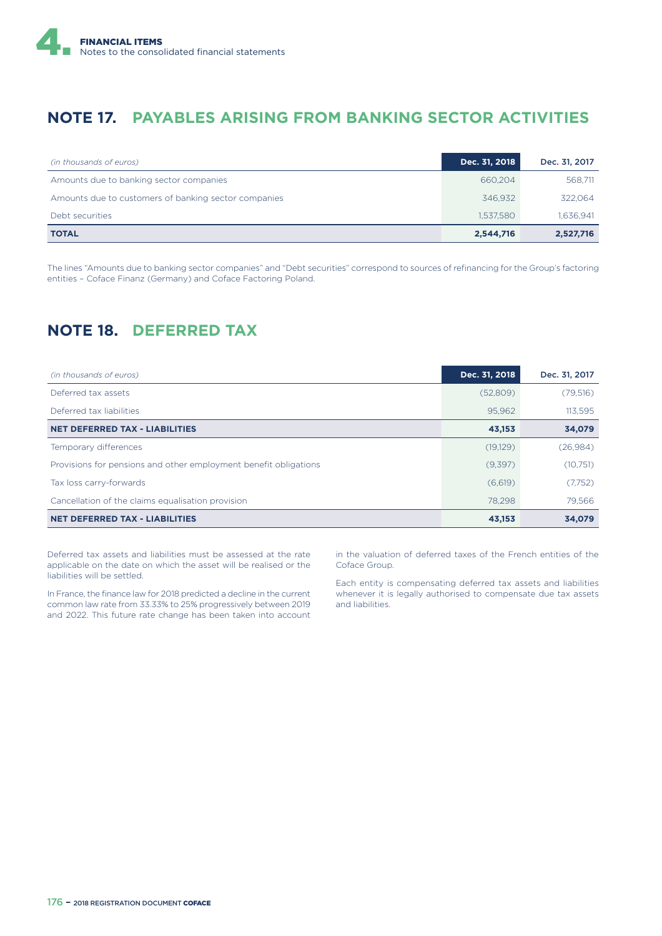

#### **NOTE 17. PAYABLES ARISING FROM BANKING SECTOR ACTIVITIES**

| (in thousands of euros)                              | Dec. 31, 2018 | Dec. 31, 2017 |
|------------------------------------------------------|---------------|---------------|
| Amounts due to banking sector companies              | 660.204       | 568,711       |
| Amounts due to customers of banking sector companies | 346.932       | 322.064       |
| Debt securities                                      | 1.537.580     | 1,636,941     |
| <b>TOTAL</b>                                         | 2,544,716     | 2,527,716     |

The lines "Amounts due to banking sector companies" and "Debt securities" correspond to sources of refinancing for the Group's factoring entities – Coface Finanz (Germany) and Coface Factoring Poland.

## **NOTE 18. DEFERRED TAX**

| (in thousands of euros)                                          | Dec. 31, 2018 | Dec. 31, 2017 |
|------------------------------------------------------------------|---------------|---------------|
| Deferred tax assets                                              | (52,809)      | (79,516)      |
| Deferred tax liabilities                                         | 95,962        | 113,595       |
| <b>NET DEFERRED TAX - LIABILITIES</b>                            | 43,153        | 34,079        |
| Temporary differences                                            | (19,129)      | (26,984)      |
| Provisions for pensions and other employment benefit obligations | (9,397)       | (10, 751)     |
| Tax loss carry-forwards                                          | (6,619)       | (7,752)       |
| Cancellation of the claims equalisation provision                | 78.298        | 79.566        |
| <b>NET DEFERRED TAX - LIABILITIES</b>                            | 43,153        | 34,079        |

Deferred tax assets and liabilities must be assessed at the rate applicable on the date on which the asset will be realised or the liabilities will be settled.

In France, the finance law for 2018 predicted a decline in the current common law rate from 33.33% to 25% progressively between 2019 and 2022. This future rate change has been taken into account in the valuation of deferred taxes of the French entities of the Coface Group.

Each entity is compensating deferred tax assets and liabilities whenever it is legally authorised to compensate due tax assets and liabilities.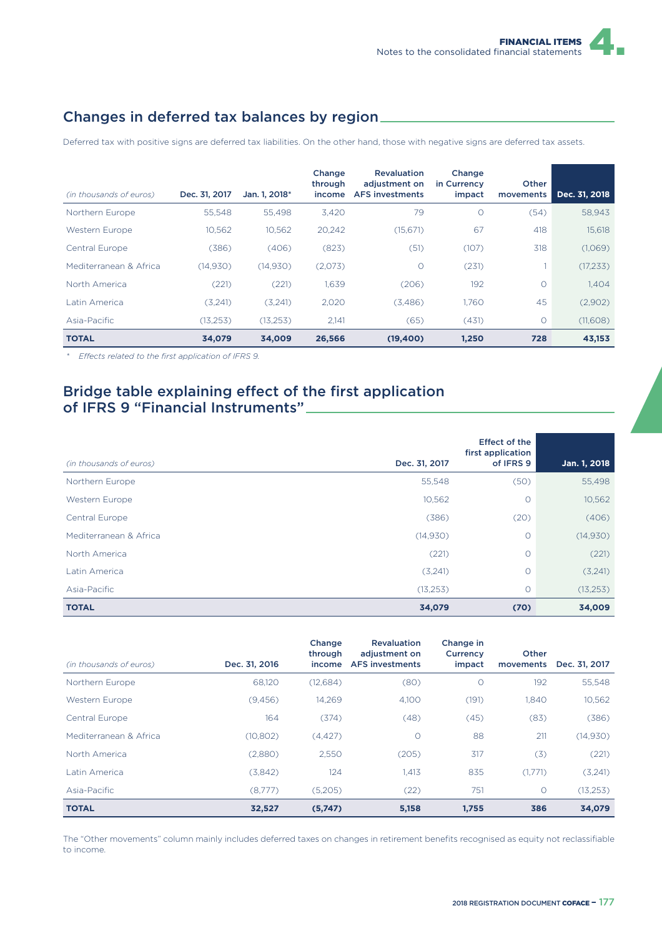### Changes in deferred tax balances by region

Deferred tax with positive signs are deferred tax liabilities. On the other hand, those with negative signs are deferred tax assets.

| (in thousands of euros) | Dec. 31, 2017 | Jan. 1, 2018* | Change<br>through<br>income | <b>Revaluation</b><br>adiustment on<br><b>AFS</b> investments | Change<br>in Currency<br>impact | <b>Other</b><br>movements | Dec. 31, 2018 |
|-------------------------|---------------|---------------|-----------------------------|---------------------------------------------------------------|---------------------------------|---------------------------|---------------|
| Northern Europe         | 55.548        | 55.498        | 3,420                       | 79                                                            | $\circ$                         | (54)                      | 58,943        |
| Western Europe          | 10,562        | 10,562        | 20,242                      | (15, 671)                                                     | 67                              | 418                       | 15,618        |
| Central Europe          | (386)         | (406)         | (823)                       | (51)                                                          | (107)                           | 318                       | (1,069)       |
| Mediterranean & Africa  | (14,930)      | (14,930)      | (2,073)                     | $\circ$                                                       | (231)                           |                           | (17,233)      |
| North America           | (221)         | (221)         | 1,639                       | (206)                                                         | 192                             | $\Omega$                  | 1,404         |
| Latin America           | (3,241)       | (3,241)       | 2.020                       | (3,486)                                                       | 1.760                           | 45                        | (2,902)       |
| Asia-Pacific            | (13, 253)     | (13, 253)     | 2.141                       | (65)                                                          | (431)                           | $\circ$                   | (11,608)      |
| <b>TOTAL</b>            | 34,079        | 34,009        | 26,566                      | (19,400)                                                      | 1,250                           | 728                       | 43,153        |

*\* E9ects related to the first application of IFRS 9.*

#### Bridge table explaining effect of the first application of IFRS 9 "Financial Instruments"

| (in thousands of euros) | Dec. 31, 2017 | <b>Effect of the</b><br>first application<br>of IFRS 9 | Jan. 1, 2018 |
|-------------------------|---------------|--------------------------------------------------------|--------------|
| Northern Europe         | 55,548        | (50)                                                   | 55,498       |
| Western Europe          | 10,562        | $\circ$                                                | 10,562       |
| Central Europe          | (386)         | (20)                                                   | (406)        |
| Mediterranean & Africa  | (14,930)      | $\circ$                                                | (14,930)     |
| North America           | (221)         | $\circ$                                                | (221)        |
| Latin America           | (3,241)       | $\circ$                                                | (3,241)      |
| Asia-Pacific            | (13, 253)     | $\circ$                                                | (13, 253)    |
| <b>TOTAL</b>            | 34,079        | (70)                                                   | 34,009       |

|                         |               | Change<br>through | <b>Revaluation</b><br>adjustment on | Change in<br>Currency | <b>Other</b> |               |
|-------------------------|---------------|-------------------|-------------------------------------|-----------------------|--------------|---------------|
| (in thousands of euros) | Dec. 31, 2016 | income            | <b>AFS</b> investments              | impact                | movements    | Dec. 31, 2017 |
| Northern Europe         | 68,120        | (12,684)          | (80)                                | $\circ$               | 192          | 55,548        |
| Western Europe          | (9,456)       | 14.269            | 4,100                               | (191)                 | 1.840        | 10,562        |
| Central Europe          | 164           | (374)             | (48)                                | (45)                  | (83)         | (386)         |
| Mediterranean & Africa  | (10, 802)     | (4, 427)          | $\circ$                             | 88                    | 211          | (14,930)      |
| North America           | (2,880)       | 2.550             | (205)                               | 317                   | (3)          | (221)         |
| Latin America           | (3,842)       | 124               | 1,413                               | 835                   | (1,771)      | (3,241)       |
| Asia-Pacific            | (8,777)       | (5,205)           | (22)                                | 751                   | $\circ$      | (13,253)      |
| <b>TOTAL</b>            | 32,527        | (5,747)           | 5,158                               | 1,755                 | 386          | 34,079        |

The "Other movements" column mainly includes deferred taxes on changes in retirement benefits recognised as equity not reclassifiable to income.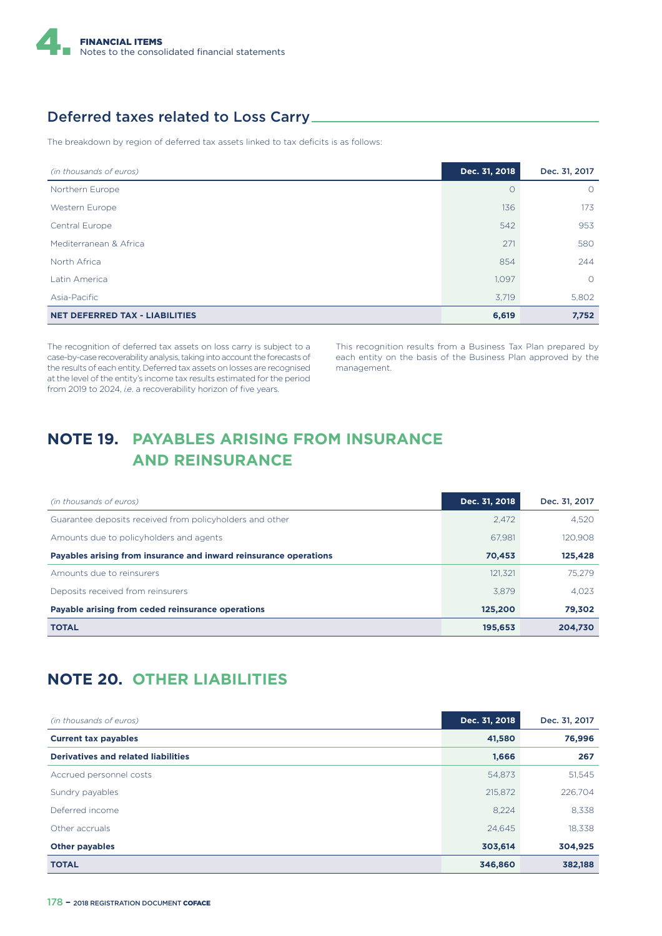

#### Deferred taxes related to Loss Carry

The breakdown by region of deferred tax assets linked to tax deficits is as follows:

| (in thousands of euros)               | Dec. 31, 2018 | Dec. 31, 2017 |
|---------------------------------------|---------------|---------------|
| Northern Europe                       | $\Omega$      | $\circ$       |
| Western Europe                        | 136           | 173           |
| <b>Central Europe</b>                 | 542           | 953           |
| Mediterranean & Africa                | 271           | 580           |
| North Africa                          | 854           | 244           |
| Latin America                         | 1,097         | $\circ$       |
| Asia-Pacific                          | 3,719         | 5,802         |
| <b>NET DEFERRED TAX - LIABILITIES</b> | 6,619         | 7,752         |

The recognition of deferred tax assets on loss carry is subject to a case-by-case recoverability analysis, taking into account the forecasts of the results of each entity. Deferred tax assets on losses are recognised at the level of the entity's income tax results estimated for the period from 2019 to 2024, *i.e*. a recoverability horizon of five years.

This recognition results from a Business Tax Plan prepared by each entity on the basis of the Business Plan approved by the management.

## **NOTE 19. PAYABLES ARISING FROM INSURANCE AND REINSURANCE**

| (in thousands of euros)                                           | Dec. 31, 2018 | Dec. 31, 2017 |
|-------------------------------------------------------------------|---------------|---------------|
| Guarantee deposits received from policyholders and other          | 2.472         | 4.520         |
| Amounts due to policyholders and agents                           | 67.981        | 120.908       |
| Payables arising from insurance and inward reinsurance operations | 70.453        | 125,428       |
| Amounts due to reinsurers                                         | 121.321       | 75.279        |
| Deposits received from reinsurers                                 | 3.879         | 4.023         |
| Payable arising from ceded reinsurance operations                 | 125.200       | 79,302        |
| <b>TOTAL</b>                                                      | 195,653       | 204.730       |

### **NOTE 20. OTHER LIABILITIES**

| (in thousands of euros)                    | Dec. 31, 2018 | Dec. 31, 2017 |
|--------------------------------------------|---------------|---------------|
| <b>Current tax payables</b>                | 41,580        | 76,996        |
| <b>Derivatives and related liabilities</b> | 1,666         | 267           |
| Accrued personnel costs                    | 54,873        | 51,545        |
| Sundry payables                            | 215,872       | 226,704       |
| Deferred income                            | 8,224         | 8,338         |
| Other accruals                             | 24,645        | 18,338        |
| <b>Other payables</b>                      | 303,614       | 304,925       |
| <b>TOTAL</b>                               | 346,860       | 382,188       |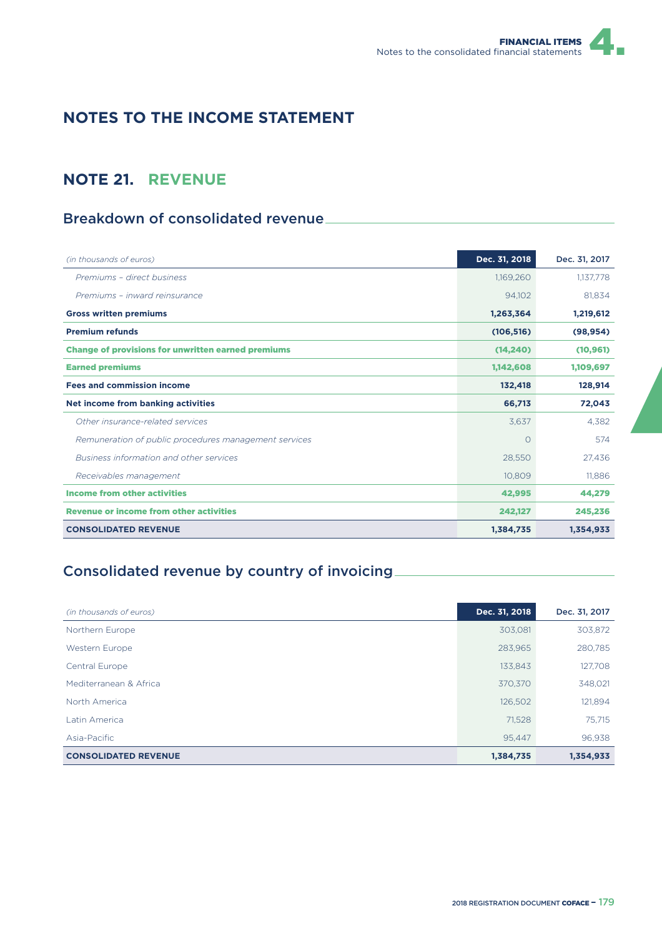## **NOTES TO THE INCOME STATEMENT**

### **NOTE 21. REVENUE**

### Breakdown of consolidated revenue

| (in thousands of euros)                                   | Dec. 31, 2018 | Dec. 31, 2017 |
|-----------------------------------------------------------|---------------|---------------|
| Premiums - direct business                                | 1,169,260     | 1,137,778     |
| Premiums - inward reinsurance                             | 94,102        | 81.834        |
| <b>Gross written premiums</b>                             | 1,263,364     | 1,219,612     |
| <b>Premium refunds</b>                                    | (106, 516)    | (98, 954)     |
| <b>Change of provisions for unwritten earned premiums</b> | (14.240)      | (10, 961)     |
| <b>Earned premiums</b>                                    | 1,142,608     | 1,109,697     |
| <b>Fees and commission income</b>                         | 132,418       | 128,914       |
| Net income from banking activities                        | 66,713        | 72,043        |
| Other insurance-related services                          | 3,637         | 4.382         |
| Remuneration of public procedures management services     | O             | 574           |
| Business information and other services                   | 28,550        | 27.436        |
| Receivables management                                    | 10,809        | 11.886        |
| <b>Income from other activities</b>                       | 42,995        | 44,279        |
| <b>Revenue or income from other activities</b>            | 242,127       | 245,236       |
| <b>CONSOLIDATED REVENUE</b>                               | 1,384,735     | 1,354,933     |

## Consolidated revenue by country of invoicing

| (in thousands of euros)     | Dec. 31, 2018 | Dec. 31, 2017 |
|-----------------------------|---------------|---------------|
| Northern Europe             | 303,081       | 303,872       |
| Western Europe              | 283,965       | 280,785       |
| Central Europe              | 133,843       | 127,708       |
| Mediterranean & Africa      | 370.370       | 348,021       |
| North America               | 126,502       | 121,894       |
| Latin America               | 71,528        | 75,715        |
| Asia-Pacific                | 95.447        | 96,938        |
| <b>CONSOLIDATED REVENUE</b> | 1,384,735     | 1,354,933     |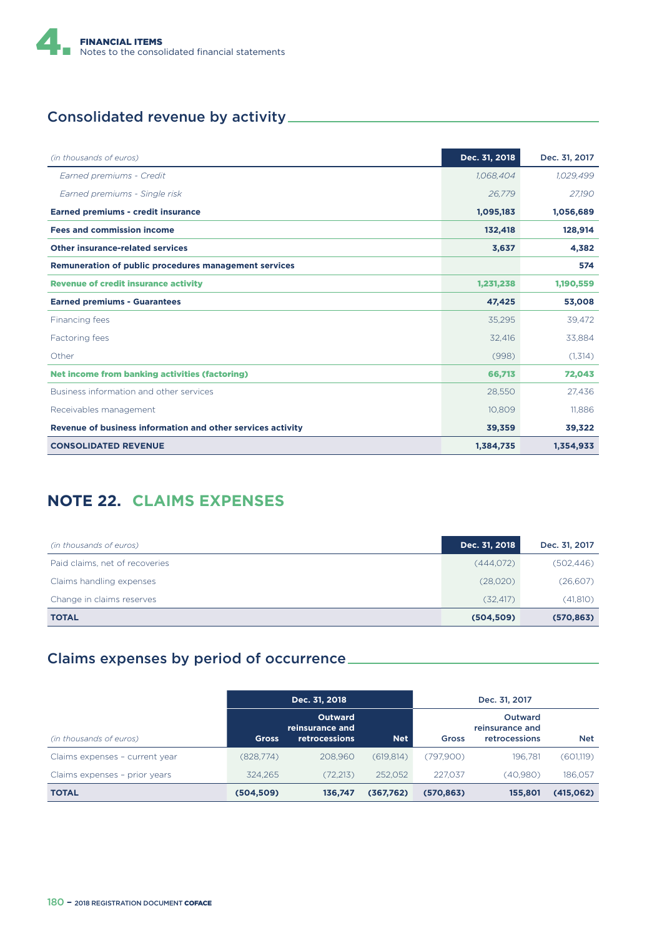

# Consolidated revenue by activity

| (in thousands of euros)                                     | Dec. 31, 2018 | Dec. 31, 2017 |
|-------------------------------------------------------------|---------------|---------------|
| Earned premiums - Credit                                    | 1,068,404     | 1,029,499     |
| Earned premiums - Single risk                               | 26,779        | 27,190        |
| <b>Earned premiums - credit insurance</b>                   | 1,095,183     | 1,056,689     |
| <b>Fees and commission income</b>                           | 132,418       | 128,914       |
| <b>Other insurance-related services</b>                     | 3,637         | 4,382         |
| Remuneration of public procedures management services       |               | 574           |
| <b>Revenue of credit insurance activity</b>                 | 1,231,238     | 1,190,559     |
| <b>Earned premiums - Guarantees</b>                         | 47,425        | 53,008        |
| Financing fees                                              | 35,295        | 39.472        |
| Factoring fees                                              | 32,416        | 33,884        |
| Other                                                       | (998)         | (1,314)       |
| <b>Net income from banking activities (factoring)</b>       | 66,713        | 72,043        |
| Business information and other services                     | 28,550        | 27.436        |
| Receivables management                                      | 10.809        | 11.886        |
| Revenue of business information and other services activity | 39,359        | 39,322        |
| <b>CONSOLIDATED REVENUE</b>                                 | 1,384,735     | 1,354,933     |

## **NOTE 22. CLAIMS EXPENSES**

| (in thousands of euros)        | Dec. 31, 2018 | Dec. 31, 2017 |
|--------------------------------|---------------|---------------|
| Paid claims, net of recoveries | (444,072)     | (502, 446)    |
| Claims handling expenses       | (28,020)      | (26,607)      |
| Change in claims reserves      | (32.417)      | (41, 810)     |
| <b>TOTAL</b>                   | (504, 509)    | (570, 863)    |

## Claims expenses by period of occurrence

|                                | Dec. 31, 2018 |                                                    |            | Dec. 31, 2017 |                                                    |            |
|--------------------------------|---------------|----------------------------------------------------|------------|---------------|----------------------------------------------------|------------|
| (in thousands of euros)        | <b>Gross</b>  | <b>Outward</b><br>reinsurance and<br>retrocessions | <b>Net</b> | <b>Gross</b>  | <b>Outward</b><br>reinsurance and<br>retrocessions | <b>Net</b> |
| Claims expenses - current year | (828,774)     | 208.960                                            | (619, 814) | (797,900)     | 196.781                                            | (601,119)  |
| Claims expenses - prior years  | 324.265       | (72, 213)                                          | 252.052    | 227.037       | (40,980)                                           | 186,057    |
| <b>TOTAL</b>                   | (504, 509)    | 136,747                                            | (367,762)  | (570, 863)    | 155,801                                            | (415,062)  |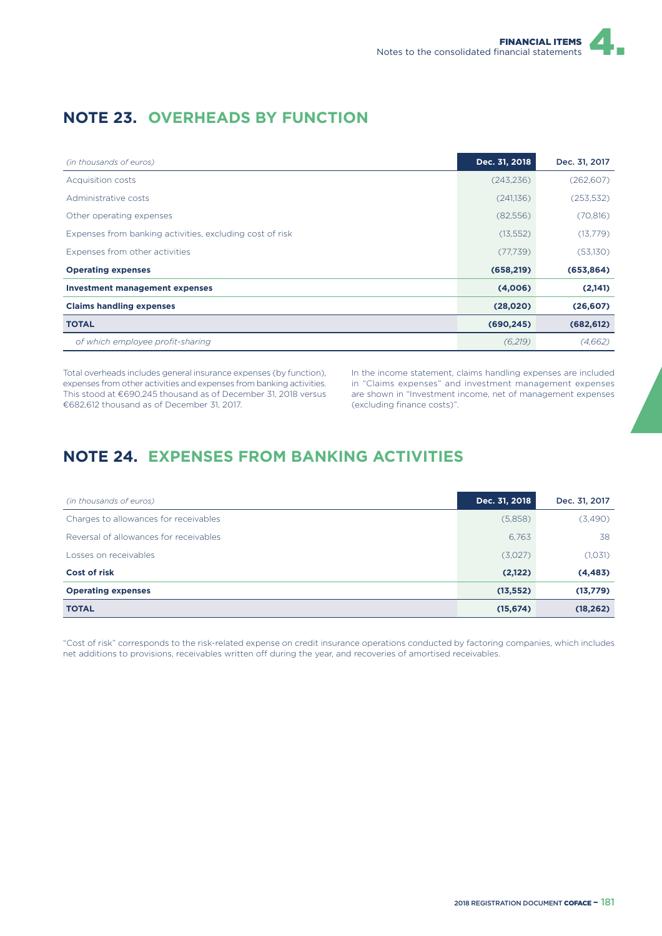## **NOTE 23. OVERHEADS BY FUNCTION**

| (in thousands of euros)                                  | Dec. 31, 2018 | Dec. 31, 2017 |
|----------------------------------------------------------|---------------|---------------|
| Acquisition costs                                        | (243, 236)    | (262, 607)    |
| Administrative costs                                     | (241,136)     | (253, 532)    |
| Other operating expenses                                 | (82, 556)     | (70, 816)     |
| Expenses from banking activities, excluding cost of risk | (13, 552)     | (13,779)      |
| Expenses from other activities                           | (77, 739)     | (53,130)      |
| <b>Operating expenses</b>                                | (658, 219)    | (653, 864)    |
| <b>Investment management expenses</b>                    | (4,006)       | (2,141)       |
| <b>Claims handling expenses</b>                          | (28,020)      | (26, 607)     |
| <b>TOTAL</b>                                             | (690, 245)    | (682, 612)    |
| of which employee profit-sharing                         | (6,219)       | (4,662)       |

Total overheads includes general insurance expenses (by function), expenses from other activities and expenses from banking activities. This stood at €690,245 thousand as of December 31, 2018 versus €682,612 thousand as of December 31, 2017.

In the income statement, claims handling expenses are included in "Claims expenses" and investment management expenses are shown in "Investment income, net of management expenses (excluding finance costs)".

## **NOTE 24. EXPENSES FROM BANKING ACTIVITIES**

| (in thousands of euros)                | Dec. 31, 2018 | Dec. 31, 2017 |
|----------------------------------------|---------------|---------------|
| Charges to allowances for receivables  | (5,858)       | (3,490)       |
| Reversal of allowances for receivables | 6,763         | 38            |
| Losses on receivables                  | (3,027)       | (1,031)       |
| Cost of risk                           | (2,122)       | (4, 483)      |
| <b>Operating expenses</b>              | (13, 552)     | (13,779)      |
| <b>TOTAL</b>                           | (15, 674)     | (18, 262)     |

"Cost of risk" corresponds to the risk-related expense on credit insurance operations conducted by factoring companies, which includes net additions to provisions, receivables written off during the year, and recoveries of amortised receivables.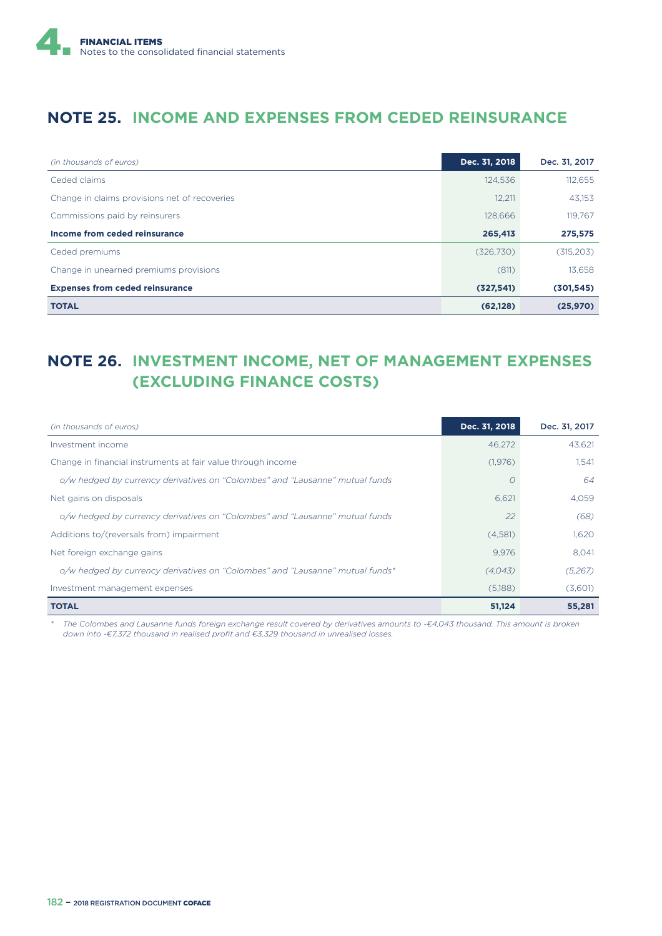

#### **NOTE 25. INCOME AND EXPENSES FROM CEDED REINSURANCE**

| (in thousands of euros)                       | Dec. 31, 2018 | Dec. 31, 2017 |
|-----------------------------------------------|---------------|---------------|
| Ceded claims                                  | 124,536       | 112,655       |
| Change in claims provisions net of recoveries | 12.211        | 43.153        |
| Commissions paid by reinsurers                | 128,666       | 119.767       |
| Income from ceded reinsurance                 | 265,413       | 275,575       |
| Ceded premiums                                | (326, 730)    | (315, 203)    |
| Change in unearned premiums provisions        | (811)         | 13.658        |
| <b>Expenses from ceded reinsurance</b>        | (327,541)     | (301, 545)    |
| <b>TOTAL</b>                                  | (62, 128)     | (25,970)      |

## **NOTE 26. INVESTMENT INCOME, NET OF MANAGEMENT EXPENSES (EXCLUDING FINANCE COSTS)**

| (in thousands of euros)                                                       | Dec. 31, 2018 | Dec. 31, 2017 |
|-------------------------------------------------------------------------------|---------------|---------------|
| Investment income                                                             | 46.272        | 43.621        |
| Change in financial instruments at fair value through income                  | (1,976)       | 1,541         |
| o/w hedged by currency derivatives on "Colombes" and "Lausanne" mutual funds  |               | 64            |
| Net gains on disposals                                                        | 6.621         | 4.059         |
| o/w hedged by currency derivatives on "Colombes" and "Lausanne" mutual funds  | 22            | (68)          |
| Additions to/(reversals from) impairment                                      | (4,581)       | 1.620         |
| Net foreign exchange gains                                                    | 9.976         | 8,041         |
| o/w hedged by currency derivatives on "Colombes" and "Lausanne" mutual funds* | (4.043)       | (5,267)       |
| Investment management expenses                                                | (5,188)       | (3,601)       |
| <b>TOTAL</b>                                                                  | 51,124        | 55,281        |

*\* The Colombes and Lausanne funds foreign exchange result covered by derivatives amounts to -€4,043 thousand. This amount is broken down into -€7,372 thousand in realised profit and €3,329 thousand in unrealised losses.*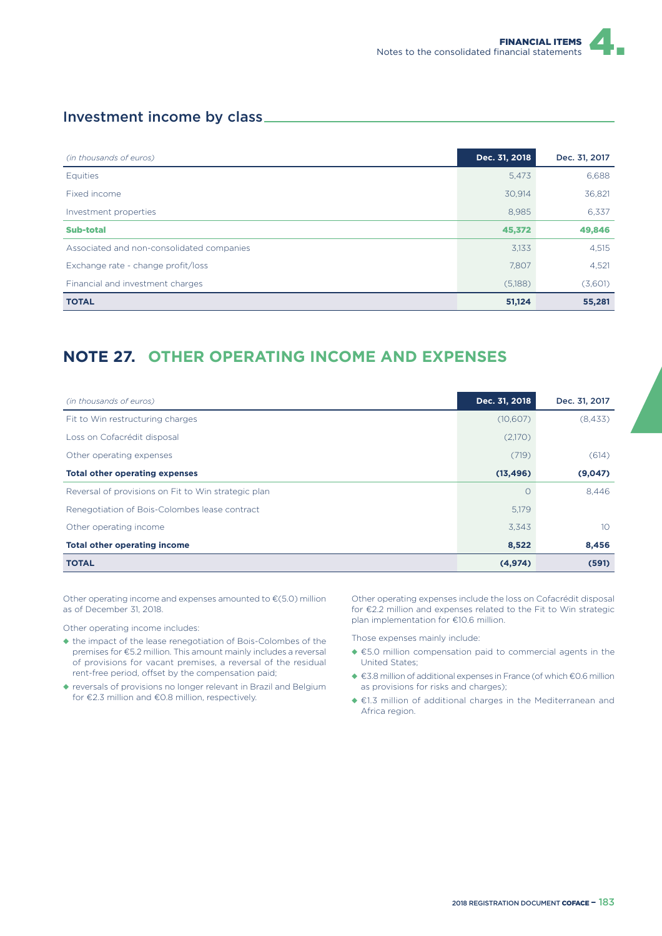#### Investment income by class

| (in thousands of euros)                   | Dec. 31, 2018 | Dec. 31, 2017 |
|-------------------------------------------|---------------|---------------|
| <b>Equities</b>                           | 5,473         | 6,688         |
| Fixed income                              | 30,914        | 36,821        |
| Investment properties                     | 8,985         | 6.337         |
| Sub-total                                 | 45,372        | 49,846        |
| Associated and non-consolidated companies | 3,133         | 4,515         |
| Exchange rate - change profit/loss        | 7,807         | 4,521         |
| Financial and investment charges          | (5,188)       | (3,601)       |
| <b>TOTAL</b>                              | 51,124        | 55,281        |

## **NOTE 27. OTHER OPERATING INCOME AND EXPENSES**

| (in thousands of euros)                             | Dec. 31, 2018 | Dec. 31, 2017   |
|-----------------------------------------------------|---------------|-----------------|
| Fit to Win restructuring charges                    | (10,607)      | (8,433)         |
| Loss on Cofacrédit disposal                         | (2,170)       |                 |
| Other operating expenses                            | (719)         | (614)           |
| <b>Total other operating expenses</b>               | (13, 496)     | (9,047)         |
| Reversal of provisions on Fit to Win strategic plan | $\bigcap$     | 8,446           |
| Renegotiation of Bois-Colombes lease contract       | 5.179         |                 |
| Other operating income                              | 3,343         | 10 <sup>2</sup> |
| <b>Total other operating income</b>                 | 8,522         | 8,456           |
| <b>TOTAL</b>                                        | (4, 974)      | (591)           |

Other operating income and expenses amounted to €(5.0) million as of December 31, 2018.

Other operating income includes:

- ◆ the impact of the lease renegotiation of Bois-Colombes of the premises for €5.2 million. This amount mainly includes a reversal of provisions for vacant premises, a reversal of the residual rent-free period, offset by the compensation paid;
- ◆ reversals of provisions no longer relevant in Brazil and Belgium for €2.3 million and €0.8 million, respectively.

Other operating expenses include the loss on Cofacrédit disposal for €2.2 million and expenses related to the Fit to Win strategic plan implementation for €10.6 million.

Those expenses mainly include:

- ◆ €5.0 million compensation paid to commercial agents in the United States;
- ◆ €3.8 million of additional expenses in France (of which €0.6 million as provisions for risks and charges);
- ◆ €1.3 million of additional charges in the Mediterranean and Africa region.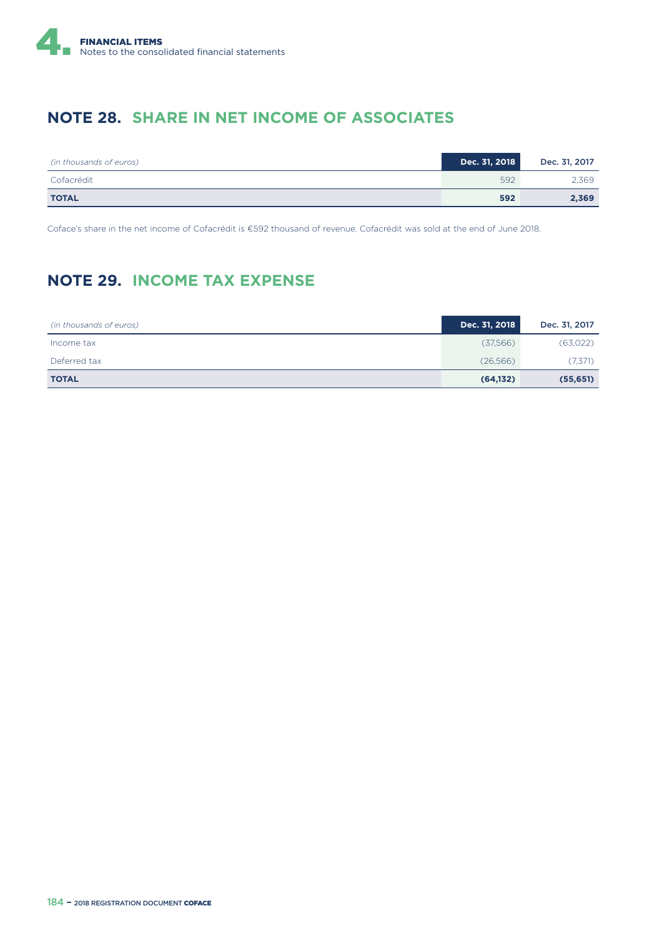

### **NOTE 28. SHARE IN NET INCOME OF ASSOCIATES**

| (in thousands of euros) | Dec. 31, 2018 | Dec. 31, 2017 |
|-------------------------|---------------|---------------|
| Cofacrédit              | 592           | 2.369         |
| <b>TOTAL</b>            | 592           | 2,369         |

Coface's share in the net income of Cofacrédit is €592 thousand of revenue. Cofacrédit was sold at the end of June 2018.

## **NOTE 29. INCOME TAX EXPENSE**

| (in thousands of euros) | Dec. 31, 2018 | Dec. 31, 2017 |
|-------------------------|---------------|---------------|
| Income tax              | (37,566)      | (63,022)      |
| Deferred tax            | (26,566)      | (7,371)       |
| <b>TOTAL</b>            | (64, 132)     | (55, 651)     |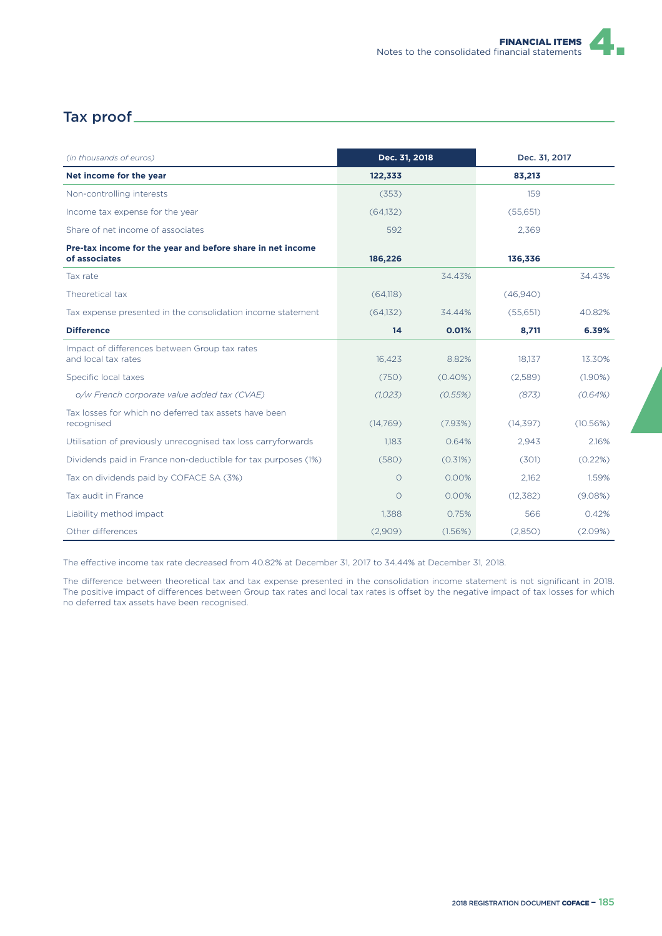#### Tax proof

| (in thousands of euros)                                                     | Dec. 31, 2018 |            | Dec. 31, 2017 |            |
|-----------------------------------------------------------------------------|---------------|------------|---------------|------------|
| Net income for the year                                                     | 122,333       |            | 83,213        |            |
| Non-controlling interests                                                   | (353)         |            | 159           |            |
| Income tax expense for the year                                             | (64.132)      |            | (55,651)      |            |
| Share of net income of associates                                           | 592           |            | 2,369         |            |
| Pre-tax income for the year and before share in net income<br>of associates | 186,226       |            | 136,336       |            |
| Tax rate                                                                    |               | 34.43%     |               | 34.43%     |
| Theoretical tax                                                             | (64, 118)     |            | (46,940)      |            |
| Tax expense presented in the consolidation income statement                 | (64,132)      | 34.44%     | (55,651)      | 40.82%     |
| <b>Difference</b>                                                           | 14            | 0.01%      | 8,711         | 6.39%      |
| Impact of differences between Group tax rates<br>and local tax rates        | 16,423        | 8.82%      | 18.137        | 13.30%     |
| Specific local taxes                                                        | (750)         | $(0.40\%)$ | (2,589)       | $(1.90\%)$ |
| o/w French corporate value added tax (CVAE)                                 | (1,023)       | (0.55%)    | (873)         | (0.64%)    |
| Tax losses for which no deferred tax assets have been<br>recognised         | (14,769)      | (7.93%)    | (14, 397)     | (10.56%)   |
| Utilisation of previously unrecognised tax loss carryforwards               | 1.183         | 0.64%      | 2,943         | 2.16%      |
| Dividends paid in France non-deductible for tax purposes (1%)               | (580)         | (0.31%)    | (301)         | (0.22%)    |
| Tax on dividends paid by COFACE SA (3%)                                     | $\circ$       | 0.00%      | 2,162         | 1.59%      |
| Tax audit in France                                                         | $\Omega$      | 0.00%      | (12, 382)     | (9.08%)    |
| Liability method impact                                                     | 1.388         | 0.75%      | 566           | 0.42%      |
| Other differences                                                           | (2,909)       | (1.56%)    | (2,850)       | (2.09%)    |

The effective income tax rate decreased from 40.82% at December 31, 2017 to 34.44% at December 31, 2018.

The difference between theoretical tax and tax expense presented in the consolidation income statement is not significant in 2018. The positive impact of differences between Group tax rates and local tax rates is offset by the negative impact of tax losses for which no deferred tax assets have been recognised.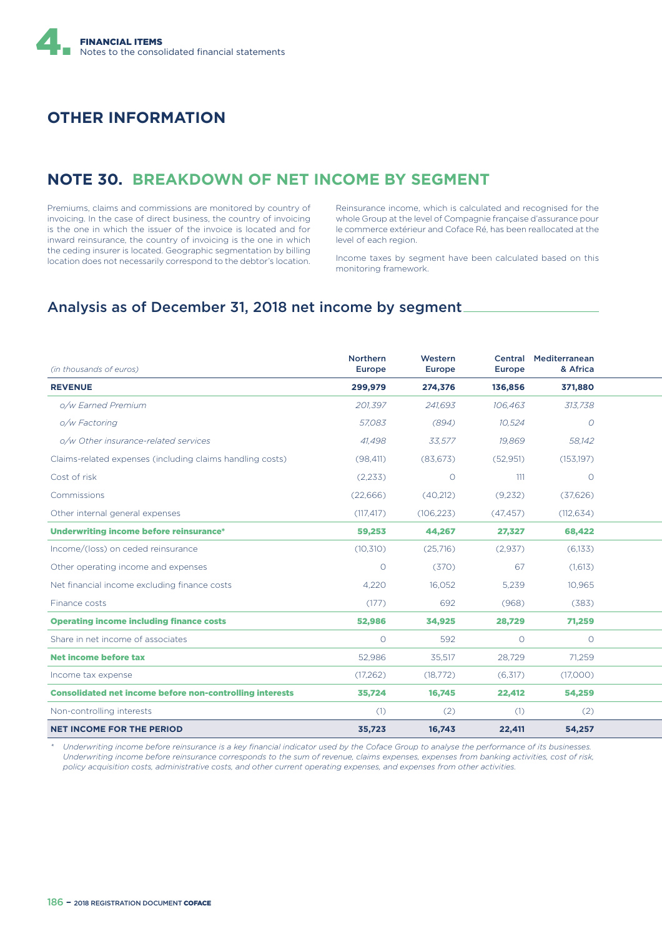### **OTHER INFORMATION**

### **NOTE 30. BREAKDOWN OF NET INCOME BY SEGMENT**

Premiums, claims and commissions are monitored by country of invoicing. In the case of direct business, the country of invoicing is the one in which the issuer of the invoice is located and for inward reinsurance, the country of invoicing is the one in which the ceding insurer is located. Geographic segmentation by billing location does not necessarily correspond to the debtor's location.

Reinsurance income, which is calculated and recognised for the whole Group at the level of Compagnie française d'assurance pour le commerce extérieur and Coface Ré, has been reallocated at the level of each region.

Income taxes by segment have been calculated based on this monitoring framework.

#### Analysis as of December 31, 2018 net income by segment

| (in thousands of euros)                                         | <b>Northern</b><br><b>Europe</b> | Western<br>Europe | <b>Europe</b> | Central Mediterranean<br>& Africa |  |
|-----------------------------------------------------------------|----------------------------------|-------------------|---------------|-----------------------------------|--|
| <b>REVENUE</b>                                                  | 299,979                          | 274,376           | 136,856       | 371,880                           |  |
| o/w Earned Premium                                              | 201,397                          | 241.693           | 106.463       | 313,738                           |  |
| o/w Factoring                                                   | 57.083                           | (894)             | 10.524        | 0                                 |  |
| o/w Other insurance-related services                            | 41.498                           | 33,577            | 19,869        | 58.142                            |  |
| Claims-related expenses (including claims handling costs)       | (98, 411)                        | (83,673)          | (52,951)      | (153, 197)                        |  |
| Cost of risk                                                    | (2,233)                          | $\circ$           | 111           | $\circ$                           |  |
| Commissions                                                     | (22,666)                         | (40,212)          | (9,232)       | (37,626)                          |  |
| Other internal general expenses                                 | (117, 417)                       | (106, 223)        | (47, 457)     | (112, 634)                        |  |
| Underwriting income before reinsurance*                         | 59,253                           | 44,267            | 27,327        | 68,422                            |  |
| Income/(loss) on ceded reinsurance                              | (10, 310)                        | (25,716)          | (2,937)       | (6,133)                           |  |
| Other operating income and expenses                             | $\circ$                          | (370)             | 67            | (1,613)                           |  |
| Net financial income excluding finance costs                    | 4,220                            | 16,052            | 5,239         | 10,965                            |  |
| Finance costs                                                   | (177)                            | 692               | (968)         | (383)                             |  |
| <b>Operating income including finance costs</b>                 | 52,986                           | 34,925            | 28,729        | 71,259                            |  |
| Share in net income of associates                               | $\circ$                          | 592               | $\circ$       | $\circ$                           |  |
| <b>Net income before tax</b>                                    | 52,986                           | 35,517            | 28,729        | 71,259                            |  |
| Income tax expense                                              | (17,262)                         | (18,772)          | (6,317)       | (17,000)                          |  |
| <b>Consolidated net income before non-controlling interests</b> | 35,724                           | 16,745            | 22,412        | 54,259                            |  |
| Non-controlling interests                                       | (1)                              | (2)               | (1)           | (2)                               |  |
| <b>NET INCOME FOR THE PERIOD</b>                                | 35,723                           | 16,743            | 22,411        | 54,257                            |  |

*\* Underwriting income before reinsurance is a key financial indicator used by the Coface Group to analyse the performance of its businesses. Underwriting income before reinsurance corresponds to the sum of revenue, claims expenses, expenses from banking activities, cost of risk, policy acquisition costs, administrative costs, and other current operating expenses, and expenses from other activities.*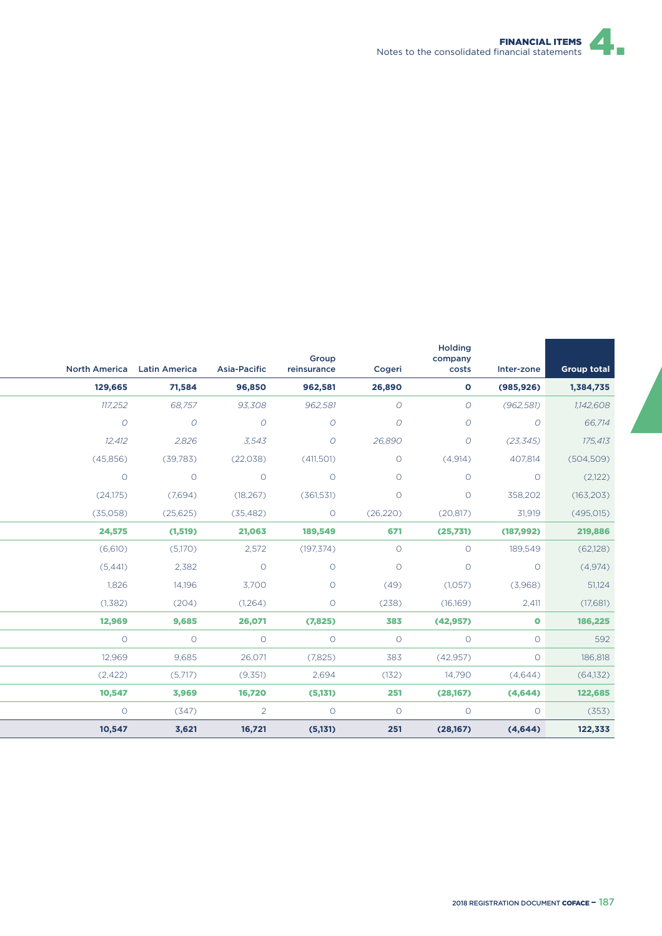

| North America Latin America |                | <b>Asia-Pacific</b> | Group<br>reinsurance | Cogeri        | Holding<br>company<br>costs | Inter-zone    | <b>Group total</b> |
|-----------------------------|----------------|---------------------|----------------------|---------------|-----------------------------|---------------|--------------------|
| 129,665                     | 71,584         | 96,850              | 962,581              | 26,890        | $\mathbf{o}$                | (985, 926)    | 1,384,735          |
| 117,252                     | 68,757         | 93,308              | 962,581              | $\mathcal{O}$ | $\overline{O}$              | (962, 581)    | 1,142,608          |
| $\overline{O}$              | $\overline{O}$ | $\mathcal{O}$       | $\mathcal{O}$        | $\mathcal{O}$ | $\mathcal{O}$               | $\mathcal{O}$ | 66,714             |
| 12,412                      | 2,826          | 3,543               | $\mathcal{O}$        | 26,890        | $\mathcal{O}$               | (23, 345)     | 175,413            |
| (45,856)                    | (39, 783)      | (22, 038)           | (411,501)            | $\circ$       | (4,914)                     | 407,814       | (504, 509)         |
| $\circ$                     | $\circ$        | $\circ$             | $\circlearrowright$  | $\circ$       | $\circ$                     | $\circ$       | (2,122)            |
| (24,175)                    | (7,694)        | (18, 267)           | (361, 531)           | $\circ$       | $\circ$                     | 358,202       | (163, 203)         |
| (35,058)                    | (25,625)       | (35, 482)           | $\circ$              | (26, 220)     | (20, 817)                   | 31,919        | (495, 015)         |
| 24,575                      | (1, 519)       | 21,063              | 189,549              | 671           | (25,731)                    | (187, 992)    | 219,886            |
| (6,610)                     | (5,170)        | 2,572               | (197, 374)           | $\circ$       | $\circ$                     | 189,549       | (62, 128)          |
| (5, 441)                    | 2,382          | $\circ$             | $\circ$              | $\circ$       | $\circ$                     | $\circ$       | (4,974)            |
| 1,826                       | 14,196         | 3,700               | $\circ$              | (49)          | (1,057)                     | (3,968)       | 51,124             |
| (1,382)                     | (204)          | (1,264)             | $\circ$              | (238)         | (16,169)                    | 2,411         | (17,681)           |
| 12,969                      | 9,685          | 26,071              | (7,825)              | 383           | (42, 957)                   | $\bullet$     | 186,225            |
| $\circ$                     | $\circ$        | $\circ$             | $\circ$              | $\circ$       | $\circ$                     | $\circ$       | 592                |
| 12,969                      | 9,685          | 26,071              | (7,825)              | 383           | (42, 957)                   | $\circ$       | 186,818            |
| (2,422)                     | (5,717)        | (9,351)             | 2,694                | (132)         | 14,790                      | (4,644)       | (64, 132)          |
| 10,547                      | 3,969          | 16,720              | (5,131)              | 251           | (28,167)                    | (4,644)       | 122,685            |
| $\circ$                     | (347)          | $\overline{2}$      | $\circ$              | $\circ$       | $\circ$                     | $\circ$       | (353)              |
| 10,547                      | 3,621          | 16,721              | (5, 131)             | 251           | (28,167)                    | (4,644)       | 122,333            |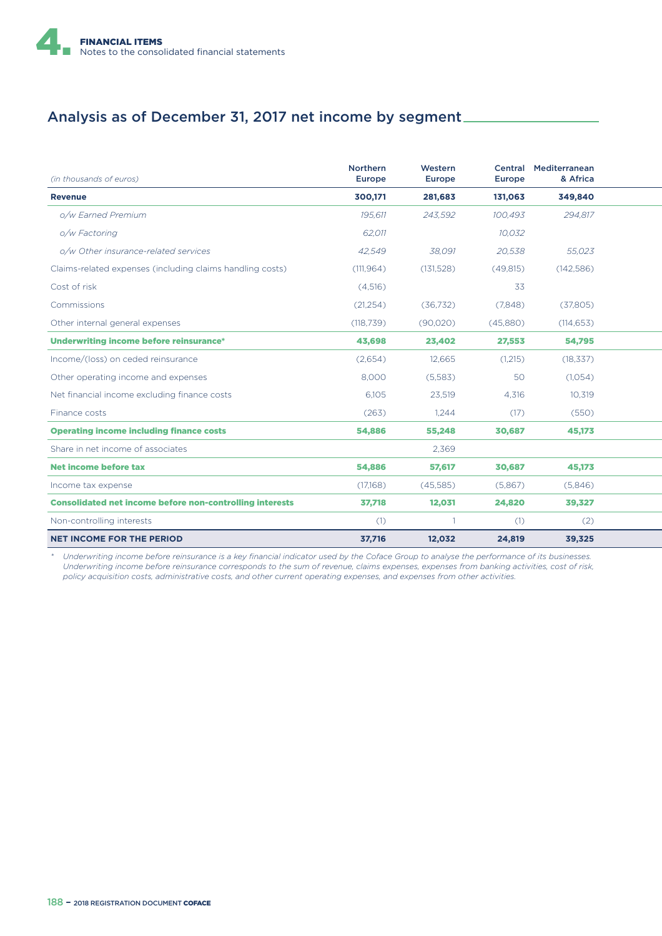

## Analysis as of December 31, 2017 net income by segment

| (in thousands of euros)                                         | <b>Northern</b><br><b>Europe</b> | Western<br><b>Europe</b> | <b>Europe</b> | Central Mediterranean<br>& Africa |  |
|-----------------------------------------------------------------|----------------------------------|--------------------------|---------------|-----------------------------------|--|
| <b>Revenue</b>                                                  | 300.171                          | 281.683                  | 131.063       | 349,840                           |  |
| o/w Earned Premium                                              | 195.611                          | 243.592                  | 100.493       | 294.817                           |  |
| o/w Factoring                                                   | 62.011                           |                          | 10.032        |                                   |  |
| o/w Other insurance-related services                            | 42,549                           | 38,091                   | 20,538        | 55,023                            |  |
| Claims-related expenses (including claims handling costs)       | (111, 964)                       | (131, 528)               | (49, 815)     | (142, 586)                        |  |
| Cost of risk                                                    | (4,516)                          |                          | 33            |                                   |  |
| Commissions                                                     | (21, 254)                        | (36,732)                 | (7,848)       | (37,805)                          |  |
| Other internal general expenses                                 | (118, 739)                       | (90,020)                 | (45,880)      | (114, 653)                        |  |
| Underwriting income before reinsurance*                         | 43,698                           | 23,402                   | 27,553        | 54,795                            |  |
| Income/(loss) on ceded reinsurance                              | (2,654)                          | 12,665                   | (1,215)       | (18, 337)                         |  |
| Other operating income and expenses                             | 8,000                            | (5,583)                  | 50            | (1,054)                           |  |
| Net financial income excluding finance costs                    | 6.105                            | 23,519                   | 4.316         | 10,319                            |  |
| Finance costs                                                   | (263)                            | 1,244                    | (17)          | (550)                             |  |
| <b>Operating income including finance costs</b>                 | 54,886                           | 55,248                   | 30,687        | 45,173                            |  |
| Share in net income of associates                               |                                  | 2,369                    |               |                                   |  |
| Net income before tax                                           | 54,886                           | 57,617                   | 30,687        | 45,173                            |  |
| Income tax expense                                              | (17,168)                         | (45,585)                 | (5,867)       | (5,846)                           |  |
| <b>Consolidated net income before non-controlling interests</b> | 37,718                           | 12,031                   | 24,820        | 39,327                            |  |
| Non-controlling interests                                       | (1)                              | 1                        | (1)           | (2)                               |  |
| <b>NET INCOME FOR THE PERIOD</b>                                | 37,716                           | 12,032                   | 24,819        | 39,325                            |  |

*\* Underwriting income before reinsurance is a key financial indicator used by the Coface Group to analyse the performance of its businesses. Underwriting income before reinsurance corresponds to the sum of revenue, claims expenses, expenses from banking activities, cost of risk, policy acquisition costs, administrative costs, and other current operating expenses, and expenses from other activities.*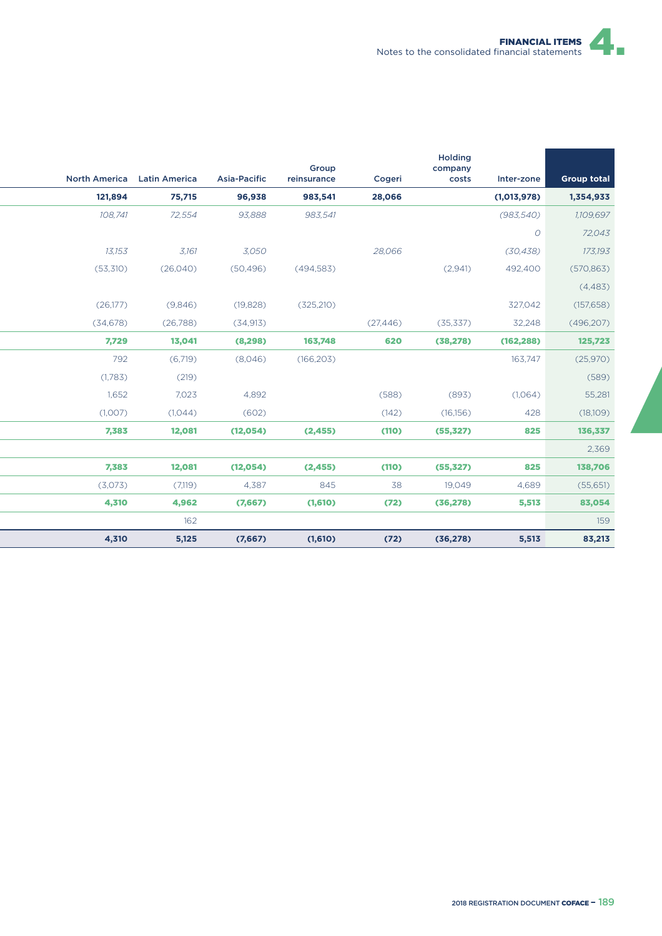

|                      |                      |                     | Group       |           | Holding<br>company |               |                    |
|----------------------|----------------------|---------------------|-------------|-----------|--------------------|---------------|--------------------|
| <b>North America</b> | <b>Latin America</b> | <b>Asia-Pacific</b> | reinsurance | Cogeri    | costs              | Inter-zone    | <b>Group total</b> |
| 121,894              | 75,715               | 96,938              | 983,541     | 28,066    |                    | (1,013,978)   | 1,354,933          |
| 108,741              | 72,554               | 93,888              | 983,541     |           |                    | (983, 540)    | 1,109,697          |
|                      |                      |                     |             |           |                    | $\mathcal{O}$ | 72,043             |
| 13,153               | 3,161                | 3,050               |             | 28,066    |                    | (30, 438)     | 173,193            |
| (53,310)             | (26,040)             | (50, 496)           | (494, 583)  |           | (2,941)            | 492,400       | (570, 863)         |
|                      |                      |                     |             |           |                    |               | (4, 483)           |
| (26,177)             | (9,846)              | (19, 828)           | (325, 210)  |           |                    | 327,042       | (157, 658)         |
| (34, 678)            | (26,788)             | (34, 913)           |             | (27, 446) | (35, 337)          | 32,248        | (496, 207)         |
| 7,729                | 13,041               | (8, 298)            | 163,748     | 620       | (38, 278)          | (162, 288)    | 125,723            |
| 792                  | (6,719)              | (8,046)             | (166, 203)  |           |                    | 163,747       | (25,970)           |
| (1,783)              | (219)                |                     |             |           |                    |               | (589)              |
| 1,652                | 7,023                | 4,892               |             | (588)     | (893)              | (1,064)       | 55,281             |
| (1,007)              | (1,044)              | (602)               |             | (142)     | (16, 156)          | 428           | (18,109)           |
| 7,383                | 12,081               | (12, 054)           | (2, 455)    | (110)     | (55, 327)          | 825           | 136,337            |
|                      |                      |                     |             |           |                    |               | 2,369              |
| 7,383                | 12,081               | (12, 054)           | (2, 455)    | (110)     | (55, 327)          | 825           | 138,706            |
| (3,073)              | (7,119)              | 4,387               | 845         | 38        | 19.049             | 4,689         | (55,651)           |
| 4,310                | 4,962                | (7,667)             | (1,610)     | (72)      | (36, 278)          | 5,513         | 83,054             |
|                      | 162                  |                     |             |           |                    |               | 159                |
| 4,310                | 5,125                | (7,667)             | (1,610)     | (72)      | (36, 278)          | 5,513         | 83,213             |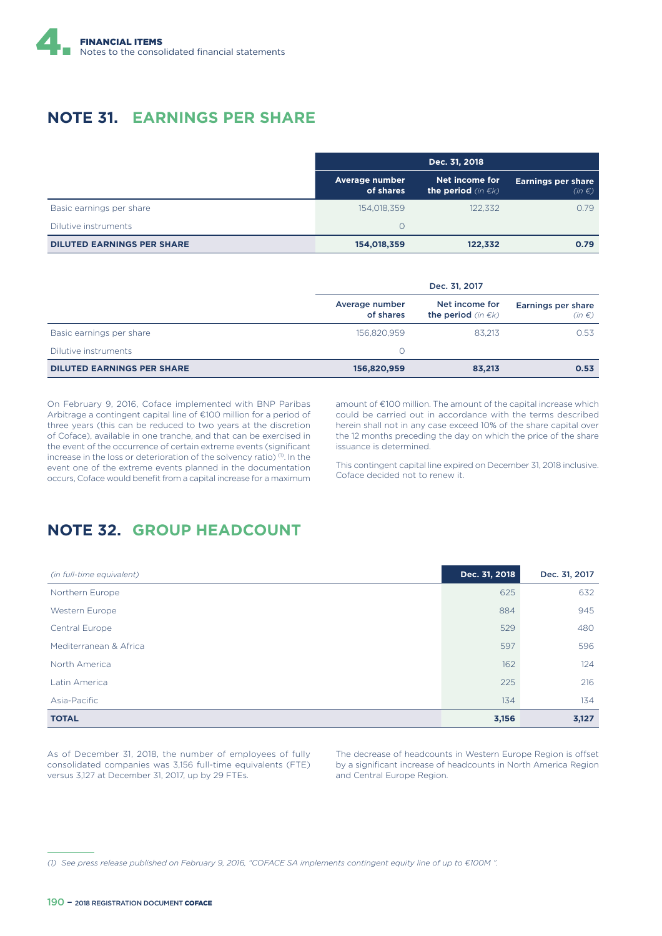

### **NOTE 31. EARNINGS PER SHARE**

|                                   | Dec. 31, 2018               |                                                |                                         |  |
|-----------------------------------|-----------------------------|------------------------------------------------|-----------------------------------------|--|
|                                   | Average number<br>of shares | Net income for<br>the period (in $\epsilon$ k) | <b>Earnings per share</b><br>$(in \in)$ |  |
| Basic earnings per share          | 154.018.359                 | 122.332                                        | 0.79                                    |  |
| Dilutive instruments              | $\Omega$                    |                                                |                                         |  |
| <b>DILUTED EARNINGS PER SHARE</b> | 154,018,359                 | 122,332                                        | 0.79                                    |  |

|                                   | Dec. 31, 2017               |                                                 |                                  |
|-----------------------------------|-----------------------------|-------------------------------------------------|----------------------------------|
|                                   | Average number<br>of shares | Net income for<br>the period (in $\epsilon k$ ) | Earnings per share<br>$(in \in)$ |
| Basic earnings per share          | 156.820.959                 | 83.213                                          | 0.53                             |
| Dilutive instruments              | Ω                           |                                                 |                                  |
| <b>DILUTED EARNINGS PER SHARE</b> | 156,820,959                 | 83,213                                          | 0.53                             |

On February 9, 2016, Coface implemented with BNP Paribas Arbitrage a contingent capital line of €100 million for a period of three years (this can be reduced to two years at the discretion of Coface), available in one tranche, and that can be exercised in the event of the occurrence of certain extreme events (significant increase in the loss or deterioration of the solvency ratio)<sup>(1)</sup>. In the event one of the extreme events planned in the documentation occurs, Coface would benefit from a capital increase for a maximum amount of €100 million. The amount of the capital increase which could be carried out in accordance with the terms described herein shall not in any case exceed 10% of the share capital over the 12 months preceding the day on which the price of the share issuance is determined.

This contingent capital line expired on December 31, 2018 inclusive. Coface decided not to renew it.

#### **NOTE 32. GROUP HEADCOUNT**

| (in full-time equivalent) | Dec. 31, 2018 | Dec. 31, 2017 |
|---------------------------|---------------|---------------|
| Northern Europe           | 625           | 632           |
| Western Europe            | 884           | 945           |
| Central Europe            | 529           | 480           |
| Mediterranean & Africa    | 597           | 596           |
| North America             | 162           | 124           |
| Latin America             | 225           | 216           |
| Asia-Pacific              | 134           | 134           |
| <b>TOTAL</b>              | 3,156         | 3,127         |

As of December 31, 2018, the number of employees of fully consolidated companies was 3,156 full-time equivalents (FTE) versus 3,127 at December 31, 2017, up by 29 FTEs.

The decrease of headcounts in Western Europe Region is offset by a significant increase of headcounts in North America Region and Central Europe Region.

*<sup>(1)</sup> See press release published on February 9, 2016, "COFACE SA implements contingent equity line of up to €100M ".*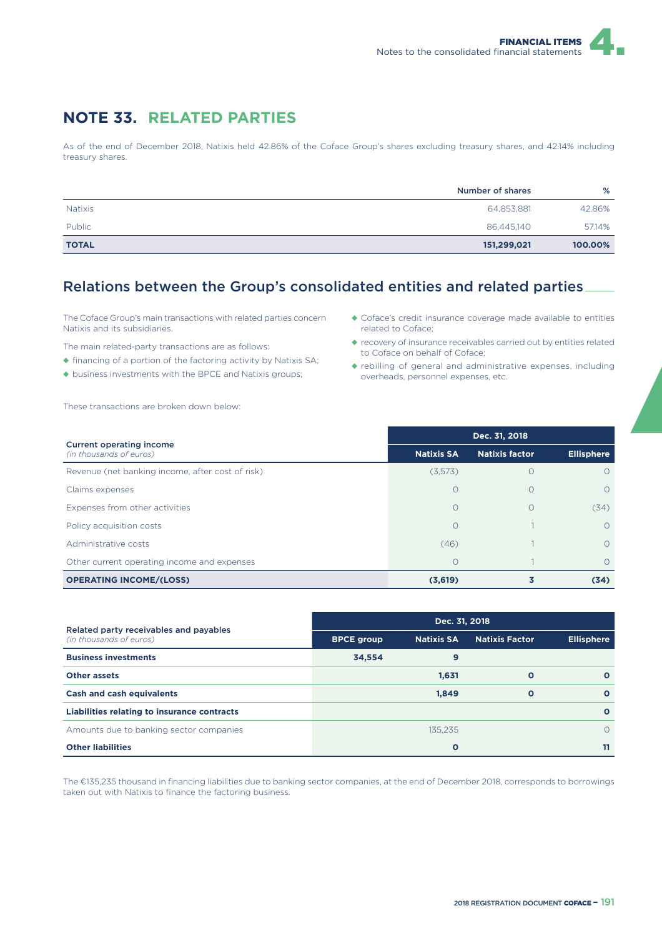### **NOTE 33. RELATED PARTIES**

As of the end of December 2018, Natixis held 42.86% of the Coface Group's shares excluding treasury shares, and 42.14% including treasury shares.

|                | Number of shares | %       |
|----------------|------------------|---------|
| <b>Natixis</b> | 64,853,881       | 42.86%  |
| <b>Public</b>  | 86,445,140       | 57.14%  |
| <b>TOTAL</b>   | 151,299,021      | 100.00% |

#### Relations between the Group's consolidated entities and related parties

The Coface Group's main transactions with related parties concern Natixis and its subsidiaries.

The main related-party transactions are as follows:

- ◆ financing of a portion of the factoring activity by Natixis SA;
- ◆ business investments with the BPCE and Natixis groups;

These transactions are broken down below:

- ◆ Coface's credit insurance coverage made available to entities related to Coface;
- ◆ recovery of insurance receivables carried out by entities related to Coface on behalf of Coface;
- ◆ rebilling of general and administrative expenses, including overheads, personnel expenses, etc.

| <b>Current operating income</b>                  | Dec. 31, 2018     |                       |                   |  |  |  |
|--------------------------------------------------|-------------------|-----------------------|-------------------|--|--|--|
| (in thousands of euros)                          | <b>Natixis SA</b> | <b>Natixis factor</b> | <b>Ellisphere</b> |  |  |  |
| Revenue (net banking income, after cost of risk) | (3,573)           | Ω                     | $\Omega$          |  |  |  |
| Claims expenses                                  | $\Omega$          | $\bigcirc$            | $\Omega$          |  |  |  |
| Expenses from other activities                   | $\Omega$          | $\bigcirc$            | (34)              |  |  |  |
| Policy acquisition costs                         | $\Omega$          |                       | $\Omega$          |  |  |  |
| Administrative costs                             | (46)              |                       | $\Omega$          |  |  |  |
| Other current operating income and expenses      | $\Omega$          |                       | $\Omega$          |  |  |  |
| <b>OPERATING INCOME/(LOSS)</b>                   | (3,619)           |                       | (34)              |  |  |  |

|                                                                   | Dec. 31, 2018     |                   |                       |                   |  |  |
|-------------------------------------------------------------------|-------------------|-------------------|-----------------------|-------------------|--|--|
| Related party receivables and payables<br>(in thousands of euros) | <b>BPCE group</b> | <b>Natixis SA</b> | <b>Natixis Factor</b> | <b>Ellisphere</b> |  |  |
| <b>Business investments</b>                                       | 34.554            | 9                 |                       |                   |  |  |
| <b>Other assets</b>                                               |                   | 1,631             | $\Omega$              | $\Omega$          |  |  |
| <b>Cash and cash equivalents</b>                                  |                   | 1,849             | $\mathbf{o}$          | $\Omega$          |  |  |
| Liabilities relating to insurance contracts                       |                   |                   |                       | $\Omega$          |  |  |
| Amounts due to banking sector companies                           |                   | 135.235           |                       | $\Omega$          |  |  |
| <b>Other liabilities</b>                                          |                   | $\mathbf{o}$      |                       | 11                |  |  |

The €135,235 thousand in financing liabilities due to banking sector companies, at the end of December 2018, corresponds to borrowings taken out with Natixis to finance the factoring business.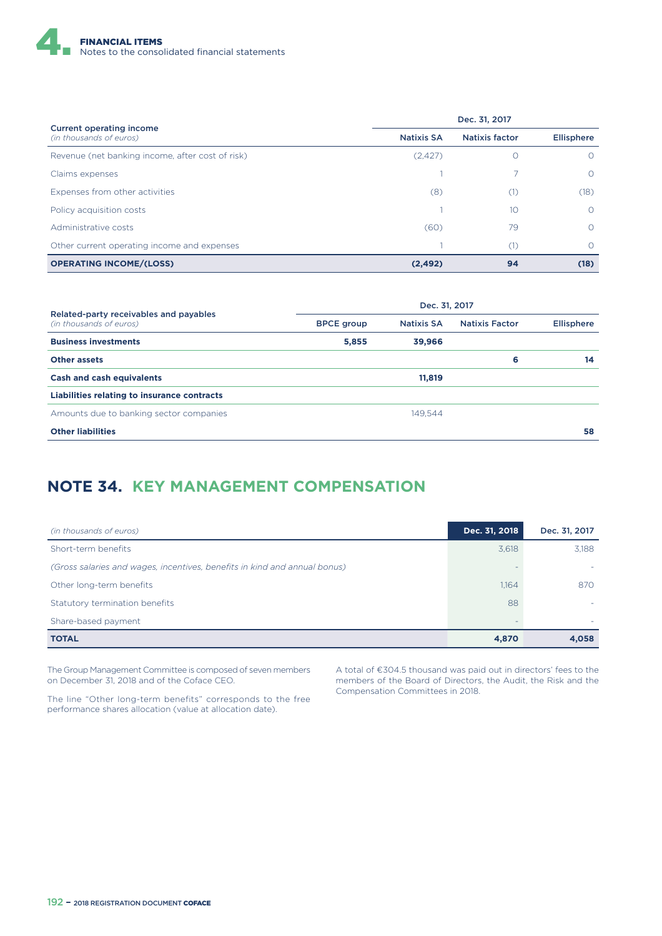

| <b>Current operating income</b>                  | Dec. 31, 2017     |                       |                   |  |  |
|--------------------------------------------------|-------------------|-----------------------|-------------------|--|--|
| (in thousands of euros)                          | <b>Natixis SA</b> | <b>Natixis factor</b> | <b>Ellisphere</b> |  |  |
| Revenue (net banking income, after cost of risk) | (2, 427)          | $\left( \right)$      | $\circ$           |  |  |
| Claims expenses                                  |                   |                       | $\Omega$          |  |  |
| Expenses from other activities                   | (8)               | (1)                   | (18)              |  |  |
| Policy acquisition costs                         |                   | 10                    | $\Omega$          |  |  |
| Administrative costs                             | (60)              | 79                    | $\Omega$          |  |  |
| Other current operating income and expenses      |                   | (1)                   | Ω                 |  |  |
| <b>OPERATING INCOME/(LOSS)</b>                   | (2, 492)          | 94                    | (18)              |  |  |

| Related-party receivables and payables      | Dec. 31, 2017     |                   |                       |                   |  |  |  |
|---------------------------------------------|-------------------|-------------------|-----------------------|-------------------|--|--|--|
| (in thousands of euros)                     | <b>BPCE</b> group | <b>Natixis SA</b> | <b>Natixis Factor</b> | <b>Ellisphere</b> |  |  |  |
| <b>Business investments</b>                 | 5,855             | 39,966            |                       |                   |  |  |  |
| <b>Other assets</b>                         |                   |                   | 6                     | 14                |  |  |  |
| <b>Cash and cash equivalents</b>            |                   | 11,819            |                       |                   |  |  |  |
| Liabilities relating to insurance contracts |                   |                   |                       |                   |  |  |  |
| Amounts due to banking sector companies     |                   | 149.544           |                       |                   |  |  |  |
| <b>Other liabilities</b>                    |                   |                   |                       | 58                |  |  |  |

## **NOTE 34. KEY MANAGEMENT COMPENSATION**

| (in thousands of euros)                                                   | Dec. 31, 2018 | Dec. 31, 2017 |
|---------------------------------------------------------------------------|---------------|---------------|
| Short-term benefits                                                       | 3,618         | 3,188         |
| (Gross salaries and wages, incentives, benefits in kind and annual bonus) |               |               |
| Other long-term benefits                                                  | 1,164         | 870           |
| Statutory termination benefits                                            | 88            |               |
| Share-based payment                                                       |               |               |
| <b>TOTAL</b>                                                              | 4,870         | 4,058         |

The Group Management Committee is composed of seven members on December 31, 2018 and of the Coface CEO.

The line "Other long-term benefits" corresponds to the free performance shares allocation (value at allocation date).

A total of €304.5 thousand was paid out in directors' fees to the members of the Board of Directors, the Audit, the Risk and the Compensation Committees in 2018.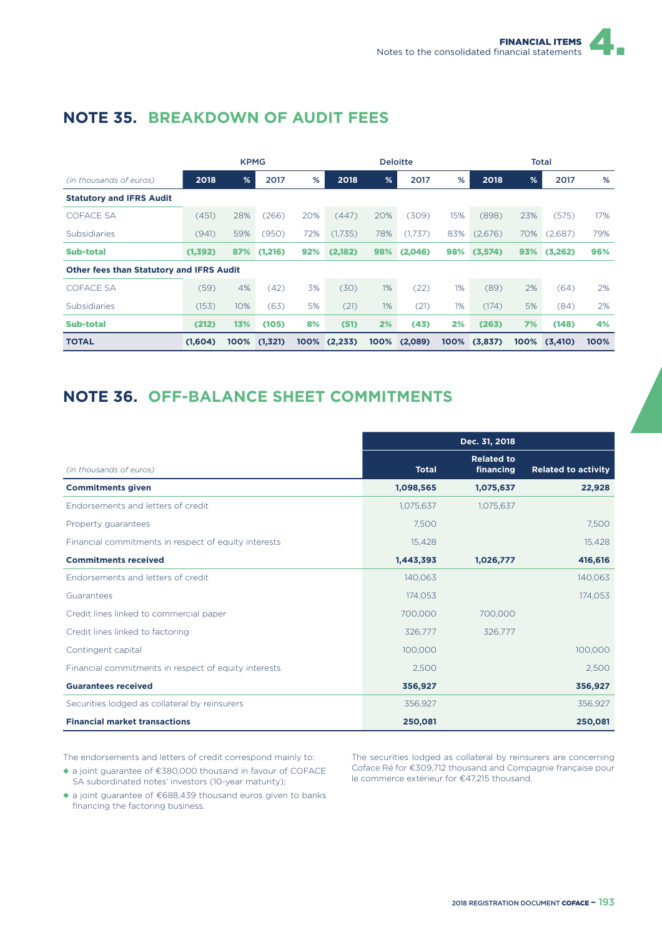|                                                 |          | <b>KPMG</b> |         |      |          |               | <b>Deloitte</b> |       |         |      | <b>Total</b> |      |
|-------------------------------------------------|----------|-------------|---------|------|----------|---------------|-----------------|-------|---------|------|--------------|------|
| (in thousands of euros)                         | 2018     | %           | 2017    | %    | 2018     | $\frac{9}{6}$ | 2017            | %     | 2018    | %    | 2017         | %    |
| <b>Statutory and IFRS Audit</b>                 |          |             |         |      |          |               |                 |       |         |      |              |      |
| <b>COFACE SA</b>                                | (451)    | 28%         | (266)   | 20%  | (447)    | 20%           | (309)           | 15%   | (898)   | 23%  | (575)        | 17%  |
| <b>Subsidiaries</b>                             | (941)    | 59%         | (950)   | 72%  | (1,735)  | 78%           | (1,737)         | 83%   | (2,676) | 70%  | (2,687)      | 79%  |
| Sub-total                                       | (1, 392) | 87%         | (1,216) | 92%  | (2,182)  | 98%           | (2,046)         | 98%   | (3,574) | 93%  | (3,262)      | 96%  |
| <b>Other fees than Statutory and IFRS Audit</b> |          |             |         |      |          |               |                 |       |         |      |              |      |
| COFACE SA                                       | (59)     | 4%          | (42)    | 3%   | (30)     | $1\%$         | (22)            | 1%    | (89)    | 2%   | (64)         | 2%   |
| <b>Subsidiaries</b>                             | (153)    | 10%         | (63)    | 5%   | (21)     | $1\%$         | (21)            | $1\%$ | (174)   | 5%   | (84)         | 2%   |
| <b>Sub-total</b>                                | (212)    | 13%         | (105)   | 8%   | (51)     | 2%            | (43)            | 2%    | (263)   | 7%   | (148)        | 4%   |
| <b>TOTAL</b>                                    | (1,604)  | 100%        | (1,321) | 100% | (2, 233) | 100%          | (2,089)         | 100%  | (3,837) | 100% | (3, 410)     | 100% |

# **NOTE 35. BREAKDOWN OF AUDIT FEES**

# **NOTE 36. OFF-BALANCE SHEET COMMITMENTS**

|                                                      |              | Dec. 31, 2018                  |                            |
|------------------------------------------------------|--------------|--------------------------------|----------------------------|
| (in thousands of euros)                              | <b>Total</b> | <b>Related to</b><br>financing | <b>Related to activity</b> |
| <b>Commitments given</b>                             | 1,098,565    | 1,075,637                      | 22,928                     |
| Endorsements and letters of credit                   | 1,075,637    | 1,075,637                      |                            |
| Property quarantees                                  | 7,500        |                                | 7,500                      |
| Financial commitments in respect of equity interests | 15,428       |                                | 15,428                     |
| <b>Commitments received</b>                          | 1,443,393    | 1,026,777                      | 416,616                    |
| Endorsements and letters of credit                   | 140,063      |                                | 140,063                    |
| Guarantees                                           | 174,053      |                                | 174,053                    |
| Credit lines linked to commercial paper              | 700,000      | 700,000                        |                            |
| Credit lines linked to factoring                     | 326,777      | 326,777                        |                            |
| Contingent capital                                   | 100,000      |                                | 100,000                    |
| Financial commitments in respect of equity interests | 2,500        |                                | 2,500                      |
| <b>Guarantees received</b>                           | 356,927      |                                | 356,927                    |
| Securities lodged as collateral by reinsurers        | 356,927      |                                | 356,927                    |
| <b>Financial market transactions</b>                 | 250,081      |                                | 250,081                    |

The endorsements and letters of credit correspond mainly to:

- ◆ a joint guarantee of €380,000 thousand in favour of COFACE SA subordinated notes' investors (10-year maturity);
- ◆ a joint guarantee of €688,439 thousand euros given to banks financing the factoring business.

The securities lodged as collateral by reinsurers are concerning Coface Ré for €309,712 thousand and Compagnie française pour le commerce extérieur for €47,215 thousand.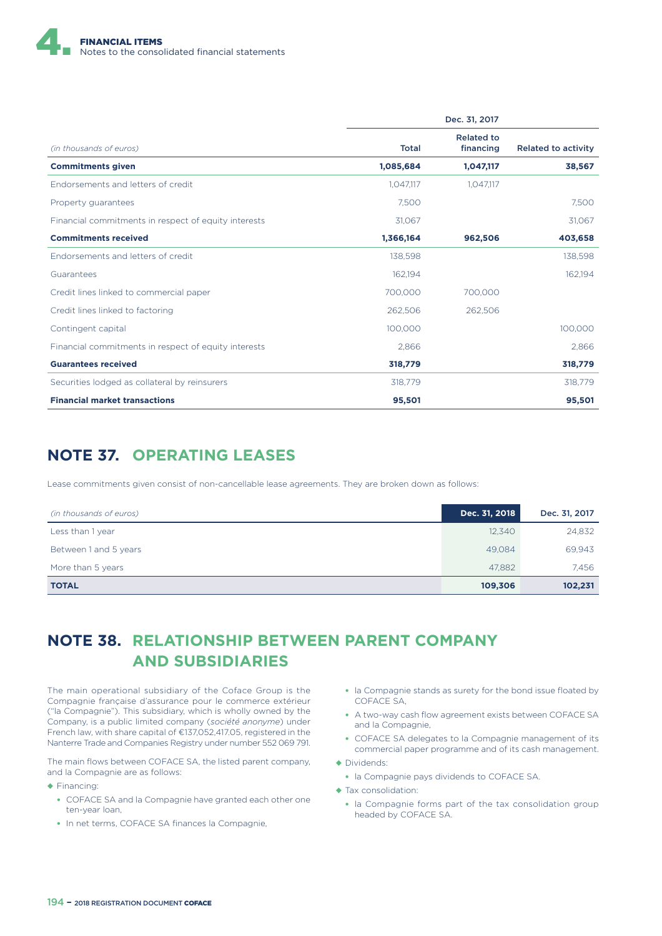

|                                                      |              | Dec. 31, 2017                  |                            |  |
|------------------------------------------------------|--------------|--------------------------------|----------------------------|--|
| (in thousands of euros)                              | <b>Total</b> | <b>Related to</b><br>financing | <b>Related to activity</b> |  |
| <b>Commitments given</b>                             | 1,085,684    | 1,047,117                      | 38,567                     |  |
| Endorsements and letters of credit                   | 1,047,117    | 1,047,117                      |                            |  |
| Property guarantees                                  | 7.500        |                                | 7,500                      |  |
| Financial commitments in respect of equity interests | 31,067       |                                | 31,067                     |  |
| <b>Commitments received</b>                          | 1,366,164    | 962,506                        | 403,658                    |  |
| Endorsements and letters of credit                   | 138,598      |                                | 138,598                    |  |
| Guarantees                                           | 162,194      |                                | 162,194                    |  |
| Credit lines linked to commercial paper              | 700.000      | 700,000                        |                            |  |
| Credit lines linked to factoring                     | 262,506      | 262,506                        |                            |  |
| Contingent capital                                   | 100,000      |                                | 100,000                    |  |
| Financial commitments in respect of equity interests | 2,866        |                                | 2,866                      |  |
| <b>Guarantees received</b>                           | 318,779      |                                | 318,779                    |  |
| Securities lodged as collateral by reinsurers        | 318.779      |                                | 318.779                    |  |
| <b>Financial market transactions</b>                 | 95,501       |                                | 95,501                     |  |

### **NOTE 37. OPERATING LEASES**

Lease commitments given consist of non-cancellable lease agreements. They are broken down as follows:

| (in thousands of euros) | Dec. 31, 2018 | Dec. 31, 2017 |
|-------------------------|---------------|---------------|
| Less than 1 year        | 12,340        | 24,832        |
| Between 1 and 5 years   | 49.084        | 69,943        |
| More than 5 years       | 47,882        | 7.456         |
| <b>TOTAL</b>            | 109,306       | 102,231       |

## **NOTE 38. RELATIONSHIP BETWEEN PARENT COMPANY AND SUBSIDIARIES**

The main operational subsidiary of the Coface Group is the Compagnie française d'assurance pour le commerce extérieur ("la Compagnie"). This subsidiary, which is wholly owned by the Company, is a public limited company (*société anonyme*) under French law, with share capital of €137,052,417.05, registered in the Nanterre Trade and Companies Registry under number 552 069 791.

The main flows between COFACE SA, the listed parent company, and la Compagnie are as follows:

- ◆ Financing:
	- COFACE SA and la Compagnie have granted each other one ten-year loan,
	- In net terms, COFACE SA finances la Compagnie,
- la Compagnie stands as surety for the bond issue floated by COFACE SA,
- A two-way cash flow agreement exists between COFACE SA and la Compagnie,
- COFACE SA delegates to la Compagnie management of its commercial paper programme and of its cash management.
- ◆ Dividends:
	- la Compagnie pays dividends to COFACE SA.
- ◆ Tax consolidation:
	- la Compagnie forms part of the tax consolidation group headed by COFACE SA.